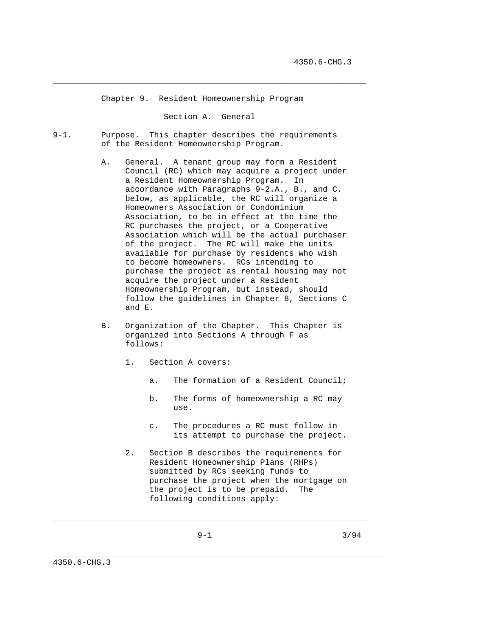Chapter 9. Resident Homeownership Program

Section A. General

 $\_$  ,  $\_$  ,  $\_$  ,  $\_$  ,  $\_$  ,  $\_$  ,  $\_$  ,  $\_$  ,  $\_$  ,  $\_$  ,  $\_$  ,  $\_$  ,  $\_$  ,  $\_$  ,  $\_$  ,  $\_$  ,  $\_$  ,  $\_$  ,  $\_$  ,  $\_$  ,  $\_$  ,  $\_$  ,  $\_$  ,  $\_$  ,  $\_$  ,  $\_$  ,  $\_$  ,  $\_$  ,  $\_$  ,  $\_$  ,  $\_$  ,  $\_$  ,  $\_$  ,  $\_$  ,  $\_$  ,  $\_$  ,  $\_$  ,

- 9-1. Purpose. This chapter describes the requirements of the Resident Homeownership Program.
	- A. General. A tenant group may form a Resident Council (RC) which may acquire a project under a Resident Homeownership Program. In accordance with Paragraphs 9-2.A., B., and C. below, as applicable, the RC will organize a Homeowners Association or Condominium Association, to be in effect at the time the RC purchases the project, or a Cooperative Association which will be the actual purchaser of the project. The RC will make the units available for purchase by residents who wish to become homeowners. RCs intending to purchase the project as rental housing may not acquire the project under a Resident Homeownership Program, but instead, should follow the guidelines in Chapter 8, Sections C and E.
	- B. Organization of the Chapter. This Chapter is organized into Sections A through F as follows:
		- 1. Section A covers:
			- a. The formation of a Resident Council;
			- b. The forms of homeownership a RC may use.
			- c. The procedures a RC must follow in its attempt to purchase the project.
		- 2. Section B describes the requirements for Resident Homeownership Plans (RHPs) submitted by RCs seeking funds to purchase the project when the mortgage on the project is to be prepaid. The following conditions apply:

 $\_$  ,  $\_$  ,  $\_$  ,  $\_$  ,  $\_$  ,  $\_$  ,  $\_$  ,  $\_$  ,  $\_$  ,  $\_$  ,  $\_$  ,  $\_$  ,  $\_$  ,  $\_$  ,  $\_$  ,  $\_$  ,  $\_$  ,  $\_$  ,  $\_$  ,  $\_$  ,  $\_$  ,  $\_$  ,  $\_$  ,  $\_$  ,  $\_$  ,  $\_$  ,  $\_$  ,  $\_$  ,  $\_$  ,  $\_$  ,  $\_$  ,  $\_$  ,  $\_$  ,  $\_$  ,  $\_$  ,  $\_$  ,  $\_$  ,

\_\_\_\_\_\_\_\_\_\_\_\_\_\_\_\_\_\_\_\_\_\_\_\_\_\_\_\_\_\_\_\_\_\_\_\_\_\_\_\_\_\_\_\_\_\_\_\_\_\_\_\_\_\_\_\_\_\_\_\_\_\_\_\_\_\_\_\_\_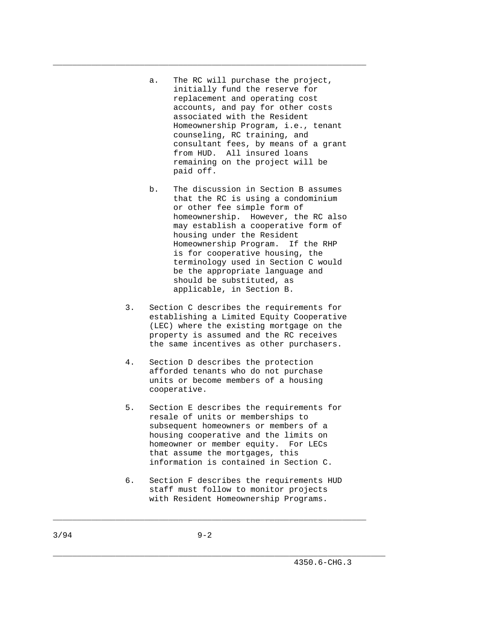a. The RC will purchase the project, initially fund the reserve for replacement and operating cost accounts, and pay for other costs associated with the Resident Homeownership Program, i.e., tenant counseling, RC training, and consultant fees, by means of a grant from HUD. All insured loans remaining on the project will be paid off.

\_\_\_\_\_\_\_\_\_\_\_\_\_\_\_\_\_\_\_\_\_\_\_\_\_\_\_\_\_\_\_\_\_\_\_\_\_\_\_\_\_\_\_\_\_\_\_\_\_\_\_\_\_\_\_\_\_\_\_\_\_\_\_\_\_

- b. The discussion in Section B assumes that the RC is using a condominium or other fee simple form of homeownership. However, the RC also may establish a cooperative form of housing under the Resident Homeownership Program. If the RHP is for cooperative housing, the terminology used in Section C would be the appropriate language and should be substituted, as applicable, in Section B.
- 3. Section C describes the requirements for establishing a Limited Equity Cooperative (LEC) where the existing mortgage on the property is assumed and the RC receives the same incentives as other purchasers.
- 4. Section D describes the protection afforded tenants who do not purchase units or become members of a housing cooperative.
- 5. Section E describes the requirements for resale of units or memberships to subsequent homeowners or members of a housing cooperative and the limits on homeowner or member equity. For LECs that assume the mortgages, this information is contained in Section C.
- 6. Section F describes the requirements HUD staff must follow to monitor projects with Resident Homeownership Programs.

 $\_$  ,  $\_$  ,  $\_$  ,  $\_$  ,  $\_$  ,  $\_$  ,  $\_$  ,  $\_$  ,  $\_$  ,  $\_$  ,  $\_$  ,  $\_$  ,  $\_$  ,  $\_$  ,  $\_$  ,  $\_$  ,  $\_$  ,  $\_$  ,  $\_$  ,  $\_$  ,  $\_$  ,  $\_$  ,  $\_$  ,  $\_$  ,  $\_$  ,  $\_$  ,  $\_$  ,  $\_$  ,  $\_$  ,  $\_$  ,  $\_$  ,  $\_$  ,  $\_$  ,  $\_$  ,  $\_$  ,  $\_$  ,  $\_$  ,

\_\_\_\_\_\_\_\_\_\_\_\_\_\_\_\_\_\_\_\_\_\_\_\_\_\_\_\_\_\_\_\_\_\_\_\_\_\_\_\_\_\_\_\_\_\_\_\_\_\_\_\_\_\_\_\_\_\_\_\_\_\_\_\_\_\_\_\_\_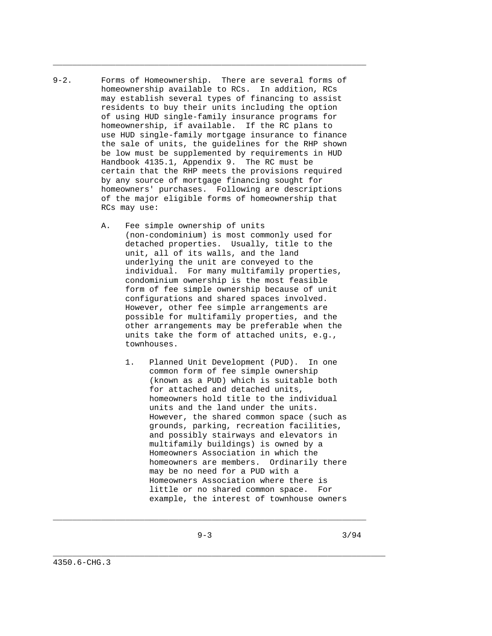9-2. Forms of Homeownership. There are several forms of homeownership available to RCs. In addition, RCs may establish several types of financing to assist residents to buy their units including the option of using HUD single-family insurance programs for homeownership, if available. If the RC plans to use HUD single-family mortgage insurance to finance the sale of units, the guidelines for the RHP shown be low must be supplemented by requirements in HUD Handbook 4135.1, Appendix 9. The RC must be certain that the RHP meets the provisions required by any source of mortgage financing sought for homeowners' purchases. Following are descriptions of the major eligible forms of homeownership that RCs may use:

\_\_\_\_\_\_\_\_\_\_\_\_\_\_\_\_\_\_\_\_\_\_\_\_\_\_\_\_\_\_\_\_\_\_\_\_\_\_\_\_\_\_\_\_\_\_\_\_\_\_\_\_\_\_\_\_\_\_\_\_\_\_\_\_\_

- A. Fee simple ownership of units (non-condominium) is most commonly used for detached properties. Usually, title to the unit, all of its walls, and the land underlying the unit are conveyed to the individual. For many multifamily properties, condominium ownership is the most feasible form of fee simple ownership because of unit configurations and shared spaces involved. However, other fee simple arrangements are possible for multifamily properties, and the other arrangements may be preferable when the units take the form of attached units, e.g., townhouses.
	- 1. Planned Unit Development (PUD). In one common form of fee simple ownership (known as a PUD) which is suitable both for attached and detached units, homeowners hold title to the individual units and the land under the units. However, the shared common space (such as grounds, parking, recreation facilities, and possibly stairways and elevators in multifamily buildings) is owned by a Homeowners Association in which the homeowners are members. Ordinarily there may be no need for a PUD with a Homeowners Association where there is little or no shared common space. For example, the interest of townhouse owners

 $\_$  ,  $\_$  ,  $\_$  ,  $\_$  ,  $\_$  ,  $\_$  ,  $\_$  ,  $\_$  ,  $\_$  ,  $\_$  ,  $\_$  ,  $\_$  ,  $\_$  ,  $\_$  ,  $\_$  ,  $\_$  ,  $\_$  ,  $\_$  ,  $\_$  ,  $\_$  ,  $\_$  ,  $\_$  ,  $\_$  ,  $\_$  ,  $\_$  ,  $\_$  ,  $\_$  ,  $\_$  ,  $\_$  ,  $\_$  ,  $\_$  ,  $\_$  ,  $\_$  ,  $\_$  ,  $\_$  ,  $\_$  ,  $\_$  ,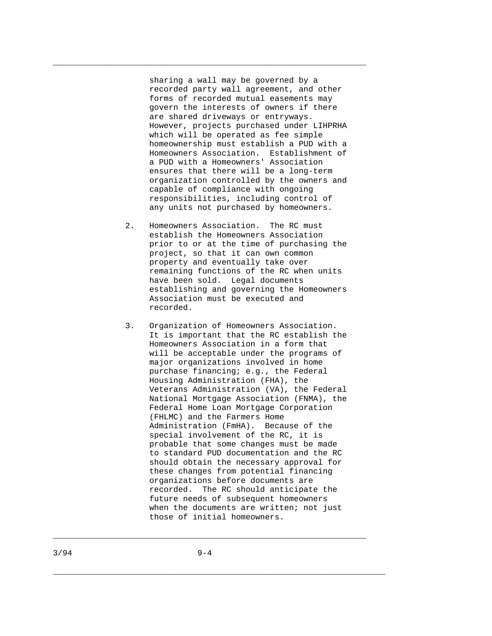sharing a wall may be governed by a recorded party wall agreement, and other forms of recorded mutual easements may govern the interests of owners if there are shared driveways or entryways. However, projects purchased under LIHPRHA which will be operated as fee simple homeownership must establish a PUD with a Homeowners Association. Establishment of a PUD with a Homeowners' Association ensures that there will be a long-term organization controlled by the owners and capable of compliance with ongoing responsibilities, including control of any units not purchased by homeowners.

\_\_\_\_\_\_\_\_\_\_\_\_\_\_\_\_\_\_\_\_\_\_\_\_\_\_\_\_\_\_\_\_\_\_\_\_\_\_\_\_\_\_\_\_\_\_\_\_\_\_\_\_\_\_\_\_\_\_\_\_\_\_\_\_\_

- 2. Homeowners Association. The RC must establish the Homeowners Association prior to or at the time of purchasing the project, so that it can own common property and eventually take over remaining functions of the RC when units have been sold. Legal documents establishing and governing the Homeowners Association must be executed and recorded.
- 3. Organization of Homeowners Association. It is important that the RC establish the Homeowners Association in a form that will be acceptable under the programs of major organizations involved in home purchase financing; e.g., the Federal Housing Administration (FHA), the Veterans Administration (VA), the Federal National Mortgage Association (FNMA), the Federal Home Loan Mortgage Corporation (FHLMC) and the Farmers Home Administration (FmHA). Because of the special involvement of the RC, it is probable that some changes must be made to standard PUD documentation and the RC should obtain the necessary approval for these changes from potential financing organizations before documents are recorded. The RC should anticipate the future needs of subsequent homeowners when the documents are written; not just those of initial homeowners.

\_\_\_\_\_\_\_\_\_\_\_\_\_\_\_\_\_\_\_\_\_\_\_\_\_\_\_\_\_\_\_\_\_\_\_\_\_\_\_\_\_\_\_\_\_\_\_\_\_\_\_\_\_\_\_\_\_\_\_\_\_\_\_\_\_

\_\_\_\_\_\_\_\_\_\_\_\_\_\_\_\_\_\_\_\_\_\_\_\_\_\_\_\_\_\_\_\_\_\_\_\_\_\_\_\_\_\_\_\_\_\_\_\_\_\_\_\_\_\_\_\_\_\_\_\_\_\_\_\_\_\_\_\_\_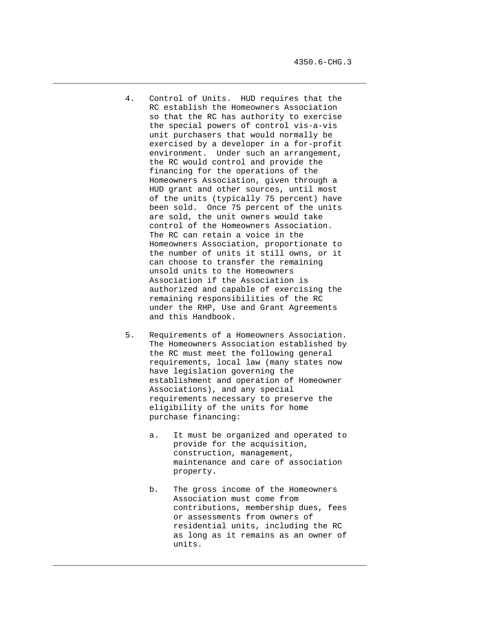4. Control of Units. HUD requires that the RC establish the Homeowners Association so that the RC has authority to exercise the special powers of control vis-a-vis unit purchasers that would normally be exercised by a developer in a for-profit environment. Under such an arrangement, the RC would control and provide the financing for the operations of the Homeowners Association, given through a HUD grant and other sources, until most of the units (typically 75 percent) have been sold. Once 75 percent of the units are sold, the unit owners would take control of the Homeowners Association. The RC can retain a voice in the Homeowners Association, proportionate to the number of units it still owns, or it can choose to transfer the remaining unsold units to the Homeowners Association if the Association is authorized and capable of exercising the remaining responsibilities of the RC under the RHP, Use and Grant Agreements and this Handbook.

 $\_$  ,  $\_$  ,  $\_$  ,  $\_$  ,  $\_$  ,  $\_$  ,  $\_$  ,  $\_$  ,  $\_$  ,  $\_$  ,  $\_$  ,  $\_$  ,  $\_$  ,  $\_$  ,  $\_$  ,  $\_$  ,  $\_$  ,  $\_$  ,  $\_$  ,  $\_$  ,  $\_$  ,  $\_$  ,  $\_$  ,  $\_$  ,  $\_$  ,  $\_$  ,  $\_$  ,  $\_$  ,  $\_$  ,  $\_$  ,  $\_$  ,  $\_$  ,  $\_$  ,  $\_$  ,  $\_$  ,  $\_$  ,  $\_$  ,

- 5. Requirements of a Homeowners Association. The Homeowners Association established by the RC must meet the following general requirements, local law (many states now have legislation governing the establishment and operation of Homeowner Associations), and any special requirements necessary to preserve the eligibility of the units for home purchase financing:
	- a. It must be organized and operated to provide for the acquisition, construction, management, maintenance and care of association property.
	- b. The gross income of the Homeowners Association must come from contributions, membership dues, fees or assessments from owners of residential units, including the RC as long as it remains as an owner of units.

 $\_$  ,  $\_$  ,  $\_$  ,  $\_$  ,  $\_$  ,  $\_$  ,  $\_$  ,  $\_$  ,  $\_$  ,  $\_$  ,  $\_$  ,  $\_$  ,  $\_$  ,  $\_$  ,  $\_$  ,  $\_$  ,  $\_$  ,  $\_$  ,  $\_$  ,  $\_$  ,  $\_$  ,  $\_$  ,  $\_$  ,  $\_$  ,  $\_$  ,  $\_$  ,  $\_$  ,  $\_$  ,  $\_$  ,  $\_$  ,  $\_$  ,  $\_$  ,  $\_$  ,  $\_$  ,  $\_$  ,  $\_$  ,  $\_$  ,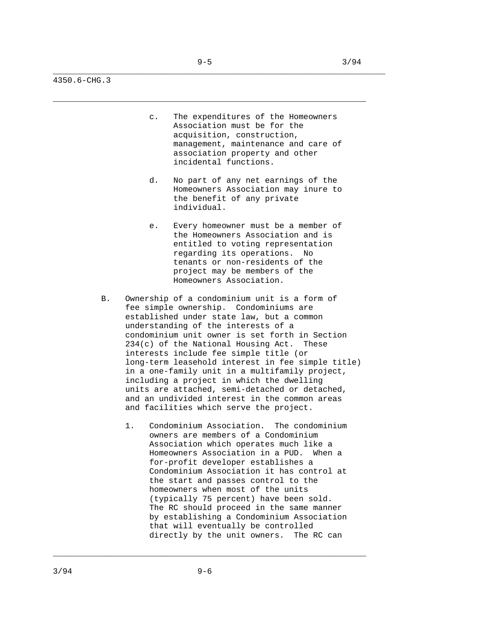\_\_\_\_\_\_\_\_\_\_\_\_\_\_\_\_\_\_\_\_\_\_\_\_\_\_\_\_\_\_\_\_\_\_\_\_\_\_\_\_\_\_\_\_\_\_\_\_\_\_\_\_\_\_\_\_\_\_\_\_\_\_\_\_\_\_\_\_\_

\_\_\_\_\_\_\_\_\_\_\_\_\_\_\_\_\_\_\_\_\_\_\_\_\_\_\_\_\_\_\_\_\_\_\_\_\_\_\_\_\_\_\_\_\_\_\_\_\_\_\_\_\_\_\_\_\_\_\_\_\_\_\_\_\_

4350.6-CHG.3

- c. The expenditures of the Homeowners Association must be for the acquisition, construction, management, maintenance and care of association property and other incidental functions.
- d. No part of any net earnings of the Homeowners Association may inure to the benefit of any private individual.
- e. Every homeowner must be a member of the Homeowners Association and is entitled to voting representation regarding its operations. No tenants or non-residents of the project may be members of the Homeowners Association.
- B. Ownership of a condominium unit is a form of fee simple ownership. Condominiums are established under state law, but a common understanding of the interests of a condominium unit owner is set forth in Section 234(c) of the National Housing Act. These interests include fee simple title (or long-term leasehold interest in fee simple title) in a one-family unit in a multifamily project, including a project in which the dwelling units are attached, semi-detached or detached, and an undivided interest in the common areas and facilities which serve the project.
	- 1. Condominium Association. The condominium owners are members of a Condominium Association which operates much like a Homeowners Association in a PUD. When a for-profit developer establishes a Condominium Association it has control at the start and passes control to the homeowners when most of the units (typically 75 percent) have been sold. The RC should proceed in the same manner by establishing a Condominium Association that will eventually be controlled directly by the unit owners. The RC can

\_\_\_\_\_\_\_\_\_\_\_\_\_\_\_\_\_\_\_\_\_\_\_\_\_\_\_\_\_\_\_\_\_\_\_\_\_\_\_\_\_\_\_\_\_\_\_\_\_\_\_\_\_\_\_\_\_\_\_\_\_\_\_\_\_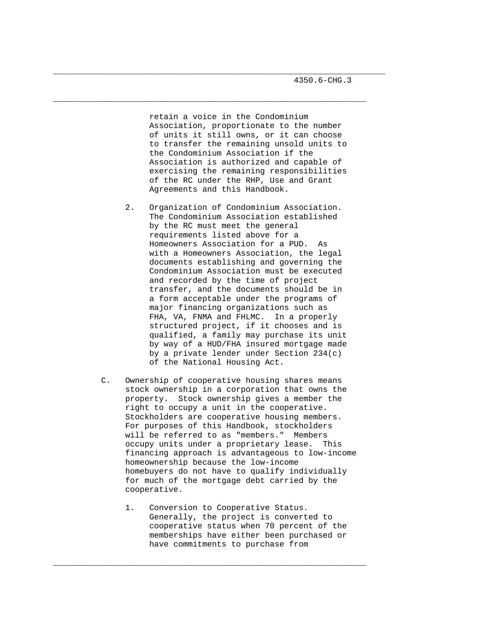retain a voice in the Condominium Association, proportionate to the number of units it still owns, or it can choose to transfer the remaining unsold units to the Condominium Association if the Association is authorized and capable of exercising the remaining responsibilities of the RC under the RHP, Use and Grant Agreements and this Handbook.

\_\_\_\_\_\_\_\_\_\_\_\_\_\_\_\_\_\_\_\_\_\_\_\_\_\_\_\_\_\_\_\_\_\_\_\_\_\_\_\_\_\_\_\_\_\_\_\_\_\_\_\_\_\_\_\_\_\_\_\_\_\_\_\_\_\_\_\_\_

\_\_\_\_\_\_\_\_\_\_\_\_\_\_\_\_\_\_\_\_\_\_\_\_\_\_\_\_\_\_\_\_\_\_\_\_\_\_\_\_\_\_\_\_\_\_\_\_\_\_\_\_\_\_\_\_\_\_\_\_\_\_\_\_\_

- 2. Organization of Condominium Association. The Condominium Association established by the RC must meet the general requirements listed above for a Homeowners Association for a PUD. As with a Homeowners Association, the legal documents establishing and governing the Condominium Association must be executed and recorded by the time of project transfer, and the documents should be in a form acceptable under the programs of major financing organizations such as FHA, VA, FNMA and FHLMC. In a properly structured project, if it chooses and is qualified, a family may purchase its unit by way of a HUD/FHA insured mortgage made by a private lender under Section 234(c) of the National Housing Act.
- C. Ownership of cooperative housing shares means stock ownership in a corporation that owns the property. Stock ownership gives a member the right to occupy a unit in the cooperative. Stockholders are cooperative housing members. For purposes of this Handbook, stockholders will be referred to as "members." Members occupy units under a proprietary lease. This financing approach is advantageous to low-income homeownership because the low-income homebuyers do not have to qualify individually for much of the mortgage debt carried by the cooperative.
	- 1. Conversion to Cooperative Status. Generally, the project is converted to cooperative status when 70 percent of the memberships have either been purchased or have commitments to purchase from

 $\_$  ,  $\_$  ,  $\_$  ,  $\_$  ,  $\_$  ,  $\_$  ,  $\_$  ,  $\_$  ,  $\_$  ,  $\_$  ,  $\_$  ,  $\_$  ,  $\_$  ,  $\_$  ,  $\_$  ,  $\_$  ,  $\_$  ,  $\_$  ,  $\_$  ,  $\_$  ,  $\_$  ,  $\_$  ,  $\_$  ,  $\_$  ,  $\_$  ,  $\_$  ,  $\_$  ,  $\_$  ,  $\_$  ,  $\_$  ,  $\_$  ,  $\_$  ,  $\_$  ,  $\_$  ,  $\_$  ,  $\_$  ,  $\_$  ,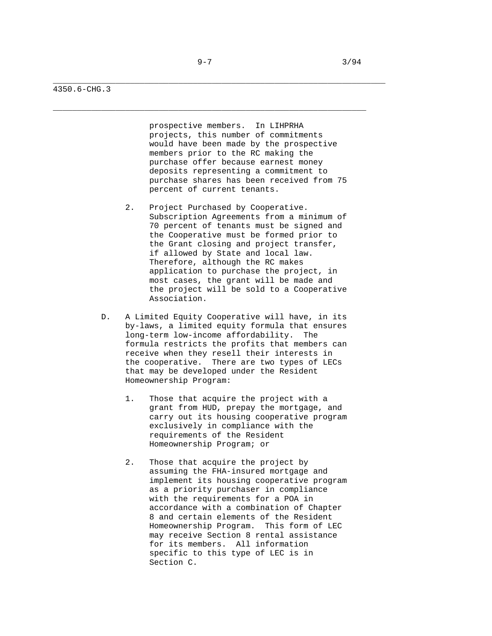\_\_\_\_\_\_\_\_\_\_\_\_\_\_\_\_\_\_\_\_\_\_\_\_\_\_\_\_\_\_\_\_\_\_\_\_\_\_\_\_\_\_\_\_\_\_\_\_\_\_\_\_\_\_\_\_\_\_\_\_\_\_\_\_\_\_\_\_\_

\_\_\_\_\_\_\_\_\_\_\_\_\_\_\_\_\_\_\_\_\_\_\_\_\_\_\_\_\_\_\_\_\_\_\_\_\_\_\_\_\_\_\_\_\_\_\_\_\_\_\_\_\_\_\_\_\_\_\_\_\_\_\_\_\_

### 4350.6-CHG.3

 prospective members. In LIHPRHA projects, this number of commitments would have been made by the prospective members prior to the RC making the purchase offer because earnest money deposits representing a commitment to purchase shares has been received from 75 percent of current tenants.

- 2. Project Purchased by Cooperative. Subscription Agreements from a minimum of 70 percent of tenants must be signed and the Cooperative must be formed prior to the Grant closing and project transfer, if allowed by State and local law. Therefore, although the RC makes application to purchase the project, in most cases, the grant will be made and the project will be sold to a Cooperative Association.
- D. A Limited Equity Cooperative will have, in its by-laws, a limited equity formula that ensures long-term low-income affordability. The formula restricts the profits that members can receive when they resell their interests in the cooperative. There are two types of LECs that may be developed under the Resident Homeownership Program:
	- 1. Those that acquire the project with a grant from HUD, prepay the mortgage, and carry out its housing cooperative program exclusively in compliance with the requirements of the Resident Homeownership Program; or
	- 2. Those that acquire the project by assuming the FHA-insured mortgage and implement its housing cooperative program as a priority purchaser in compliance with the requirements for a POA in accordance with a combination of Chapter 8 and certain elements of the Resident Homeownership Program. This form of LEC may receive Section 8 rental assistance for its members. All information specific to this type of LEC is in Section C.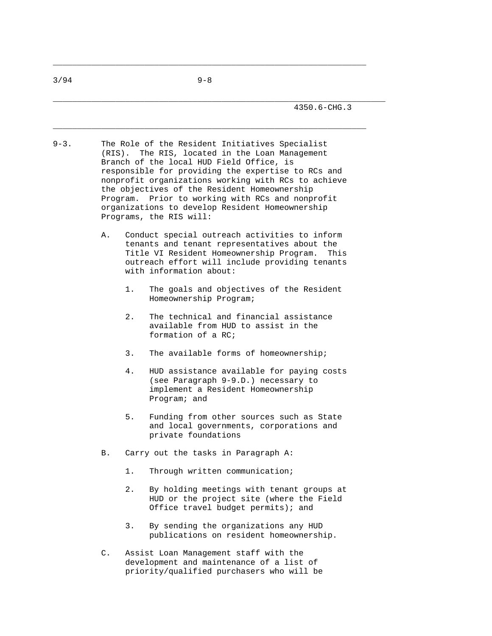\_\_\_\_\_\_\_\_\_\_\_\_\_\_\_\_\_\_\_\_\_\_\_\_\_\_\_\_\_\_\_\_\_\_\_\_\_\_\_\_\_\_\_\_\_\_\_\_\_\_\_\_\_\_\_\_\_\_\_\_\_\_\_\_\_

 $\_$  ,  $\_$  ,  $\_$  ,  $\_$  ,  $\_$  ,  $\_$  ,  $\_$  ,  $\_$  ,  $\_$  ,  $\_$  ,  $\_$  ,  $\_$  ,  $\_$  ,  $\_$  ,  $\_$  ,  $\_$  ,  $\_$  ,  $\_$  ,  $\_$  ,  $\_$  ,  $\_$  ,  $\_$  ,  $\_$  ,  $\_$  ,  $\_$  ,  $\_$  ,  $\_$  ,  $\_$  ,  $\_$  ,  $\_$  ,  $\_$  ,  $\_$  ,  $\_$  ,  $\_$  ,  $\_$  ,  $\_$  ,  $\_$  ,

\_\_\_\_\_\_\_\_\_\_\_\_\_\_\_\_\_\_\_\_\_\_\_\_\_\_\_\_\_\_\_\_\_\_\_\_\_\_\_\_\_\_\_\_\_\_\_\_\_\_\_\_\_\_\_\_\_\_\_\_\_\_\_\_\_\_\_\_\_

- 9-3. The Role of the Resident Initiatives Specialist (RIS). The RIS, located in the Loan Management Branch of the local HUD Field Office, is responsible for providing the expertise to RCs and nonprofit organizations working with RCs to achieve the objectives of the Resident Homeownership Program. Prior to working with RCs and nonprofit organizations to develop Resident Homeownership Programs, the RIS will:
	- A. Conduct special outreach activities to inform tenants and tenant representatives about the Title VI Resident Homeownership Program. This outreach effort will include providing tenants with information about:
		- 1. The goals and objectives of the Resident Homeownership Program;
		- 2. The technical and financial assistance available from HUD to assist in the formation of a RC;
		- 3. The available forms of homeownership;
		- 4. HUD assistance available for paying costs (see Paragraph 9-9.D.) necessary to implement a Resident Homeownership Program; and
		- 5. Funding from other sources such as State and local governments, corporations and private foundations
	- B. Carry out the tasks in Paragraph A:
		- 1. Through written communication;
		- 2. By holding meetings with tenant groups at HUD or the project site (where the Field Office travel budget permits); and
		- 3. By sending the organizations any HUD publications on resident homeownership.
	- C. Assist Loan Management staff with the development and maintenance of a list of priority/qualified purchasers who will be

 $3/94$  9-8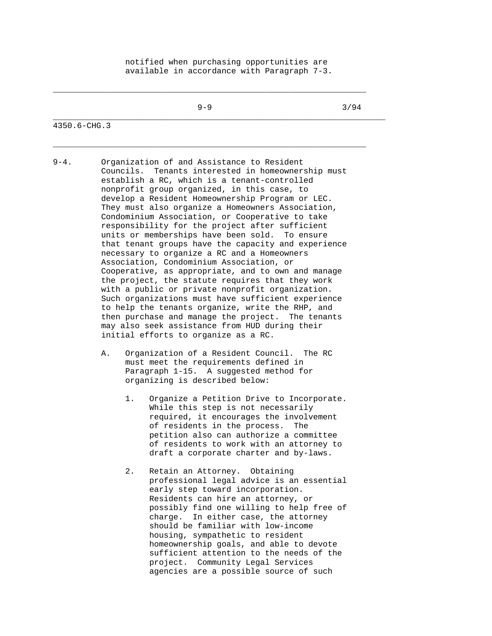# notified when purchasing opportunities are available in accordance with Paragraph 7-3.

 $\_$  ,  $\_$  ,  $\_$  ,  $\_$  ,  $\_$  ,  $\_$  ,  $\_$  ,  $\_$  ,  $\_$  ,  $\_$  ,  $\_$  ,  $\_$  ,  $\_$  ,  $\_$  ,  $\_$  ,  $\_$  ,  $\_$  ,  $\_$  ,  $\_$  ,  $\_$  ,  $\_$  ,  $\_$  ,  $\_$  ,  $\_$  ,  $\_$  ,  $\_$  ,  $\_$  ,  $\_$  ,  $\_$  ,  $\_$  ,  $\_$  ,  $\_$  ,  $\_$  ,  $\_$  ,  $\_$  ,  $\_$  ,  $\_$  ,

\_\_\_\_\_\_\_\_\_\_\_\_\_\_\_\_\_\_\_\_\_\_\_\_\_\_\_\_\_\_\_\_\_\_\_\_\_\_\_\_\_\_\_\_\_\_\_\_\_\_\_\_\_\_\_\_\_\_\_\_\_\_\_\_\_

\_\_\_\_\_\_\_\_\_\_\_\_\_\_\_\_\_\_\_\_\_\_\_\_\_\_\_\_\_\_\_\_\_\_\_\_\_\_\_\_\_\_\_\_\_\_\_\_\_\_\_\_\_\_\_\_\_\_\_\_\_\_\_\_\_\_\_\_\_

 $9-9$  3/94

### 4350.6-CHG.3

- 9-4. Organization of and Assistance to Resident Councils. Tenants interested in homeownership must establish a RC, which is a tenant-controlled nonprofit group organized, in this case, to develop a Resident Homeownership Program or LEC. They must also organize a Homeowners Association, Condominium Association, or Cooperative to take responsibility for the project after sufficient units or memberships have been sold. To ensure that tenant groups have the capacity and experience necessary to organize a RC and a Homeowners Association, Condominium Association, or Cooperative, as appropriate, and to own and manage the project, the statute requires that they work with a public or private nonprofit organization. Such organizations must have sufficient experience to help the tenants organize, write the RHP, and then purchase and manage the project. The tenants may also seek assistance from HUD during their initial efforts to organize as a RC.
	- A. Organization of a Resident Council. The RC must meet the requirements defined in Paragraph 1-15. A suggested method for organizing is described below:
		- 1. Organize a Petition Drive to Incorporate. While this step is not necessarily required, it encourages the involvement of residents in the process. The petition also can authorize a committee of residents to work with an attorney to draft a corporate charter and by-laws.
		- 2. Retain an Attorney. Obtaining professional legal advice is an essential early step toward incorporation. Residents can hire an attorney, or possibly find one willing to help free of charge. In either case, the attorney should be familiar with low-income housing, sympathetic to resident homeownership goals, and able to devote sufficient attention to the needs of the project. Community Legal Services agencies are a possible source of such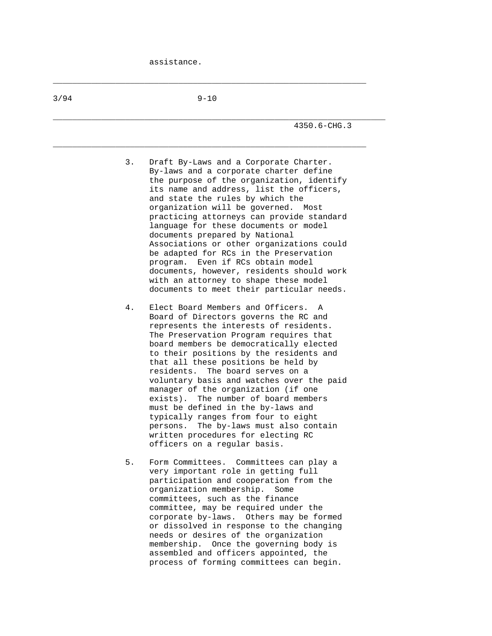$\_$  ,  $\_$  ,  $\_$  ,  $\_$  ,  $\_$  ,  $\_$  ,  $\_$  ,  $\_$  ,  $\_$  ,  $\_$  ,  $\_$  ,  $\_$  ,  $\_$  ,  $\_$  ,  $\_$  ,  $\_$  ,  $\_$  ,  $\_$  ,  $\_$  ,  $\_$  ,  $\_$  ,  $\_$  ,  $\_$  ,  $\_$  ,  $\_$  ,  $\_$  ,  $\_$  ,  $\_$  ,  $\_$  ,  $\_$  ,  $\_$  ,  $\_$  ,  $\_$  ,  $\_$  ,  $\_$  ,  $\_$  ,  $\_$  ,

| 3/94 | $9 - 10$                                                                                                                                                                                                                                                                                                                                                                                                                                                                                                                                                                                                                                                                          |
|------|-----------------------------------------------------------------------------------------------------------------------------------------------------------------------------------------------------------------------------------------------------------------------------------------------------------------------------------------------------------------------------------------------------------------------------------------------------------------------------------------------------------------------------------------------------------------------------------------------------------------------------------------------------------------------------------|
|      | 4350.6-CHG.3                                                                                                                                                                                                                                                                                                                                                                                                                                                                                                                                                                                                                                                                      |
|      | 3.<br>Draft By-Laws and a Corporate Charter.<br>By-laws and a corporate charter define<br>the purpose of the organization, identify<br>its name and address, list the officers,<br>and state the rules by which the<br>organization will be governed. Most<br>practicing attorneys can provide standard<br>language for these documents or model<br>documents prepared by National<br>Associations or other organizations could<br>be adapted for RCs in the Preservation<br>Even if RCs obtain model<br>program.<br>documents, however, residents should work<br>with an attorney to shape these model<br>documents to meet their particular needs.                              |
|      | Elect Board Members and Officers.<br>4.<br>$\mathbb{A}$<br>Board of Directors governs the RC and<br>represents the interests of residents.<br>The Preservation Program requires that<br>board members be democratically elected<br>to their positions by the residents and<br>that all these positions be held by<br>residents. The board serves on a<br>voluntary basis and watches over the paid<br>manager of the organization (if one<br>exists). The number of board members<br>must be defined in the by-laws and<br>typically ranges from four to eight<br>The by-laws must also contain<br>persons.<br>written procedures for electing RC<br>officers on a regular basis. |
|      | 5.<br>Form Committees. Committees can play a<br>very important role in getting full<br>participation and cooperation from the<br>organization membership.<br>Some<br>committees, such as the finance<br>committee, may be required under the<br>corporate by-laws. Others may be formed<br>or dissolved in response to the changing<br>needs or desires of the organization<br>membership. Once the governing body is<br>assembled and officers appointed, the<br>process of forming committees can begin.                                                                                                                                                                        |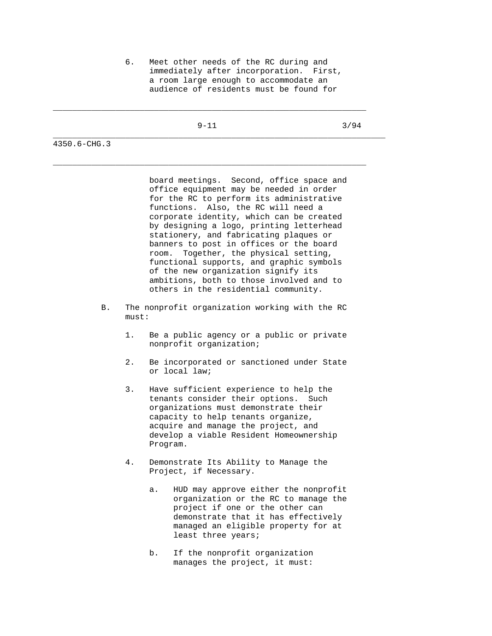6. Meet other needs of the RC during and immediately after incorporation. First, a room large enough to accommodate an audience of residents must be found for

\_\_\_\_\_\_\_\_\_\_\_\_\_\_\_\_\_\_\_\_\_\_\_\_\_\_\_\_\_\_\_\_\_\_\_\_\_\_\_\_\_\_\_\_\_\_\_\_\_\_\_\_\_\_\_\_\_\_\_\_\_\_\_\_\_

 $\_$  ,  $\_$  ,  $\_$  ,  $\_$  ,  $\_$  ,  $\_$  ,  $\_$  ,  $\_$  ,  $\_$  ,  $\_$  ,  $\_$  ,  $\_$  ,  $\_$  ,  $\_$  ,  $\_$  ,  $\_$  ,  $\_$  ,  $\_$  ,  $\_$  ,  $\_$  ,  $\_$  ,  $\_$  ,  $\_$  ,  $\_$  ,  $\_$  ,  $\_$  ,  $\_$  ,  $\_$  ,  $\_$  ,  $\_$  ,  $\_$  ,  $\_$  ,  $\_$  ,  $\_$  ,  $\_$  ,  $\_$  ,  $\_$  ,

\_\_\_\_\_\_\_\_\_\_\_\_\_\_\_\_\_\_\_\_\_\_\_\_\_\_\_\_\_\_\_\_\_\_\_\_\_\_\_\_\_\_\_\_\_\_\_\_\_\_\_\_\_\_\_\_\_\_\_\_\_\_\_\_\_\_\_\_\_

 $9-11$  3/94

4350.6-CHG.3

 board meetings. Second, office space and office equipment may be needed in order for the RC to perform its administrative functions. Also, the RC will need a corporate identity, which can be created by designing a logo, printing letterhead stationery, and fabricating plaques or banners to post in offices or the board room. Together, the physical setting, functional supports, and graphic symbols of the new organization signify its ambitions, both to those involved and to others in the residential community.

- B. The nonprofit organization working with the RC must:
	- 1. Be a public agency or a public or private nonprofit organization;
	- 2. Be incorporated or sanctioned under State or local law;
	- 3. Have sufficient experience to help the tenants consider their options. Such organizations must demonstrate their capacity to help tenants organize, acquire and manage the project, and develop a viable Resident Homeownership Program.
	- 4. Demonstrate Its Ability to Manage the Project, if Necessary.
		- a. HUD may approve either the nonprofit organization or the RC to manage the project if one or the other can demonstrate that it has effectively managed an eligible property for at least three years;
		- b. If the nonprofit organization manages the project, it must: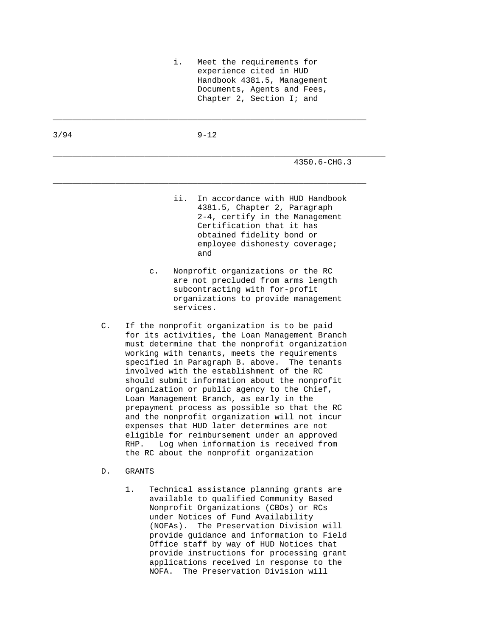i. Meet the requirements for experience cited in HUD Handbook 4381.5, Management Documents, Agents and Fees, Chapter 2, Section I; and

3/94 9-12

 $\_$  ,  $\_$  ,  $\_$  ,  $\_$  ,  $\_$  ,  $\_$  ,  $\_$  ,  $\_$  ,  $\_$  ,  $\_$  ,  $\_$  ,  $\_$  ,  $\_$  ,  $\_$  ,  $\_$  ,  $\_$  ,  $\_$  ,  $\_$  ,  $\_$  ,  $\_$  ,  $\_$  ,  $\_$  ,  $\_$  ,  $\_$  ,  $\_$  ,  $\_$  ,  $\_$  ,  $\_$  ,  $\_$  ,  $\_$  ,  $\_$  ,  $\_$  ,  $\_$  ,  $\_$  ,  $\_$  ,  $\_$  ,  $\_$  ,

 $\_$  ,  $\_$  ,  $\_$  ,  $\_$  ,  $\_$  ,  $\_$  ,  $\_$  ,  $\_$  ,  $\_$  ,  $\_$  ,  $\_$  ,  $\_$  ,  $\_$  ,  $\_$  ,  $\_$  ,  $\_$  ,  $\_$  ,  $\_$  ,  $\_$  ,  $\_$  ,  $\_$  ,  $\_$  ,  $\_$  ,  $\_$  ,  $\_$  ,  $\_$  ,  $\_$  ,  $\_$  ,  $\_$  ,  $\_$  ,  $\_$  ,  $\_$  ,  $\_$  ,  $\_$  ,  $\_$  ,  $\_$  ,  $\_$  ,

\_\_\_\_\_\_\_\_\_\_\_\_\_\_\_\_\_\_\_\_\_\_\_\_\_\_\_\_\_\_\_\_\_\_\_\_\_\_\_\_\_\_\_\_\_\_\_\_\_\_\_\_\_\_\_\_\_\_\_\_\_\_\_\_\_\_\_\_\_

4350.6-CHG.3

- ii. In accordance with HUD Handbook 4381.5, Chapter 2, Paragraph 2-4, certify in the Management Certification that it has obtained fidelity bond or employee dishonesty coverage; and the contract of the contract of the contract of the contract of the contract of the contract of the contract of the contract of the contract of the contract of the contract of the contract of the contract of the contra
	- c. Nonprofit organizations or the RC are not precluded from arms length subcontracting with for-profit organizations to provide management services.
	- C. If the nonprofit organization is to be paid for its activities, the Loan Management Branch must determine that the nonprofit organization working with tenants, meets the requirements specified in Paragraph B. above. The tenants involved with the establishment of the RC should submit information about the nonprofit organization or public agency to the Chief, Loan Management Branch, as early in the prepayment process as possible so that the RC and the nonprofit organization will not incur expenses that HUD later determines are not eligible for reimbursement under an approved RHP. Log when information is received from the RC about the nonprofit organization
	- D. GRANTS
		- 1. Technical assistance planning grants are available to qualified Community Based Nonprofit Organizations (CBOs) or RCs under Notices of Fund Availability (NOFAs). The Preservation Division will provide guidance and information to Field Office staff by way of HUD Notices that provide instructions for processing grant applications received in response to the NOFA. The Preservation Division will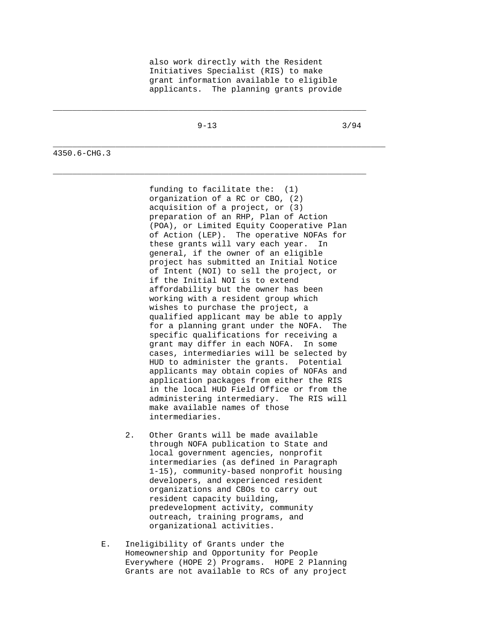also work directly with the Resident Initiatives Specialist (RIS) to make grant information available to eligible applicants. The planning grants provide

\_\_\_\_\_\_\_\_\_\_\_\_\_\_\_\_\_\_\_\_\_\_\_\_\_\_\_\_\_\_\_\_\_\_\_\_\_\_\_\_\_\_\_\_\_\_\_\_\_\_\_\_\_\_\_\_\_\_\_\_\_\_\_\_\_

 $\_$  ,  $\_$  ,  $\_$  ,  $\_$  ,  $\_$  ,  $\_$  ,  $\_$  ,  $\_$  ,  $\_$  ,  $\_$  ,  $\_$  ,  $\_$  ,  $\_$  ,  $\_$  ,  $\_$  ,  $\_$  ,  $\_$  ,  $\_$  ,  $\_$  ,  $\_$  ,  $\_$  ,  $\_$  ,  $\_$  ,  $\_$  ,  $\_$  ,  $\_$  ,  $\_$  ,  $\_$  ,  $\_$  ,  $\_$  ,  $\_$  ,  $\_$  ,  $\_$  ,  $\_$  ,  $\_$  ,  $\_$  ,  $\_$  ,

\_\_\_\_\_\_\_\_\_\_\_\_\_\_\_\_\_\_\_\_\_\_\_\_\_\_\_\_\_\_\_\_\_\_\_\_\_\_\_\_\_\_\_\_\_\_\_\_\_\_\_\_\_\_\_\_\_\_\_\_\_\_\_\_\_\_\_\_\_

 $9-13$   $3/94$ 

4350.6-CHG.3

 funding to facilitate the: (1) organization of a RC or CBO, (2) acquisition of a project, or (3) preparation of an RHP, Plan of Action (POA), or Limited Equity Cooperative Plan of Action (LEP). The operative NOFAs for these grants will vary each year. In general, if the owner of an eligible project has submitted an Initial Notice of Intent (NOI) to sell the project, or if the Initial NOI is to extend affordability but the owner has been working with a resident group which wishes to purchase the project, a qualified applicant may be able to apply for a planning grant under the NOFA. The specific qualifications for receiving a grant may differ in each NOFA. In some cases, intermediaries will be selected by HUD to administer the grants. Potential applicants may obtain copies of NOFAs and application packages from either the RIS in the local HUD Field Office or from the administering intermediary. The RIS will make available names of those intermediaries.

- 2. Other Grants will be made available through NOFA publication to State and local government agencies, nonprofit intermediaries (as defined in Paragraph 1-15), community-based nonprofit housing developers, and experienced resident organizations and CBOs to carry out resident capacity building, predevelopment activity, community outreach, training programs, and organizational activities.
- E. Ineligibility of Grants under the Homeownership and Opportunity for People Everywhere (HOPE 2) Programs. HOPE 2 Planning Grants are not available to RCs of any project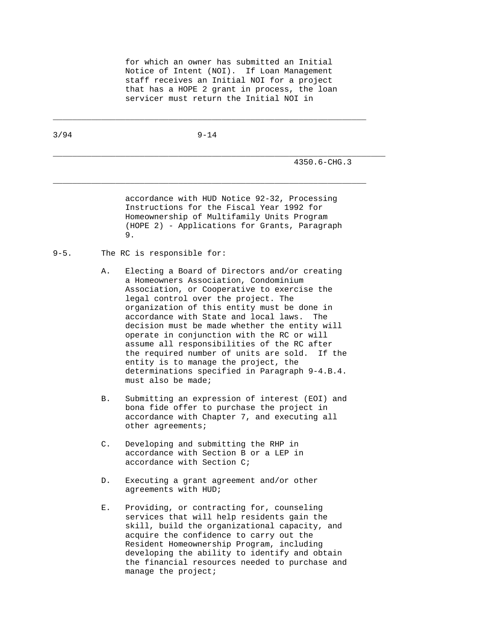for which an owner has submitted an Initial Notice of Intent (NOI). If Loan Management staff receives an Initial NOI for a project that has a HOPE 2 grant in process, the loan servicer must return the Initial NOI in

 $\_$  ,  $\_$  ,  $\_$  ,  $\_$  ,  $\_$  ,  $\_$  ,  $\_$  ,  $\_$  ,  $\_$  ,  $\_$  ,  $\_$  ,  $\_$  ,  $\_$  ,  $\_$  ,  $\_$  ,  $\_$  ,  $\_$  ,  $\_$  ,  $\_$  ,  $\_$  ,  $\_$  ,  $\_$  ,  $\_$  ,  $\_$  ,  $\_$  ,  $\_$  ,  $\_$  ,  $\_$  ,  $\_$  ,  $\_$  ,  $\_$  ,  $\_$  ,  $\_$  ,  $\_$  ,  $\_$  ,  $\_$  ,  $\_$  ,

 $\_$  ,  $\_$  ,  $\_$  ,  $\_$  ,  $\_$  ,  $\_$  ,  $\_$  ,  $\_$  ,  $\_$  ,  $\_$  ,  $\_$  ,  $\_$  ,  $\_$  ,  $\_$  ,  $\_$  ,  $\_$  ,  $\_$  ,  $\_$  ,  $\_$  ,  $\_$  ,  $\_$  ,  $\_$  ,  $\_$  ,  $\_$  ,  $\_$  ,  $\_$  ,  $\_$  ,  $\_$  ,  $\_$  ,  $\_$  ,  $\_$  ,  $\_$  ,  $\_$  ,  $\_$  ,  $\_$  ,  $\_$  ,  $\_$  ,

\_\_\_\_\_\_\_\_\_\_\_\_\_\_\_\_\_\_\_\_\_\_\_\_\_\_\_\_\_\_\_\_\_\_\_\_\_\_\_\_\_\_\_\_\_\_\_\_\_\_\_\_\_\_\_\_\_\_\_\_\_\_\_\_\_\_\_\_\_

| 3/94 | $9 - 14$ |
|------|----------|
|      |          |

4350.6-CHG.3

 accordance with HUD Notice 92-32, Processing Instructions for the Fiscal Year 1992 for Homeownership of Multifamily Units Program (HOPE 2) - Applications for Grants, Paragraph 9.

- 9-5. The RC is responsible for:
	- A. Electing a Board of Directors and/or creating a Homeowners Association, Condominium Association, or Cooperative to exercise the legal control over the project. The organization of this entity must be done in accordance with State and local laws. The decision must be made whether the entity will operate in conjunction with the RC or will assume all responsibilities of the RC after the required number of units are sold. If the entity is to manage the project, the determinations specified in Paragraph 9-4.B.4. must also be made;
	- B. Submitting an expression of interest (EOI) and bona fide offer to purchase the project in accordance with Chapter 7, and executing all other agreements;
	- C. Developing and submitting the RHP in accordance with Section B or a LEP in accordance with Section C;
	- D. Executing a grant agreement and/or other agreements with HUD;
	- E. Providing, or contracting for, counseling services that will help residents gain the skill, build the organizational capacity, and acquire the confidence to carry out the Resident Homeownership Program, including developing the ability to identify and obtain the financial resources needed to purchase and manage the project;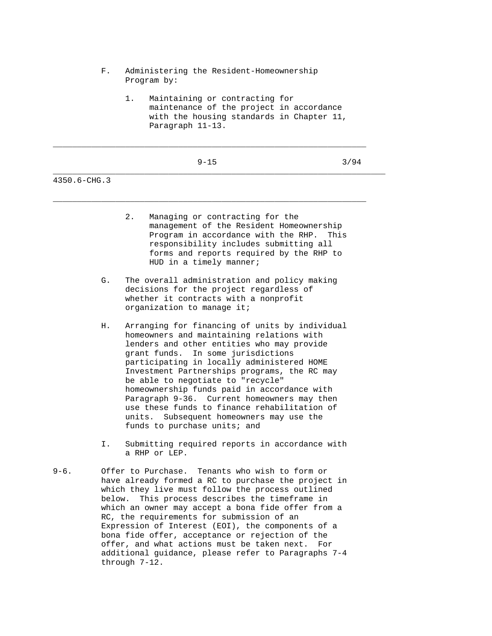- F. Administering the Resident-Homeownership Program by:
	- 1. Maintaining or contracting for maintenance of the project in accordance with the housing standards in Chapter 11, Paragraph 11-13.

|         |  | 원 사    |
|---------|--|--------|
| ۰.<br>v |  | ×<br>I |

\_\_\_\_\_\_\_\_\_\_\_\_\_\_\_\_\_\_\_\_\_\_\_\_\_\_\_\_\_\_\_\_\_\_\_\_\_\_\_\_\_\_\_\_\_\_\_\_\_\_\_\_\_\_\_\_\_\_\_\_\_\_\_\_\_

\_\_\_\_\_\_\_\_\_\_\_\_\_\_\_\_\_\_\_\_\_\_\_\_\_\_\_\_\_\_\_\_\_\_\_\_\_\_\_\_\_\_\_\_\_\_\_\_\_\_\_\_\_\_\_\_\_\_\_\_\_\_\_\_\_

\_\_\_\_\_\_\_\_\_\_\_\_\_\_\_\_\_\_\_\_\_\_\_\_\_\_\_\_\_\_\_\_\_\_\_\_\_\_\_\_\_\_\_\_\_\_\_\_\_\_\_\_\_\_\_\_\_\_\_\_\_\_\_\_\_\_\_\_\_

 $9-15$  3/94

4350.6-CHG.3

| 2. | Managing or contracting for the          |
|----|------------------------------------------|
|    | management of the Resident Homeownership |
|    | Program in accordance with the RHP. This |
|    | responsibility includes submitting all   |
|    | forms and reports required by the RHP to |
|    | HUD in a timely manner;                  |

- G. The overall administration and policy making decisions for the project regardless of whether it contracts with a nonprofit organization to manage it;
- H. Arranging for financing of units by individual homeowners and maintaining relations with lenders and other entities who may provide grant funds. In some jurisdictions participating in locally administered HOME Investment Partnerships programs, the RC may be able to negotiate to "recycle" homeownership funds paid in accordance with Paragraph 9-36. Current homeowners may then use these funds to finance rehabilitation of units. Subsequent homeowners may use the funds to purchase units; and
- I. Submitting required reports in accordance with a RHP or LEP.
- 9-6. Offer to Purchase. Tenants who wish to form or have already formed a RC to purchase the project in which they live must follow the process outlined below. This process describes the timeframe in which an owner may accept a bona fide offer from a RC, the requirements for submission of an Expression of Interest (EOI), the components of a bona fide offer, acceptance or rejection of the offer, and what actions must be taken next. For additional guidance, please refer to Paragraphs 7-4 through 7-12.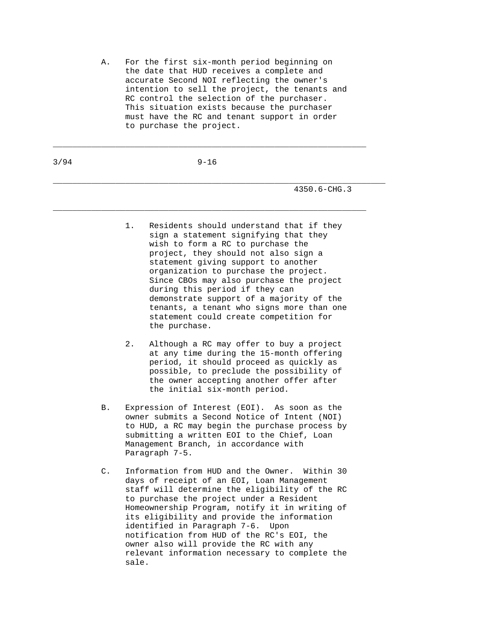A. For the first six-month period beginning on the date that HUD receives a complete and accurate Second NOI reflecting the owner's intention to sell the project, the tenants and RC control the selection of the purchaser. This situation exists because the purchaser must have the RC and tenant support in order to purchase the project.

3/94 9-16

 $\_$  ,  $\_$  ,  $\_$  ,  $\_$  ,  $\_$  ,  $\_$  ,  $\_$  ,  $\_$  ,  $\_$  ,  $\_$  ,  $\_$  ,  $\_$  ,  $\_$  ,  $\_$  ,  $\_$  ,  $\_$  ,  $\_$  ,  $\_$  ,  $\_$  ,  $\_$  ,  $\_$  ,  $\_$  ,  $\_$  ,  $\_$  ,  $\_$  ,  $\_$  ,  $\_$  ,  $\_$  ,  $\_$  ,  $\_$  ,  $\_$  ,  $\_$  ,  $\_$  ,  $\_$  ,  $\_$  ,  $\_$  ,  $\_$  ,

\_\_\_\_\_\_\_\_\_\_\_\_\_\_\_\_\_\_\_\_\_\_\_\_\_\_\_\_\_\_\_\_\_\_\_\_\_\_\_\_\_\_\_\_\_\_\_\_\_\_\_\_\_\_\_\_\_\_\_\_\_\_\_\_\_\_\_\_\_

\_\_\_\_\_\_\_\_\_\_\_\_\_\_\_\_\_\_\_\_\_\_\_\_\_\_\_\_\_\_\_\_\_\_\_\_\_\_\_\_\_\_\_\_\_\_\_\_\_\_\_\_\_\_\_\_\_\_\_\_\_\_\_\_\_

4350.6-CHG.3

- 1. Residents should understand that if they sign a statement signifying that they wish to form a RC to purchase the project, they should not also sign a statement giving support to another organization to purchase the project. Since CBOs may also purchase the project during this period if they can demonstrate support of a majority of the tenants, a tenant who signs more than one statement could create competition for the purchase.
- 2. Although a RC may offer to buy a project at any time during the 15-month offering period, it should proceed as quickly as possible, to preclude the possibility of the owner accepting another offer after the initial six-month period.
- B. Expression of Interest (EOI). As soon as the owner submits a Second Notice of Intent (NOI) to HUD, a RC may begin the purchase process by submitting a written EOI to the Chief, Loan Management Branch, in accordance with Paragraph 7-5.
- C. Information from HUD and the Owner. Within 30 days of receipt of an EOI, Loan Management staff will determine the eligibility of the RC to purchase the project under a Resident Homeownership Program, notify it in writing of its eligibility and provide the information identified in Paragraph 7-6. Upon notification from HUD of the RC's EOI, the owner also will provide the RC with any relevant information necessary to complete the sale.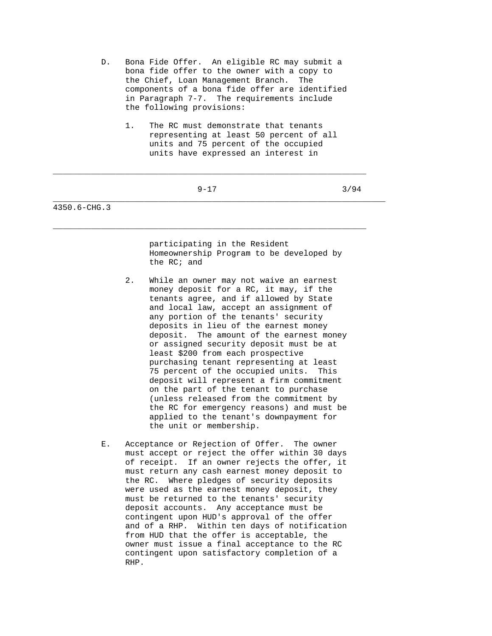- D. Bona Fide Offer. An eligible RC may submit a bona fide offer to the owner with a copy to the Chief, Loan Management Branch. The components of a bona fide offer are identified in Paragraph 7-7. The requirements include the following provisions:
	- 1. The RC must demonstrate that tenants representing at least 50 percent of all units and 75 percent of the occupied units have expressed an interest in

## $9-17$  3/94

 $\_$  ,  $\_$  ,  $\_$  ,  $\_$  ,  $\_$  ,  $\_$  ,  $\_$  ,  $\_$  ,  $\_$  ,  $\_$  ,  $\_$  ,  $\_$  ,  $\_$  ,  $\_$  ,  $\_$  ,  $\_$  ,  $\_$  ,  $\_$  ,  $\_$  ,  $\_$  ,  $\_$  ,  $\_$  ,  $\_$  ,  $\_$  ,  $\_$  ,  $\_$  ,  $\_$  ,  $\_$  ,  $\_$  ,  $\_$  ,  $\_$  ,  $\_$  ,  $\_$  ,  $\_$  ,  $\_$  ,  $\_$  ,  $\_$  ,

 $\_$  ,  $\_$  ,  $\_$  ,  $\_$  ,  $\_$  ,  $\_$  ,  $\_$  ,  $\_$  ,  $\_$  ,  $\_$  ,  $\_$  ,  $\_$  ,  $\_$  ,  $\_$  ,  $\_$  ,  $\_$  ,  $\_$  ,  $\_$  ,  $\_$  ,  $\_$  ,  $\_$  ,  $\_$  ,  $\_$  ,  $\_$  ,  $\_$  ,  $\_$  ,  $\_$  ,  $\_$  ,  $\_$  ,  $\_$  ,  $\_$  ,  $\_$  ,  $\_$  ,  $\_$  ,  $\_$  ,  $\_$  ,  $\_$  ,

\_\_\_\_\_\_\_\_\_\_\_\_\_\_\_\_\_\_\_\_\_\_\_\_\_\_\_\_\_\_\_\_\_\_\_\_\_\_\_\_\_\_\_\_\_\_\_\_\_\_\_\_\_\_\_\_\_\_\_\_\_\_\_\_\_\_\_\_\_

4350.6-CHG.3

 participating in the Resident Homeownership Program to be developed by the RC; and

- 2. While an owner may not waive an earnest money deposit for a RC, it may, if the tenants agree, and if allowed by State and local law, accept an assignment of any portion of the tenants' security deposits in lieu of the earnest money deposit. The amount of the earnest money or assigned security deposit must be at least \$200 from each prospective purchasing tenant representing at least 75 percent of the occupied units. This deposit will represent a firm commitment on the part of the tenant to purchase (unless released from the commitment by the RC for emergency reasons) and must be applied to the tenant's downpayment for the unit or membership.
- E. Acceptance or Rejection of Offer. The owner must accept or reject the offer within 30 days of receipt. If an owner rejects the offer, it must return any cash earnest money deposit to the RC. Where pledges of security deposits were used as the earnest money deposit, they must be returned to the tenants' security deposit accounts. Any acceptance must be contingent upon HUD's approval of the offer and of a RHP. Within ten days of notification from HUD that the offer is acceptable, the owner must issue a final acceptance to the RC contingent upon satisfactory completion of a RHP.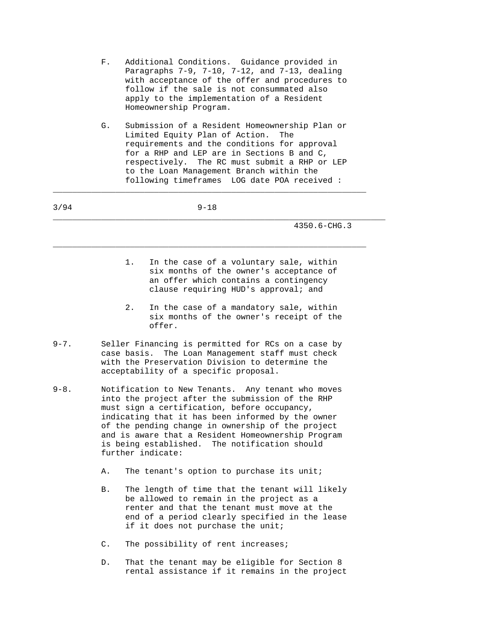- F. Additional Conditions. Guidance provided in Paragraphs 7-9, 7-10, 7-12, and 7-13, dealing with acceptance of the offer and procedures to follow if the sale is not consummated also apply to the implementation of a Resident Homeownership Program.
- G. Submission of a Resident Homeownership Plan or Limited Equity Plan of Action. The requirements and the conditions for approval for a RHP and LEP are in Sections B and C, respectively. The RC must submit a RHP or LEP to the Loan Management Branch within the following timeframes LOG date POA received :

\_\_\_\_\_\_\_\_\_\_\_\_\_\_\_\_\_\_\_\_\_\_\_\_\_\_\_\_\_\_\_\_\_\_\_\_\_\_\_\_\_\_\_\_\_\_\_\_\_\_\_\_\_\_\_\_\_\_\_\_\_\_\_\_\_

| 3/94                           |                | $9 - 18$                                                                                                                                                                                                                                                                                                                                                               |
|--------------------------------|----------------|------------------------------------------------------------------------------------------------------------------------------------------------------------------------------------------------------------------------------------------------------------------------------------------------------------------------------------------------------------------------|
|                                |                | 4350.6-CHG.3                                                                                                                                                                                                                                                                                                                                                           |
|                                |                | In the case of a voluntary sale, within<br>1.<br>six months of the owner's acceptance of<br>an offer which contains a contingency<br>clause requiring HUD's approval; and                                                                                                                                                                                              |
|                                |                | 2.<br>In the case of a mandatory sale, within<br>six months of the owner's receipt of the<br>offer.                                                                                                                                                                                                                                                                    |
| $9 - 7$ .                      |                | Seller Financing is permitted for RCs on a case by<br>The Loan Management staff must check<br>case basis.<br>with the Preservation Division to determine the<br>acceptability of a specific proposal.                                                                                                                                                                  |
| $9 - 8$ .<br>further indicate: |                | Notification to New Tenants. Any tenant who moves<br>into the project after the submission of the RHP<br>must sign a certification, before occupancy,<br>indicating that it has been informed by the owner<br>of the pending change in ownership of the project<br>and is aware that a Resident Homeownership Program<br>is being established. The notification should |
|                                | Α.             | The tenant's option to purchase its unit;                                                                                                                                                                                                                                                                                                                              |
|                                | B.             | The length of time that the tenant will likely<br>be allowed to remain in the project as a<br>renter and that the tenant must move at the<br>end of a period clearly specified in the lease<br>if it does not purchase the unit;                                                                                                                                       |
|                                | $\mathsf{C}$ . | The possibility of rent increases;                                                                                                                                                                                                                                                                                                                                     |
|                                | $D$ .          | That the tenant may be eligible for Section 8<br>rental assistance if it remains in the project                                                                                                                                                                                                                                                                        |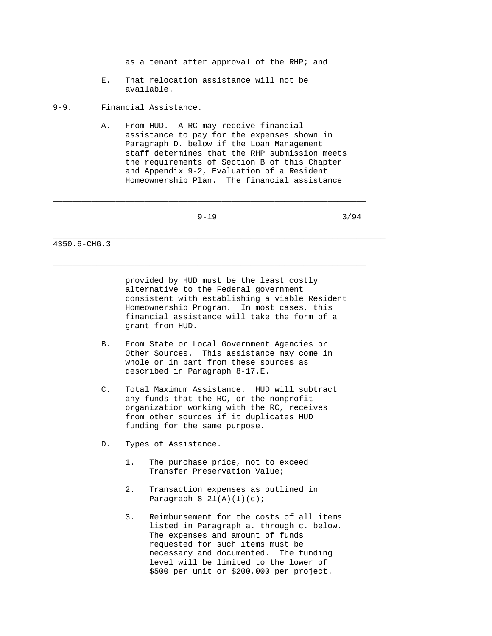as a tenant after approval of the RHP; and

 E. That relocation assistance will not be available.

9-9. Financial Assistance.

 A. From HUD. A RC may receive financial assistance to pay for the expenses shown in Paragraph D. below if the Loan Management staff determines that the RHP submission meets the requirements of Section B of this Chapter and Appendix 9-2, Evaluation of a Resident Homeownership Plan. The financial assistance

\_\_\_\_\_\_\_\_\_\_\_\_\_\_\_\_\_\_\_\_\_\_\_\_\_\_\_\_\_\_\_\_\_\_\_\_\_\_\_\_\_\_\_\_\_\_\_\_\_\_\_\_\_\_\_\_\_\_\_\_\_\_\_\_\_

 $\_$  ,  $\_$  ,  $\_$  ,  $\_$  ,  $\_$  ,  $\_$  ,  $\_$  ,  $\_$  ,  $\_$  ,  $\_$  ,  $\_$  ,  $\_$  ,  $\_$  ,  $\_$  ,  $\_$  ,  $\_$  ,  $\_$  ,  $\_$  ,  $\_$  ,  $\_$  ,  $\_$  ,  $\_$  ,  $\_$  ,  $\_$  ,  $\_$  ,  $\_$  ,  $\_$  ,  $\_$  ,  $\_$  ,  $\_$  ,  $\_$  ,  $\_$  ,  $\_$  ,  $\_$  ,  $\_$  ,  $\_$  ,  $\_$  ,

\_\_\_\_\_\_\_\_\_\_\_\_\_\_\_\_\_\_\_\_\_\_\_\_\_\_\_\_\_\_\_\_\_\_\_\_\_\_\_\_\_\_\_\_\_\_\_\_\_\_\_\_\_\_\_\_\_\_\_\_\_\_\_\_\_\_\_\_\_

 $9-19$  3/94

4350.6-CHG.3

 provided by HUD must be the least costly alternative to the Federal government consistent with establishing a viable Resident Homeownership Program. In most cases, this financial assistance will take the form of a grant from HUD.

- B. From State or Local Government Agencies or Other Sources. This assistance may come in whole or in part from these sources as described in Paragraph 8-17.E.
- C. Total Maximum Assistance. HUD will subtract any funds that the RC, or the nonprofit organization working with the RC, receives from other sources if it duplicates HUD funding for the same purpose.
- D. Types of Assistance.
	- 1. The purchase price, not to exceed Transfer Preservation Value;
	- 2. Transaction expenses as outlined in Paragraph  $8-21(A)(1)(c)$ ;
	- 3. Reimbursement for the costs of all items listed in Paragraph a. through c. below. The expenses and amount of funds requested for such items must be necessary and documented. The funding level will be limited to the lower of \$500 per unit or \$200,000 per project.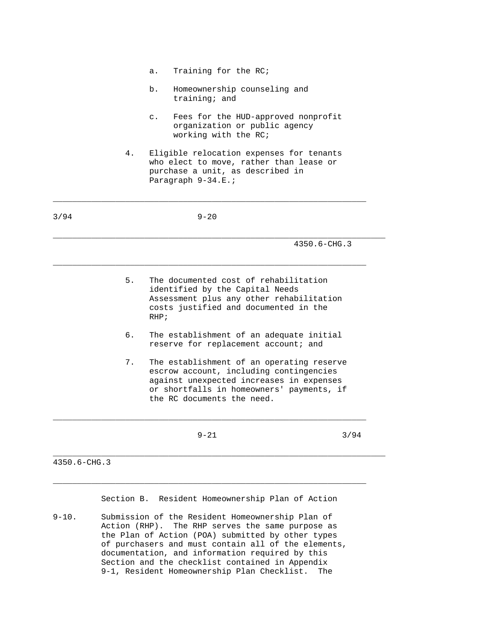a. Training for the RC;

\_\_\_\_\_\_\_\_\_\_\_\_\_\_\_\_\_\_\_\_\_\_\_\_\_\_\_\_\_\_\_\_\_\_\_\_\_\_\_\_\_\_\_\_\_\_\_\_\_\_\_\_\_\_\_\_\_\_\_\_\_\_\_\_\_

- b. Homeownership counseling and training; and
- c. Fees for the HUD-approved nonprofit organization or public agency working with the RC;
- 4. Eligible relocation expenses for tenants who elect to move, rather than lease or purchase a unit, as described in Paragraph  $9-34.E.$ ;

|    | $4350.6 - CHG.3$                                                                                                                                                                                            |      |
|----|-------------------------------------------------------------------------------------------------------------------------------------------------------------------------------------------------------------|------|
| 5. | The documented cost of rehabilitation<br>identified by the Capital Needs<br>Assessment plus any other rehabilitation<br>costs justified and documented in the<br>RHP                                        |      |
| б. | The establishment of an adequate initial<br>reserve for replacement account; and                                                                                                                            |      |
| 7. | The establishment of an operating reserve<br>escrow account, including contingencies<br>against unexpected increases in expenses<br>or shortfalls in homeowners' payments, if<br>the RC documents the need. |      |
|    | $9 - 21$                                                                                                                                                                                                    | 3/94 |

Section B. Resident Homeownership Plan of Action

9-10. Submission of the Resident Homeownership Plan of Action (RHP). The RHP serves the same purpose as the Plan of Action (POA) submitted by other types of purchasers and must contain all of the elements, documentation, and information required by this Section and the checklist contained in Appendix 9-1, Resident Homeownership Plan Checklist. The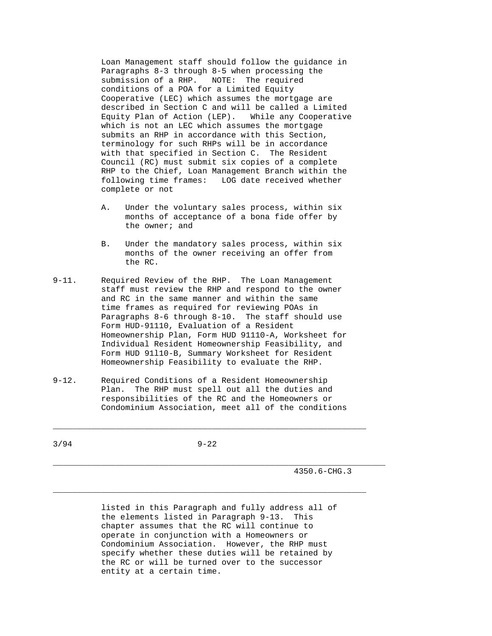Loan Management staff should follow the guidance in Paragraphs 8-3 through 8-5 when processing the submission of a RHP. NOTE: The required conditions of a POA for a Limited Equity Cooperative (LEC) which assumes the mortgage are described in Section C and will be called a Limited Equity Plan of Action (LEP). While any Cooperative which is not an LEC which assumes the mortgage submits an RHP in accordance with this Section, terminology for such RHPs will be in accordance with that specified in Section C. The Resident Council (RC) must submit six copies of a complete RHP to the Chief, Loan Management Branch within the following time frames: LOG date received whether complete or not

- A. Under the voluntary sales process, within six months of acceptance of a bona fide offer by the owner; and
- B. Under the mandatory sales process, within six months of the owner receiving an offer from the RC.
- 9-11. Required Review of the RHP. The Loan Management staff must review the RHP and respond to the owner and RC in the same manner and within the same time frames as required for reviewing POAs in Paragraphs 8-6 through 8-10. The staff should use Form HUD-91110, Evaluation of a Resident Homeownership Plan, Form HUD 91110-A, Worksheet for Individual Resident Homeownership Feasibility, and Form HUD 91l10-B, Summary Worksheet for Resident Homeownership Feasibility to evaluate the RHP.
- 9-12. Required Conditions of a Resident Homeownership Plan. The RHP must spell out all the duties and responsibilities of the RC and the Homeowners or Condominium Association, meet all of the conditions

 $\_$  ,  $\_$  ,  $\_$  ,  $\_$  ,  $\_$  ,  $\_$  ,  $\_$  ,  $\_$  ,  $\_$  ,  $\_$  ,  $\_$  ,  $\_$  ,  $\_$  ,  $\_$  ,  $\_$  ,  $\_$  ,  $\_$  ,  $\_$  ,  $\_$  ,  $\_$  ,  $\_$  ,  $\_$  ,  $\_$  ,  $\_$  ,  $\_$  ,  $\_$  ,  $\_$  ,  $\_$  ,  $\_$  ,  $\_$  ,  $\_$  ,  $\_$  ,  $\_$  ,  $\_$  ,  $\_$  ,  $\_$  ,  $\_$  ,

\_\_\_\_\_\_\_\_\_\_\_\_\_\_\_\_\_\_\_\_\_\_\_\_\_\_\_\_\_\_\_\_\_\_\_\_\_\_\_\_\_\_\_\_\_\_\_\_\_\_\_\_\_\_\_\_\_\_\_\_\_\_\_\_\_

3/94 9-22

\_\_\_\_\_\_\_\_\_\_\_\_\_\_\_\_\_\_\_\_\_\_\_\_\_\_\_\_\_\_\_\_\_\_\_\_\_\_\_\_\_\_\_\_\_\_\_\_\_\_\_\_\_\_\_\_\_\_\_\_\_\_\_\_\_\_\_\_\_ 4350.6-CHG.3

> listed in this Paragraph and fully address all of the elements listed in Paragraph 9-13. This chapter assumes that the RC will continue to operate in conjunction with a Homeowners or Condominium Association. However, the RHP must specify whether these duties will be retained by the RC or will be turned over to the successor entity at a certain time.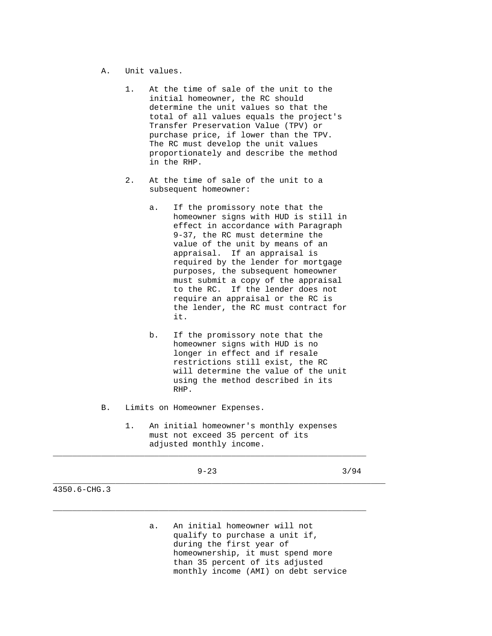- A. Unit values.
	- 1. At the time of sale of the unit to the initial homeowner, the RC should determine the unit values so that the total of all values equals the project's Transfer Preservation Value (TPV) or purchase price, if lower than the TPV. The RC must develop the unit values proportionately and describe the method in the RHP.
	- 2. At the time of sale of the unit to a subsequent homeowner:
- a. If the promissory note that the homeowner signs with HUD is still in effect in accordance with Paragraph 9-37, the RC must determine the value of the unit by means of an appraisal. If an appraisal is required by the lender for mortgage purposes, the subsequent homeowner must submit a copy of the appraisal to the RC. If the lender does not require an appraisal or the RC is the lender, the RC must contract for it. The set of  $\mathbf{t}$  it.
	- b. If the promissory note that the homeowner signs with HUD is no longer in effect and if resale restrictions still exist, the RC will determine the value of the unit using the method described in its RHP.
	- B. Limits on Homeowner Expenses.
		- 1. An initial homeowner's monthly expenses must not exceed 35 percent of its adjusted monthly income.

| 3/94<br>$9 - 23$<br>___ |  |
|-------------------------|--|
|-------------------------|--|

\_\_\_\_\_\_\_\_\_\_\_\_\_\_\_\_\_\_\_\_\_\_\_\_\_\_\_\_\_\_\_\_\_\_\_\_\_\_\_\_\_\_\_\_\_\_\_\_\_\_\_\_\_\_\_\_\_\_\_\_\_\_\_\_\_

\_\_\_\_\_\_\_\_\_\_\_\_\_\_\_\_\_\_\_\_\_\_\_\_\_\_\_\_\_\_\_\_\_\_\_\_\_\_\_\_\_\_\_\_\_\_\_\_\_\_\_\_\_\_\_\_\_\_\_\_\_\_\_\_\_

\_\_\_\_\_\_\_\_\_\_\_\_\_\_\_\_\_\_\_\_\_\_\_\_\_\_\_\_\_\_\_\_\_\_\_\_\_\_\_\_\_\_\_\_\_\_\_\_\_\_\_\_\_\_\_\_\_\_\_\_\_\_\_\_\_\_\_\_\_

4350.6-CHG.3

 a. An initial homeowner will not qualify to purchase a unit if, during the first year of homeownership, it must spend more than 35 percent of its adjusted monthly income (AMI) on debt service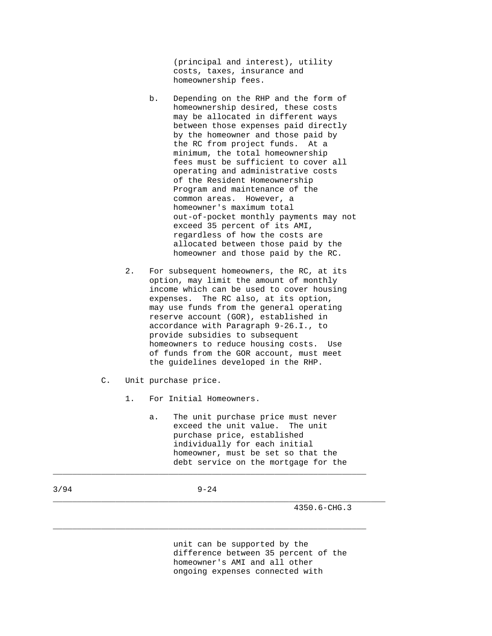(principal and interest), utility costs, taxes, insurance and homeownership fees.

- b. Depending on the RHP and the form of homeownership desired, these costs may be allocated in different ways between those expenses paid directly by the homeowner and those paid by the RC from project funds. At a minimum, the total homeownership fees must be sufficient to cover all operating and administrative costs of the Resident Homeownership Program and maintenance of the common areas. However, a homeowner's maximum total out-of-pocket monthly payments may not exceed 35 percent of its AMI, regardless of how the costs are allocated between those paid by the homeowner and those paid by the RC.
- 2. For subsequent homeowners, the RC, at its option, may limit the amount of monthly income which can be used to cover housing expenses. The RC also, at its option, may use funds from the general operating reserve account (GOR), established in accordance with Paragraph 9-26.I., to provide subsidies to subsequent homeowners to reduce housing costs. Use of funds from the GOR account, must meet the guidelines developed in the RHP.
- C. Unit purchase price.
	- 1. For Initial Homeowners.
		- a. The unit purchase price must never exceed the unit value. The unit purchase price, established individually for each initial homeowner, must be set so that the debt service on the mortgage for the

3/94 9-24

 $\_$  ,  $\_$  ,  $\_$  ,  $\_$  ,  $\_$  ,  $\_$  ,  $\_$  ,  $\_$  ,  $\_$  ,  $\_$  ,  $\_$  ,  $\_$  ,  $\_$  ,  $\_$  ,  $\_$  ,  $\_$  ,  $\_$  ,  $\_$  ,  $\_$  ,  $\_$  ,  $\_$  ,  $\_$  ,  $\_$  ,  $\_$  ,  $\_$  ,  $\_$  ,  $\_$  ,  $\_$  ,  $\_$  ,  $\_$  ,  $\_$  ,  $\_$  ,  $\_$  ,  $\_$  ,  $\_$  ,  $\_$  ,  $\_$  ,

\_\_\_\_\_\_\_\_\_\_\_\_\_\_\_\_\_\_\_\_\_\_\_\_\_\_\_\_\_\_\_\_\_\_\_\_\_\_\_\_\_\_\_\_\_\_\_\_\_\_\_\_\_\_\_\_\_\_\_\_\_\_\_\_\_\_\_\_\_

 $\_$  ,  $\_$  ,  $\_$  ,  $\_$  ,  $\_$  ,  $\_$  ,  $\_$  ,  $\_$  ,  $\_$  ,  $\_$  ,  $\_$  ,  $\_$  ,  $\_$  ,  $\_$  ,  $\_$  ,  $\_$  ,  $\_$  ,  $\_$  ,  $\_$  ,  $\_$  ,  $\_$  ,  $\_$  ,  $\_$  ,  $\_$  ,  $\_$  ,  $\_$  ,  $\_$  ,  $\_$  ,  $\_$  ,  $\_$  ,  $\_$  ,  $\_$  ,  $\_$  ,  $\_$  ,  $\_$  ,  $\_$  ,  $\_$  ,

4350.6-CHG.3

 unit can be supported by the difference between 35 percent of the homeowner's AMI and all other ongoing expenses connected with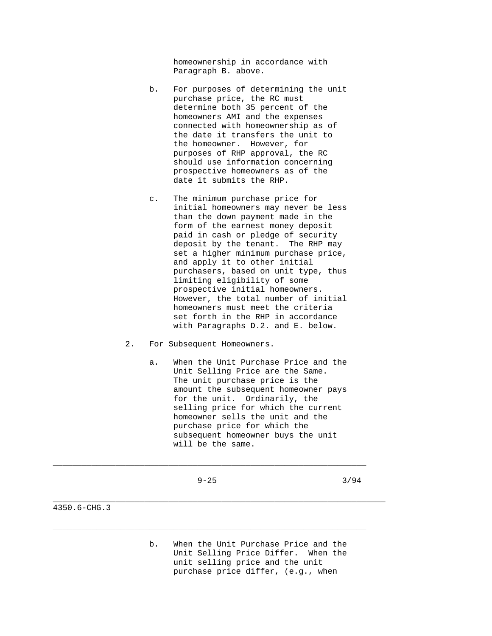homeownership in accordance with Paragraph B. above.

- b. For purposes of determining the unit purchase price, the RC must determine both 35 percent of the homeowners AMI and the expenses connected with homeownership as of the date it transfers the unit to the homeowner. However, for purposes of RHP approval, the RC should use information concerning prospective homeowners as of the date it submits the RHP.
- c. The minimum purchase price for initial homeowners may never be less than the down payment made in the form of the earnest money deposit paid in cash or pledge of security deposit by the tenant. The RHP may set a higher minimum purchase price, and apply it to other initial purchasers, based on unit type, thus limiting eligibility of some prospective initial homeowners. However, the total number of initial homeowners must meet the criteria set forth in the RHP in accordance with Paragraphs D.2. and E. below.
- 2. For Subsequent Homeowners.
	- a. When the Unit Purchase Price and the Unit Selling Price are the Same. The unit purchase price is the amount the subsequent homeowner pays for the unit. Ordinarily, the selling price for which the current homeowner sells the unit and the purchase price for which the subsequent homeowner buys the unit will be the same.

\_\_\_\_\_\_\_\_\_\_\_\_\_\_\_\_\_\_\_\_\_\_\_\_\_\_\_\_\_\_\_\_\_\_\_\_\_\_\_\_\_\_\_\_\_\_\_\_\_\_\_\_\_\_\_\_\_\_\_\_\_\_\_\_\_

 $\_$  ,  $\_$  ,  $\_$  ,  $\_$  ,  $\_$  ,  $\_$  ,  $\_$  ,  $\_$  ,  $\_$  ,  $\_$  ,  $\_$  ,  $\_$  ,  $\_$  ,  $\_$  ,  $\_$  ,  $\_$  ,  $\_$  ,  $\_$  ,  $\_$  ,  $\_$  ,  $\_$  ,  $\_$  ,  $\_$  ,  $\_$  ,  $\_$  ,  $\_$  ,  $\_$  ,  $\_$  ,  $\_$  ,  $\_$  ,  $\_$  ,  $\_$  ,  $\_$  ,  $\_$  ,  $\_$  ,  $\_$  ,  $\_$  ,

\_\_\_\_\_\_\_\_\_\_\_\_\_\_\_\_\_\_\_\_\_\_\_\_\_\_\_\_\_\_\_\_\_\_\_\_\_\_\_\_\_\_\_\_\_\_\_\_\_\_\_\_\_\_\_\_\_\_\_\_\_\_\_\_\_\_\_\_\_

 $9-25$  3/94

4350.6-CHG.3

 b. When the Unit Purchase Price and the Unit Selling Price Differ. When the unit selling price and the unit purchase price differ, (e.g., when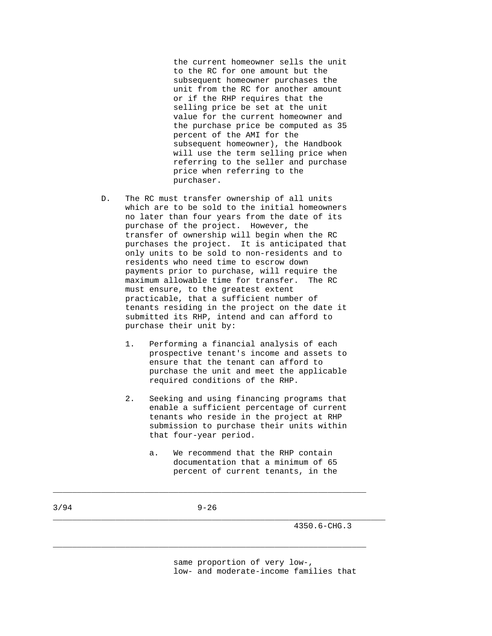the current homeowner sells the unit to the RC for one amount but the subsequent homeowner purchases the unit from the RC for another amount or if the RHP requires that the selling price be set at the unit value for the current homeowner and the purchase price be computed as 35 percent of the AMI for the subsequent homeowner), the Handbook will use the term selling price when referring to the seller and purchase price when referring to the purchaser.

- D. The RC must transfer ownership of all units which are to be sold to the initial homeowners no later than four years from the date of its purchase of the project. However, the transfer of ownership will begin when the RC purchases the project. It is anticipated that only units to be sold to non-residents and to residents who need time to escrow down payments prior to purchase, will require the maximum allowable time for transfer. The RC must ensure, to the greatest extent practicable, that a sufficient number of tenants residing in the project on the date it submitted its RHP, intend and can afford to purchase their unit by:
	- 1. Performing a financial analysis of each prospective tenant's income and assets to ensure that the tenant can afford to purchase the unit and meet the applicable required conditions of the RHP.
	- 2. Seeking and using financing programs that enable a sufficient percentage of current tenants who reside in the project at RHP submission to purchase their units within that four-year period.
		- a. We recommend that the RHP contain documentation that a minimum of 65 percent of current tenants, in the

3/94 9-26

\_\_\_\_\_\_\_\_\_\_\_\_\_\_\_\_\_\_\_\_\_\_\_\_\_\_\_\_\_\_\_\_\_\_\_\_\_\_\_\_\_\_\_\_\_\_\_\_\_\_\_\_\_\_\_\_\_\_\_\_\_\_\_\_\_

\_\_\_\_\_\_\_\_\_\_\_\_\_\_\_\_\_\_\_\_\_\_\_\_\_\_\_\_\_\_\_\_\_\_\_\_\_\_\_\_\_\_\_\_\_\_\_\_\_\_\_\_\_\_\_\_\_\_\_\_\_\_\_\_\_

\_\_\_\_\_\_\_\_\_\_\_\_\_\_\_\_\_\_\_\_\_\_\_\_\_\_\_\_\_\_\_\_\_\_\_\_\_\_\_\_\_\_\_\_\_\_\_\_\_\_\_\_\_\_\_\_\_\_\_\_\_\_\_\_\_\_\_\_\_

4350.6-CHG.3

 same proportion of very low-, low- and moderate-income families that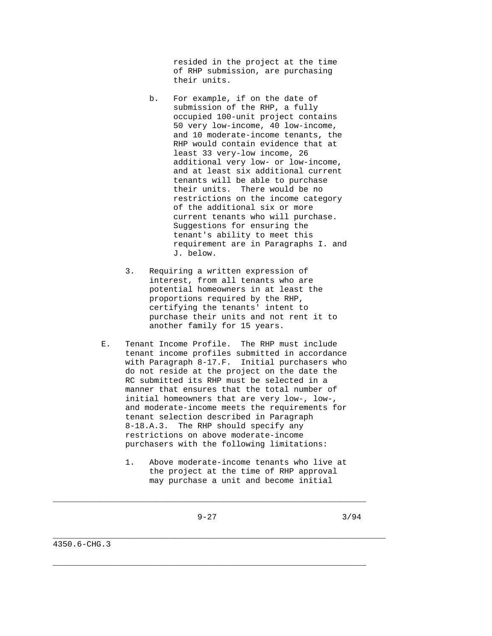resided in the project at the time of RHP submission, are purchasing their units.

- b. For example, if on the date of submission of the RHP, a fully occupied 100-unit project contains 50 very low-income, 40 low-income, and 10 moderate-income tenants, the RHP would contain evidence that at least 33 very-low income, 26 additional very low- or low-income, and at least six additional current tenants will be able to purchase their units. There would be no restrictions on the income category of the additional six or more current tenants who will purchase. Suggestions for ensuring the tenant's ability to meet this requirement are in Paragraphs I. and J. below.
- 3. Requiring a written expression of interest, from all tenants who are potential homeowners in at least the proportions required by the RHP, certifying the tenants' intent to purchase their units and not rent it to another family for 15 years.
- E. Tenant Income Profile. The RHP must include tenant income profiles submitted in accordance with Paragraph 8-17.F. Initial purchasers who do not reside at the project on the date the RC submitted its RHP must be selected in a manner that ensures that the total number of initial homeowners that are very low-, low-, and moderate-income meets the requirements for tenant selection described in Paragraph 8-18.A.3. The RHP should specify any restrictions on above moderate-income purchasers with the following limitations:
	- 1. Above moderate-income tenants who live at the project at the time of RHP approval may purchase a unit and become initial

\_\_\_\_\_\_\_\_\_\_\_\_\_\_\_\_\_\_\_\_\_\_\_\_\_\_\_\_\_\_\_\_\_\_\_\_\_\_\_\_\_\_\_\_\_\_\_\_\_\_\_\_\_\_\_\_\_\_\_\_\_\_\_\_\_

 $\_$  ,  $\_$  ,  $\_$  ,  $\_$  ,  $\_$  ,  $\_$  ,  $\_$  ,  $\_$  ,  $\_$  ,  $\_$  ,  $\_$  ,  $\_$  ,  $\_$  ,  $\_$  ,  $\_$  ,  $\_$  ,  $\_$  ,  $\_$  ,  $\_$  ,  $\_$  ,  $\_$  ,  $\_$  ,  $\_$  ,  $\_$  ,  $\_$  ,  $\_$  ,  $\_$  ,  $\_$  ,  $\_$  ,  $\_$  ,  $\_$  ,  $\_$  ,  $\_$  ,  $\_$  ,  $\_$  ,  $\_$  ,  $\_$  ,

\_\_\_\_\_\_\_\_\_\_\_\_\_\_\_\_\_\_\_\_\_\_\_\_\_\_\_\_\_\_\_\_\_\_\_\_\_\_\_\_\_\_\_\_\_\_\_\_\_\_\_\_\_\_\_\_\_\_\_\_\_\_\_\_\_\_\_\_\_

4350.6-CHG.3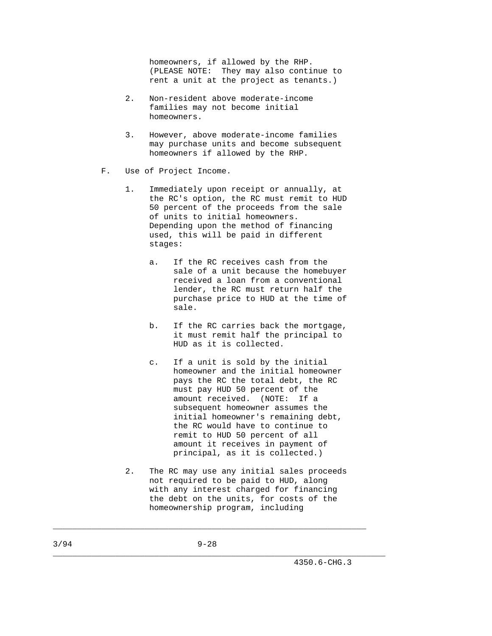homeowners, if allowed by the RHP. (PLEASE NOTE: They may also continue to rent a unit at the project as tenants.)

- 2. Non-resident above moderate-income families may not become initial homeowners.
- 3. However, above moderate-income families may purchase units and become subsequent homeowners if allowed by the RHP.
- F. Use of Project Income.
	- 1. Immediately upon receipt or annually, at the RC's option, the RC must remit to HUD 50 percent of the proceeds from the sale of units to initial homeowners. Depending upon the method of financing used, this will be paid in different stages:
		- a. If the RC receives cash from the sale of a unit because the homebuyer received a loan from a conventional lender, the RC must return half the purchase price to HUD at the time of sale.
		- b. If the RC carries back the mortgage, it must remit half the principal to HUD as it is collected.
		- c. If a unit is sold by the initial homeowner and the initial homeowner pays the RC the total debt, the RC must pay HUD 50 percent of the amount received. (NOTE: If a subsequent homeowner assumes the initial homeowner's remaining debt, the RC would have to continue to remit to HUD 50 percent of all amount it receives in payment of principal, as it is collected.)
	- 2. The RC may use any initial sales proceeds not required to be paid to HUD, along with any interest charged for financing the debt on the units, for costs of the homeownership program, including

 $\_$  ,  $\_$  ,  $\_$  ,  $\_$  ,  $\_$  ,  $\_$  ,  $\_$  ,  $\_$  ,  $\_$  ,  $\_$  ,  $\_$  ,  $\_$  ,  $\_$  ,  $\_$  ,  $\_$  ,  $\_$  ,  $\_$  ,  $\_$  ,  $\_$  ,  $\_$  ,  $\_$  ,  $\_$  ,  $\_$  ,  $\_$  ,  $\_$  ,  $\_$  ,  $\_$  ,  $\_$  ,  $\_$  ,  $\_$  ,  $\_$  ,  $\_$  ,  $\_$  ,  $\_$  ,  $\_$  ,  $\_$  ,  $\_$  ,

\_\_\_\_\_\_\_\_\_\_\_\_\_\_\_\_\_\_\_\_\_\_\_\_\_\_\_\_\_\_\_\_\_\_\_\_\_\_\_\_\_\_\_\_\_\_\_\_\_\_\_\_\_\_\_\_\_\_\_\_\_\_\_\_\_\_\_\_\_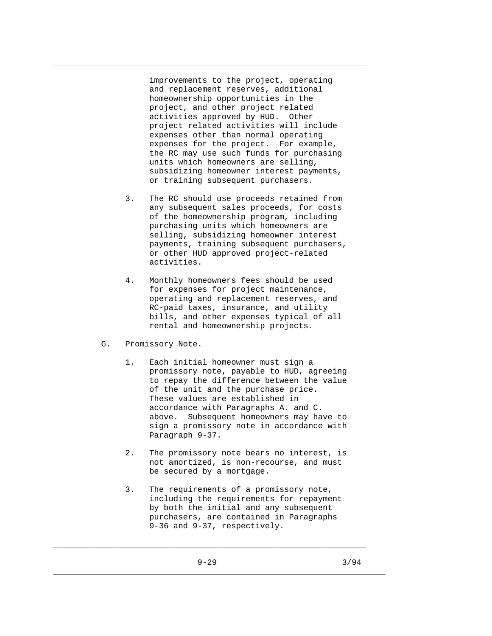improvements to the project, operating and replacement reserves, additional homeownership opportunities in the project, and other project related activities approved by HUD. Other project related activities will include expenses other than normal operating expenses for the project. For example, the RC may use such funds for purchasing units which homeowners are selling, subsidizing homeowner interest payments, or training subsequent purchasers.

\_\_\_\_\_\_\_\_\_\_\_\_\_\_\_\_\_\_\_\_\_\_\_\_\_\_\_\_\_\_\_\_\_\_\_\_\_\_\_\_\_\_\_\_\_\_\_\_\_\_\_\_\_\_\_\_\_\_\_\_\_\_\_\_\_

- 3. The RC should use proceeds retained from any subsequent sales proceeds, for costs of the homeownership program, including purchasing units which homeowners are selling, subsidizing homeowner interest payments, training subsequent purchasers, or other HUD approved project-related activities.
- 4. Monthly homeowners fees should be used for expenses for project maintenance, operating and replacement reserves, and RC-paid taxes, insurance, and utility bills, and other expenses typical of all rental and homeownership projects.
- G. Promissory Note.
	- 1. Each initial homeowner must sign a promissory note, payable to HUD, agreeing to repay the difference between the value of the unit and the purchase price. These values are established in accordance with Paragraphs A. and C. above. Subsequent homeowners may have to sign a promissory note in accordance with Paragraph 9-37.
	- 2. The promissory note bears no interest, is not amortized, is non-recourse, and must be secured by a mortgage.
	- 3. The requirements of a promissory note, including the requirements for repayment by both the initial and any subsequent purchasers, are contained in Paragraphs 9-36 and 9-37, respectively.

\_\_\_\_\_\_\_\_\_\_\_\_\_\_\_\_\_\_\_\_\_\_\_\_\_\_\_\_\_\_\_\_\_\_\_\_\_\_\_\_\_\_\_\_\_\_\_\_\_\_\_\_\_\_\_\_\_\_\_\_\_\_\_\_\_

\_\_\_\_\_\_\_\_\_\_\_\_\_\_\_\_\_\_\_\_\_\_\_\_\_\_\_\_\_\_\_\_\_\_\_\_\_\_\_\_\_\_\_\_\_\_\_\_\_\_\_\_\_\_\_\_\_\_\_\_\_\_\_\_\_\_\_\_\_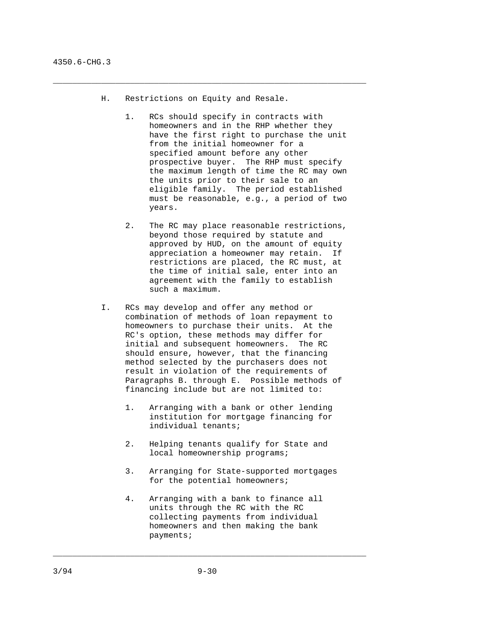H. Restrictions on Equity and Resale.

 $\_$  ,  $\_$  ,  $\_$  ,  $\_$  ,  $\_$  ,  $\_$  ,  $\_$  ,  $\_$  ,  $\_$  ,  $\_$  ,  $\_$  ,  $\_$  ,  $\_$  ,  $\_$  ,  $\_$  ,  $\_$  ,  $\_$  ,  $\_$  ,  $\_$  ,  $\_$  ,  $\_$  ,  $\_$  ,  $\_$  ,  $\_$  ,  $\_$  ,  $\_$  ,  $\_$  ,  $\_$  ,  $\_$  ,  $\_$  ,  $\_$  ,  $\_$  ,  $\_$  ,  $\_$  ,  $\_$  ,  $\_$  ,  $\_$  ,

- 1. RCs should specify in contracts with homeowners and in the RHP whether they have the first right to purchase the unit from the initial homeowner for a specified amount before any other prospective buyer. The RHP must specify the maximum length of time the RC may own the units prior to their sale to an eligible family. The period established must be reasonable, e.g., a period of two years.
- 2. The RC may place reasonable restrictions, beyond those required by statute and approved by HUD, on the amount of equity appreciation a homeowner may retain. If restrictions are placed, the RC must, at the time of initial sale, enter into an agreement with the family to establish such a maximum.
- I. RCs may develop and offer any method or combination of methods of loan repayment to homeowners to purchase their units. At the RC's option, these methods may differ for initial and subsequent homeowners. The RC should ensure, however, that the financing method selected by the purchasers does not result in violation of the requirements of Paragraphs B. through E. Possible methods of financing include but are not limited to:
	- 1. Arranging with a bank or other lending institution for mortgage financing for individual tenants;
	- 2. Helping tenants qualify for State and local homeownership programs;
	- 3. Arranging for State-supported mortgages for the potential homeowners;
	- 4. Arranging with a bank to finance all units through the RC with the RC collecting payments from individual homeowners and then making the bank payments;

\_\_\_\_\_\_\_\_\_\_\_\_\_\_\_\_\_\_\_\_\_\_\_\_\_\_\_\_\_\_\_\_\_\_\_\_\_\_\_\_\_\_\_\_\_\_\_\_\_\_\_\_\_\_\_\_\_\_\_\_\_\_\_\_\_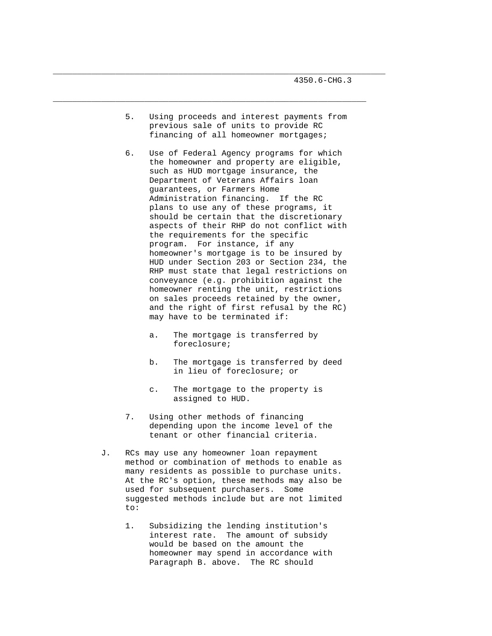5. Using proceeds and interest payments from previous sale of units to provide RC financing of all homeowner mortgages;

\_\_\_\_\_\_\_\_\_\_\_\_\_\_\_\_\_\_\_\_\_\_\_\_\_\_\_\_\_\_\_\_\_\_\_\_\_\_\_\_\_\_\_\_\_\_\_\_\_\_\_\_\_\_\_\_\_\_\_\_\_\_\_\_\_\_\_\_\_

\_\_\_\_\_\_\_\_\_\_\_\_\_\_\_\_\_\_\_\_\_\_\_\_\_\_\_\_\_\_\_\_\_\_\_\_\_\_\_\_\_\_\_\_\_\_\_\_\_\_\_\_\_\_\_\_\_\_\_\_\_\_\_\_\_

- 6. Use of Federal Agency programs for which the homeowner and property are eligible, such as HUD mortgage insurance, the Department of Veterans Affairs loan guarantees, or Farmers Home Administration financing. If the RC plans to use any of these programs, it should be certain that the discretionary aspects of their RHP do not conflict with the requirements for the specific program. For instance, if any homeowner's mortgage is to be insured by HUD under Section 203 or Section 234, the RHP must state that legal restrictions on conveyance (e.g. prohibition against the homeowner renting the unit, restrictions on sales proceeds retained by the owner, and the right of first refusal by the RC) may have to be terminated if:
	- a. The mortgage is transferred by foreclosure;
	- b. The mortgage is transferred by deed in lieu of foreclosure; or
	- c. The mortgage to the property is assigned to HUD.
- 7. Using other methods of financing depending upon the income level of the tenant or other financial criteria.
- J. RCs may use any homeowner loan repayment method or combination of methods to enable as many residents as possible to purchase units. At the RC's option, these methods may also be used for subsequent purchasers. Some suggested methods include but are not limited to:
	- 1. Subsidizing the lending institution's interest rate. The amount of subsidy would be based on the amount the homeowner may spend in accordance with Paragraph B. above. The RC should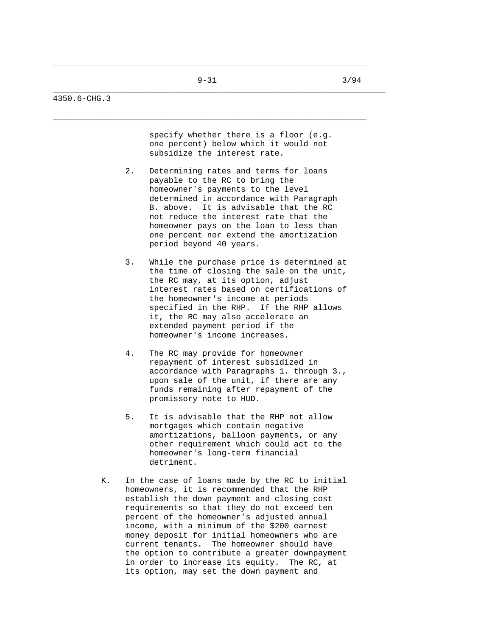\_\_\_\_\_\_\_\_\_\_\_\_\_\_\_\_\_\_\_\_\_\_\_\_\_\_\_\_\_\_\_\_\_\_\_\_\_\_\_\_\_\_\_\_\_\_\_\_\_\_\_\_\_\_\_\_\_\_\_\_\_\_\_\_\_

 $\_$  ,  $\_$  ,  $\_$  ,  $\_$  ,  $\_$  ,  $\_$  ,  $\_$  ,  $\_$  ,  $\_$  ,  $\_$  ,  $\_$  ,  $\_$  ,  $\_$  ,  $\_$  ,  $\_$  ,  $\_$  ,  $\_$  ,  $\_$  ,  $\_$  ,  $\_$  ,  $\_$  ,  $\_$  ,  $\_$  ,  $\_$  ,  $\_$  ,  $\_$  ,  $\_$  ,  $\_$  ,  $\_$  ,  $\_$  ,  $\_$  ,  $\_$  ,  $\_$  ,  $\_$  ,  $\_$  ,  $\_$  ,  $\_$  ,

\_\_\_\_\_\_\_\_\_\_\_\_\_\_\_\_\_\_\_\_\_\_\_\_\_\_\_\_\_\_\_\_\_\_\_\_\_\_\_\_\_\_\_\_\_\_\_\_\_\_\_\_\_\_\_\_\_\_\_\_\_\_\_\_\_\_\_\_\_

#### 4350.6-CHG.3

 specify whether there is a floor (e.g. one percent) below which it would not subsidize the interest rate.

- 2. Determining rates and terms for loans payable to the RC to bring the homeowner's payments to the level determined in accordance with Paragraph B. above. It is advisable that the RC not reduce the interest rate that the homeowner pays on the loan to less than one percent nor extend the amortization period beyond 40 years.
- 3. While the purchase price is determined at the time of closing the sale on the unit, the RC may, at its option, adjust interest rates based on certifications of the homeowner's income at periods specified in the RHP. If the RHP allows it, the RC may also accelerate an extended payment period if the homeowner's income increases.
- 4. The RC may provide for homeowner repayment of interest subsidized in accordance with Paragraphs 1. through 3., upon sale of the unit, if there are any funds remaining after repayment of the promissory note to HUD.
- 5. It is advisable that the RHP not allow mortgages which contain negative amortizations, balloon payments, or any other requirement which could act to the homeowner's long-term financial detriment.
- K. In the case of loans made by the RC to initial homeowners, it is recommended that the RHP establish the down payment and closing cost requirements so that they do not exceed ten percent of the homeowner's adjusted annual income, with a minimum of the \$200 earnest money deposit for initial homeowners who are current tenants. The homeowner should have the option to contribute a greater downpayment in order to increase its equity. The RC, at its option, may set the down payment and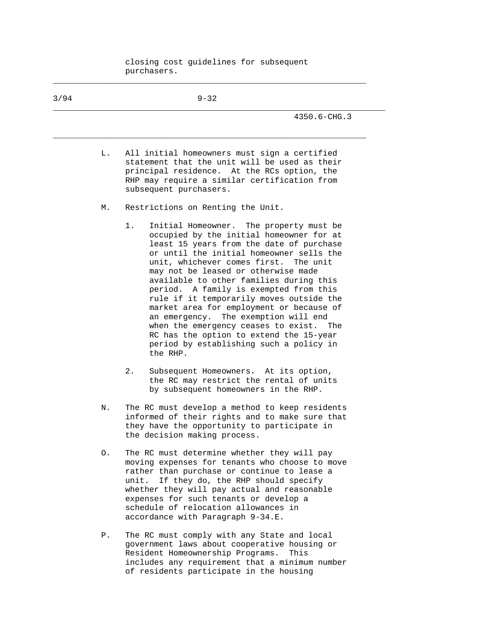closing cost guidelines for subsequent purchasers.

 $\_$  ,  $\_$  ,  $\_$  ,  $\_$  ,  $\_$  ,  $\_$  ,  $\_$  ,  $\_$  ,  $\_$  ,  $\_$  ,  $\_$  ,  $\_$  ,  $\_$  ,  $\_$  ,  $\_$  ,  $\_$  ,  $\_$  ,  $\_$  ,  $\_$  ,  $\_$  ,  $\_$  ,  $\_$  ,  $\_$  ,  $\_$  ,  $\_$  ,  $\_$  ,  $\_$  ,  $\_$  ,  $\_$  ,  $\_$  ,  $\_$  ,  $\_$  ,  $\_$  ,  $\_$  ,  $\_$  ,  $\_$  ,  $\_$  ,

| 3/94 |    | $9 - 32$                                                                                                                                                                                                                                                                                                                                                                                                                                                                                                                                                                                                                               |
|------|----|----------------------------------------------------------------------------------------------------------------------------------------------------------------------------------------------------------------------------------------------------------------------------------------------------------------------------------------------------------------------------------------------------------------------------------------------------------------------------------------------------------------------------------------------------------------------------------------------------------------------------------------|
|      |    | 4350.6-CHG.3                                                                                                                                                                                                                                                                                                                                                                                                                                                                                                                                                                                                                           |
|      | L. | All initial homeowners must sign a certified<br>statement that the unit will be used as their<br>principal residence. At the RCs option, the<br>RHP may require a similar certification from<br>subsequent purchasers.                                                                                                                                                                                                                                                                                                                                                                                                                 |
|      | М. | Restrictions on Renting the Unit.                                                                                                                                                                                                                                                                                                                                                                                                                                                                                                                                                                                                      |
|      |    | 1.<br>Initial Homeowner. The property must be<br>occupied by the initial homeowner for at<br>least 15 years from the date of purchase<br>or until the initial homeowner sells the<br>unit, whichever comes first. The unit<br>may not be leased or otherwise made<br>available to other families during this<br>period. A family is exempted from this<br>rule if it temporarily moves outside the<br>market area for employment or because of<br>an emergency. The exemption will end<br>when the emergency ceases to exist.<br>The<br>RC has the option to extend the 15-year<br>period by establishing such a policy in<br>the RHP. |
|      |    | 2.<br>Subsequent Homeowners. At its option,<br>the RC may restrict the rental of units<br>by subsequent homeowners in the RHP.                                                                                                                                                                                                                                                                                                                                                                                                                                                                                                         |
|      | N. | The RC must develop a method to keep residents<br>informed of their rights and to make sure that<br>they have the opportunity to participate in<br>the decision making process.                                                                                                                                                                                                                                                                                                                                                                                                                                                        |
|      | Ο. | The RC must determine whether they will pay<br>moving expenses for tenants who choose to move<br>rather than purchase or continue to lease a<br>unit. If they do, the RHP should specify<br>whether they will pay actual and reasonable<br>expenses for such tenants or develop a<br>schedule of relocation allowances in<br>accordance with Paragraph 9-34.E.                                                                                                                                                                                                                                                                         |
|      | Ρ. | The RC must comply with any State and local<br>government laws about cooperative housing or<br>Resident Homeownership Programs.<br>This                                                                                                                                                                                                                                                                                                                                                                                                                                                                                                |

includes any requirement that a minimum number

of residents participate in the housing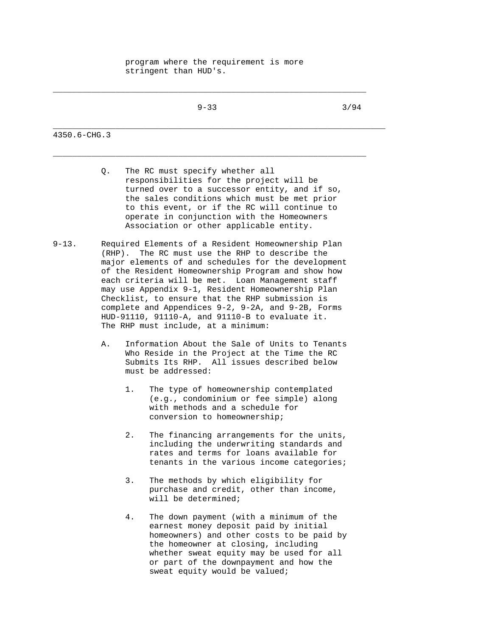program where the requirement is more stringent than HUD's.

 $\_$  ,  $\_$  ,  $\_$  ,  $\_$  ,  $\_$  ,  $\_$  ,  $\_$  ,  $\_$  ,  $\_$  ,  $\_$  ,  $\_$  ,  $\_$  ,  $\_$  ,  $\_$  ,  $\_$  ,  $\_$  ,  $\_$  ,  $\_$  ,  $\_$  ,  $\_$  ,  $\_$  ,  $\_$  ,  $\_$  ,  $\_$  ,  $\_$  ,  $\_$  ,  $\_$  ,  $\_$  ,  $\_$  ,  $\_$  ,  $\_$  ,  $\_$  ,  $\_$  ,  $\_$  ,  $\_$  ,  $\_$  ,  $\_$  ,

\_\_\_\_\_\_\_\_\_\_\_\_\_\_\_\_\_\_\_\_\_\_\_\_\_\_\_\_\_\_\_\_\_\_\_\_\_\_\_\_\_\_\_\_\_\_\_\_\_\_\_\_\_\_\_\_\_\_\_\_\_\_\_\_\_

\_\_\_\_\_\_\_\_\_\_\_\_\_\_\_\_\_\_\_\_\_\_\_\_\_\_\_\_\_\_\_\_\_\_\_\_\_\_\_\_\_\_\_\_\_\_\_\_\_\_\_\_\_\_\_\_\_\_\_\_\_\_\_\_\_\_\_\_\_ 4350.6-CHG.3

- Q. The RC must specify whether all responsibilities for the project will be turned over to a successor entity, and if so, the sales conditions which must be met prior to this event, or if the RC will continue to operate in conjunction with the Homeowners Association or other applicable entity.
- 9-13. Required Elements of a Resident Homeownership Plan (RHP). The RC must use the RHP to describe the major elements of and schedules for the development of the Resident Homeownership Program and show how each criteria will be met. Loan Management staff may use Appendix 9-1, Resident Homeownership Plan Checklist, to ensure that the RHP submission is complete and Appendices 9-2, 9-2A, and 9-2B, Forms HUD-91110, 91110-A, and 91110-B to evaluate it. The RHP must include, at a minimum:
	- A. Information About the Sale of Units to Tenants Who Reside in the Project at the Time the RC Submits Its RHP. All issues described below must be addressed:
		- 1. The type of homeownership contemplated (e.g., condominium or fee simple) along with methods and a schedule for conversion to homeownership;
		- 2. The financing arrangements for the units, including the underwriting standards and rates and terms for loans available for tenants in the various income categories;
		- 3. The methods by which eligibility for purchase and credit, other than income, will be determined;
		- 4. The down payment (with a minimum of the earnest money deposit paid by initial homeowners) and other costs to be paid by the homeowner at closing, including whether sweat equity may be used for all or part of the downpayment and how the sweat equity would be valued;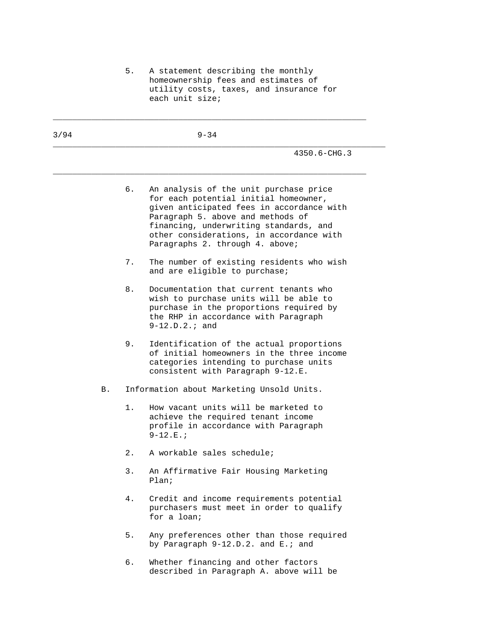5. A statement describing the monthly homeownership fees and estimates of utility costs, taxes, and insurance for each unit size;

| 3/94 |    | $9 - 34$                                                                                                                                                                                                                                                                                         |
|------|----|--------------------------------------------------------------------------------------------------------------------------------------------------------------------------------------------------------------------------------------------------------------------------------------------------|
|      |    | 4350.6-CHG.3                                                                                                                                                                                                                                                                                     |
|      |    | б.<br>An analysis of the unit purchase price<br>for each potential initial homeowner,<br>given anticipated fees in accordance with<br>Paragraph 5. above and methods of<br>financing, underwriting standards, and<br>other considerations, in accordance with<br>Paragraphs 2. through 4. above; |
|      |    | 7.<br>The number of existing residents who wish<br>and are eligible to purchase;                                                                                                                                                                                                                 |
|      |    | 8.<br>Documentation that current tenants who<br>wish to purchase units will be able to<br>purchase in the proportions required by<br>the RHP in accordance with Paragraph<br>$9-12.D.2.i and$                                                                                                    |
|      |    | 9.<br>Identification of the actual proportions<br>of initial homeowners in the three income<br>categories intending to purchase units<br>consistent with Paragraph 9-12.E.                                                                                                                       |
|      | B. | Information about Marketing Unsold Units.                                                                                                                                                                                                                                                        |
|      |    | How vacant units will be marketed to<br>$1$ .<br>achieve the required tenant income<br>profile in accordance with Paragraph<br>$9 - 12.E.$                                                                                                                                                       |
|      |    | 2.<br>A workable sales schedule;                                                                                                                                                                                                                                                                 |
|      |    | An Affirmative Fair Housing Marketing<br>3.<br>Plan <sub>i</sub>                                                                                                                                                                                                                                 |
|      |    | 4.<br>Credit and income requirements potential<br>purchasers must meet in order to qualify<br>for a loan;                                                                                                                                                                                        |
|      |    | 5.<br>Any preferences other than those required<br>by Paragraph 9-12.D.2. and E.; and                                                                                                                                                                                                            |
|      |    | Whether financing and other factors<br>б.                                                                                                                                                                                                                                                        |

described in Paragraph A. above will be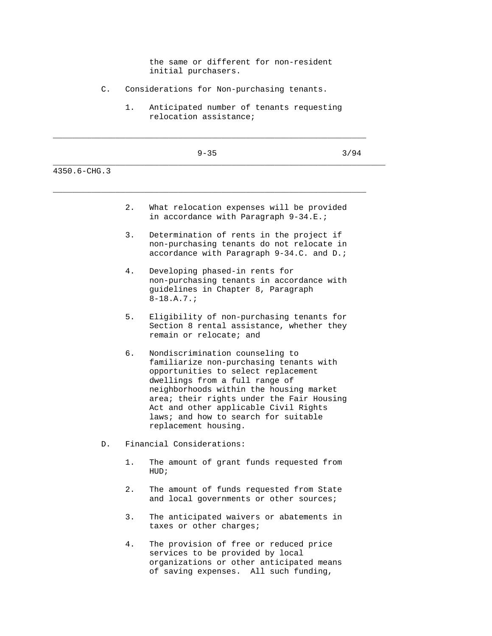|              | the same or different for non-resident                                                                                                                                                                                                                                                                                                                     |  |
|--------------|------------------------------------------------------------------------------------------------------------------------------------------------------------------------------------------------------------------------------------------------------------------------------------------------------------------------------------------------------------|--|
|              | initial purchasers.                                                                                                                                                                                                                                                                                                                                        |  |
| $C$ .        | Considerations for Non-purchasing tenants.                                                                                                                                                                                                                                                                                                                 |  |
|              | 1.<br>Anticipated number of tenants requesting<br>relocation assistance;                                                                                                                                                                                                                                                                                   |  |
|              | $9 - 35$<br>3/94                                                                                                                                                                                                                                                                                                                                           |  |
| 4350.6-CHG.3 |                                                                                                                                                                                                                                                                                                                                                            |  |
|              | 2.<br>What relocation expenses will be provided<br>in accordance with Paragraph 9-34.E.;                                                                                                                                                                                                                                                                   |  |
|              | 3.<br>Determination of rents in the project if<br>non-purchasing tenants do not relocate in<br>accordance with Paragraph 9-34.C. and D.;                                                                                                                                                                                                                   |  |
|              | 4.<br>Developing phased-in rents for<br>non-purchasing tenants in accordance with<br>guidelines in Chapter 8, Paragraph<br>$8 - 18.A.7.7$                                                                                                                                                                                                                  |  |
|              | 5.<br>Eligibility of non-purchasing tenants for<br>Section 8 rental assistance, whether they<br>remain or relocate; and                                                                                                                                                                                                                                    |  |
|              | б.<br>Nondiscrimination counseling to<br>familiarize non-purchasing tenants with<br>opportunities to select replacement<br>dwellings from a full range of<br>neighborhoods within the housing market<br>area; their rights under the Fair Housing<br>Act and other applicable Civil Rights<br>laws; and how to search for suitable<br>replacement housing. |  |
| $D$ .        | Financial Considerations:                                                                                                                                                                                                                                                                                                                                  |  |
|              | 1.<br>The amount of grant funds requested from<br>HUD;                                                                                                                                                                                                                                                                                                     |  |
|              | $2$ .<br>The amount of funds requested from State<br>and local governments or other sources;                                                                                                                                                                                                                                                               |  |
|              | 3.<br>The anticipated waivers or abatements in<br>taxes or other charges;                                                                                                                                                                                                                                                                                  |  |
|              | 4.<br>The provision of free or reduced price<br>services to be provided by local<br>organizations or other anticipated means<br>of saving expenses. All such funding,                                                                                                                                                                                      |  |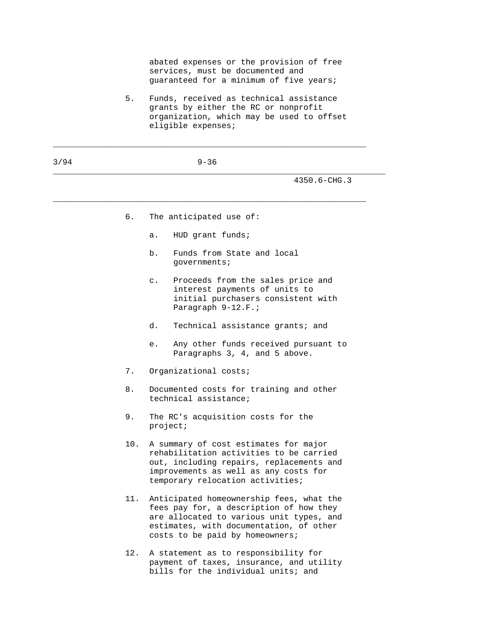abated expenses or the provision of free services, must be documented and guaranteed for a minimum of five years;

 5. Funds, received as technical assistance grants by either the RC or nonprofit organization, which may be used to offset eligible expenses;

\_\_\_\_\_\_\_\_\_\_\_\_\_\_\_\_\_\_\_\_\_\_\_\_\_\_\_\_\_\_\_\_\_\_\_\_\_\_\_\_\_\_\_\_\_\_\_\_\_\_\_\_\_\_\_\_\_\_\_\_\_\_\_\_\_

| 3/94 |     | $9 - 36$                                                                                                                                                                                                      |
|------|-----|---------------------------------------------------------------------------------------------------------------------------------------------------------------------------------------------------------------|
|      |     | 4350.6-CHG.3                                                                                                                                                                                                  |
|      | б.  | The anticipated use of:                                                                                                                                                                                       |
|      |     | HUD grant funds;<br>$a$ .                                                                                                                                                                                     |
|      |     | Funds from State and local<br>b.<br>governments;                                                                                                                                                              |
|      |     | Proceeds from the sales price and<br>$\mathsf{C}$ .<br>interest payments of units to<br>initial purchasers consistent with<br>Paragraph 9-12.F.;                                                              |
|      |     | d.<br>Technical assistance grants; and                                                                                                                                                                        |
|      |     | Any other funds received pursuant to<br>е.<br>Paragraphs 3, 4, and 5 above.                                                                                                                                   |
|      | 7.  | Organizational costs;                                                                                                                                                                                         |
|      | 8.  | Documented costs for training and other<br>technical assistance;                                                                                                                                              |
|      | 9.  | The RC's acquisition costs for the<br>project:                                                                                                                                                                |
|      | 10. | A summary of cost estimates for major<br>rehabilitation activities to be carried<br>out, including repairs, replacements and<br>improvements as well as any costs for<br>temporary relocation activities;     |
|      | 11. | Anticipated homeownership fees, what the<br>fees pay for, a description of how they<br>are allocated to various unit types, and<br>estimates, with documentation, of other<br>costs to be paid by homeowners; |
|      | 12. | A statement as to responsibility for                                                                                                                                                                          |

 payment of taxes, insurance, and utility bills for the individual units; and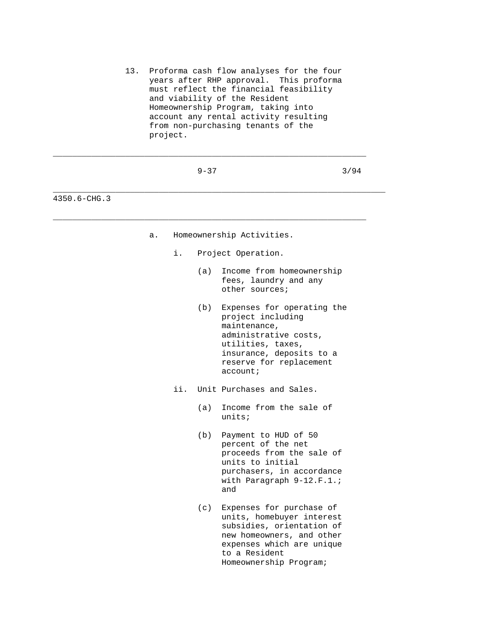13. Proforma cash flow analyses for the four years after RHP approval. This proforma must reflect the financial feasibility and viability of the Resident Homeownership Program, taking into account any rental activity resulting from non-purchasing tenants of the project.

\_\_\_\_\_\_\_\_\_\_\_\_\_\_\_\_\_\_\_\_\_\_\_\_\_\_\_\_\_\_\_\_\_\_\_\_\_\_\_\_\_\_\_\_\_\_\_\_\_\_\_\_\_\_\_\_\_\_\_\_\_\_\_\_\_

|              |    |                          | $9 - 37$ |                                                                                                                                                                                         | 3/94 |
|--------------|----|--------------------------|----------|-----------------------------------------------------------------------------------------------------------------------------------------------------------------------------------------|------|
| 4350.6-CHG.3 |    |                          |          |                                                                                                                                                                                         |      |
|              | a. |                          |          | Homeownership Activities.                                                                                                                                                               |      |
|              |    | i.<br>Project Operation. |          |                                                                                                                                                                                         |      |
|              |    |                          | (a)      | Income from homeownership<br>fees, laundry and any<br>other sources;                                                                                                                    |      |
|              |    |                          | (b)      | Expenses for operating the<br>project including<br>maintenance,<br>administrative costs,<br>utilities, taxes,<br>insurance, deposits to a<br>reserve for replacement<br>account:        |      |
|              |    | ii. I                    |          | Unit Purchases and Sales.                                                                                                                                                               |      |
|              |    |                          | (a)      | Income from the sale of<br>units:                                                                                                                                                       |      |
|              |    |                          | (b)      | Payment to HUD of 50<br>percent of the net<br>proceeds from the sale of<br>units to initial<br>purchasers, in accordance<br>with Paragraph 9-12.F.1.;<br>and                            |      |
|              |    |                          | (c)      | Expenses for purchase of<br>units, homebuyer interest<br>subsidies, orientation of<br>new homeowners, and other<br>expenses which are unique<br>to a Resident<br>Homeownership Program; |      |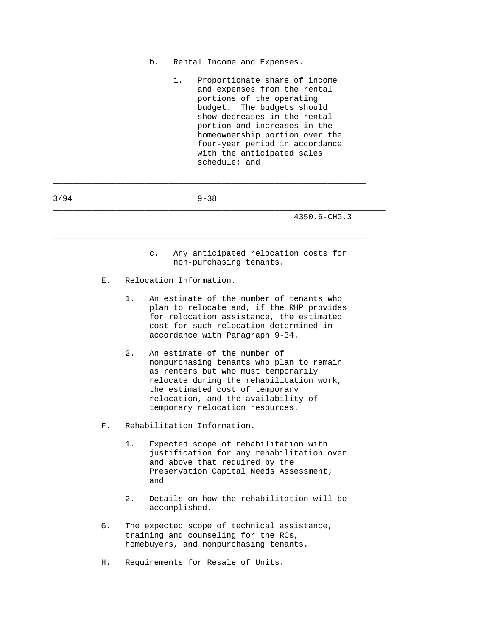- b. Rental Income and Expenses.
	- i. Proportionate share of income and expenses from the rental portions of the operating budget. The budgets should show decreases in the rental portion and increases in the homeownership portion over the four-year period in accordance with the anticipated sales schedule; and
- 3/94 9-38

 $\_$  ,  $\_$  ,  $\_$  ,  $\_$  ,  $\_$  ,  $\_$  ,  $\_$  ,  $\_$  ,  $\_$  ,  $\_$  ,  $\_$  ,  $\_$  ,  $\_$  ,  $\_$  ,  $\_$  ,  $\_$  ,  $\_$  ,  $\_$  ,  $\_$  ,  $\_$  ,  $\_$  ,  $\_$  ,  $\_$  ,  $\_$  ,  $\_$  ,  $\_$  ,  $\_$  ,  $\_$  ,  $\_$  ,  $\_$  ,  $\_$  ,  $\_$  ,  $\_$  ,  $\_$  ,  $\_$  ,  $\_$  ,  $\_$  ,

\_\_\_\_\_\_\_\_\_\_\_\_\_\_\_\_\_\_\_\_\_\_\_\_\_\_\_\_\_\_\_\_\_\_\_\_\_\_\_\_\_\_\_\_\_\_\_\_\_\_\_\_\_\_\_\_\_\_\_\_\_\_\_\_\_

\_\_\_\_\_\_\_\_\_\_\_\_\_\_\_\_\_\_\_\_\_\_\_\_\_\_\_\_\_\_\_\_\_\_\_\_\_\_\_\_\_\_\_\_\_\_\_\_\_\_\_\_\_\_\_\_\_\_\_\_\_\_\_\_\_\_\_\_\_

- c. Any anticipated relocation costs for non-purchasing tenants.
- E. Relocation Information.
	- 1. An estimate of the number of tenants who plan to relocate and, if the RHP provides for relocation assistance, the estimated cost for such relocation determined in accordance with Paragraph 9-34.
	- 2. An estimate of the number of nonpurchasing tenants who plan to remain as renters but who must temporarily relocate during the rehabilitation work, the estimated cost of temporary relocation, and the availability of temporary relocation resources.
- F. Rehabilitation Information.
	- 1. Expected scope of rehabilitation with justification for any rehabilitation over and above that required by the Preservation Capital Needs Assessment; and
	- 2. Details on how the rehabilitation will be accomplished.
- G. The expected scope of technical assistance, training and counseling for the RCs, homebuyers, and nonpurchasing tenants.
- H. Requirements for Resale of Units.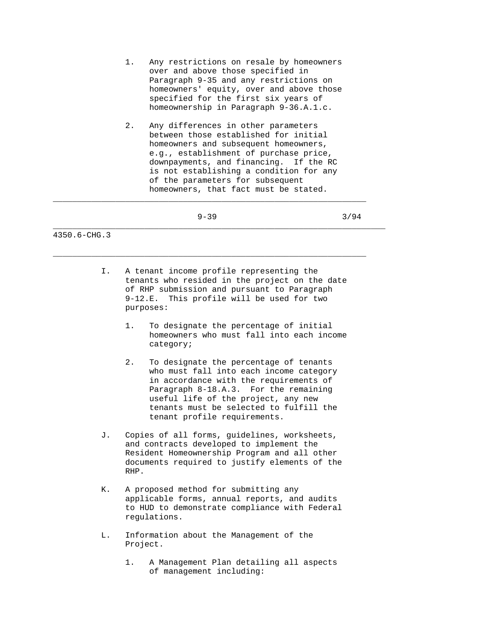- 1. Any restrictions on resale by homeowners over and above those specified in Paragraph 9-35 and any restrictions on homeowners' equity, over and above those specified for the first six years of homeownership in Paragraph 9-36.A.1.c.
- 2. Any differences in other parameters between those established for initial homeowners and subsequent homeowners, e.g., establishment of purchase price, downpayments, and financing. If the RC is not establishing a condition for any of the parameters for subsequent homeowners, that fact must be stated.

 $\_$  ,  $\_$  ,  $\_$  ,  $\_$  ,  $\_$  ,  $\_$  ,  $\_$  ,  $\_$  ,  $\_$  ,  $\_$  ,  $\_$  ,  $\_$  ,  $\_$  ,  $\_$  ,  $\_$  ,  $\_$  ,  $\_$  ,  $\_$  ,  $\_$  ,  $\_$  ,  $\_$  ,  $\_$  ,  $\_$  ,  $\_$  ,  $\_$  ,  $\_$  ,  $\_$  ,  $\_$  ,  $\_$  ,  $\_$  ,  $\_$  ,  $\_$  ,  $\_$  ,  $\_$  ,  $\_$  ,  $\_$  ,  $\_$  ,

\_\_\_\_\_\_\_\_\_\_\_\_\_\_\_\_\_\_\_\_\_\_\_\_\_\_\_\_\_\_\_\_\_\_\_\_\_\_\_\_\_\_\_\_\_\_\_\_\_\_\_\_\_\_\_\_\_\_\_\_\_\_\_\_\_\_\_\_\_

- $9-39$   $3/94$ 
	- I. A tenant income profile representing the tenants who resided in the project on the date of RHP submission and pursuant to Paragraph 9-12.E. This profile will be used for two purposes:
		- 1. To designate the percentage of initial homeowners who must fall into each income category;
		- 2. To designate the percentage of tenants who must fall into each income category in accordance with the requirements of Paragraph 8-18.A.3. For the remaining useful life of the project, any new tenants must be selected to fulfill the tenant profile requirements.
	- J. Copies of all forms, guidelines, worksheets, and contracts developed to implement the Resident Homeownership Program and all other documents required to justify elements of the RHP.
	- K. A proposed method for submitting any applicable forms, annual reports, and audits to HUD to demonstrate compliance with Federal regulations.
	- L. Information about the Management of the Project.
		- 1. A Management Plan detailing all aspects of management including: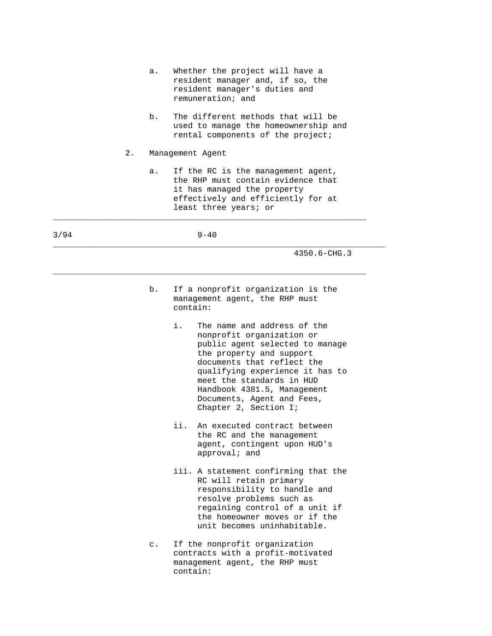|      |       | а. | Whether the project will have a<br>resident manager and, if so, the<br>resident manager's duties and<br>remuneration; and                                                                                                                                                                                         |
|------|-------|----|-------------------------------------------------------------------------------------------------------------------------------------------------------------------------------------------------------------------------------------------------------------------------------------------------------------------|
|      |       | b. | The different methods that will be<br>used to manage the homeownership and<br>rental components of the project;                                                                                                                                                                                                   |
|      | $2$ . |    | Management Agent                                                                                                                                                                                                                                                                                                  |
|      |       | а. | If the RC is the management agent,<br>the RHP must contain evidence that<br>it has managed the property<br>effectively and efficiently for at<br>least three years; or                                                                                                                                            |
| 3/94 |       |    | $9 - 40$                                                                                                                                                                                                                                                                                                          |
|      |       |    | 4350.6-CHG.3                                                                                                                                                                                                                                                                                                      |
|      |       | b. | If a nonprofit organization is the<br>management agent, the RHP must<br>contain:                                                                                                                                                                                                                                  |
|      |       |    | i.<br>The name and address of the<br>nonprofit organization or<br>public agent selected to manage<br>the property and support<br>documents that reflect the<br>qualifying experience it has to<br>meet the standards in HUD<br>Handbook 4381.5, Management<br>Documents, Agent and Fees,<br>Chapter 2, Section I; |
|      |       |    | ii.<br>An executed contract between<br>the RC and the management<br>agent, contingent upon HUD's<br>approval; and                                                                                                                                                                                                 |
|      |       |    | iii. A statement confirming that the<br>RC will retain primary<br>responsibility to handle and<br>resolve problems such as<br>regaining control of a unit if<br>the homeowner moves or if the<br>unit becomes uninhabitable.                                                                                      |
|      |       | с. | If the nonprofit organization<br>contracts with a profit-motivated<br>management agent, the RHP must<br>contain:                                                                                                                                                                                                  |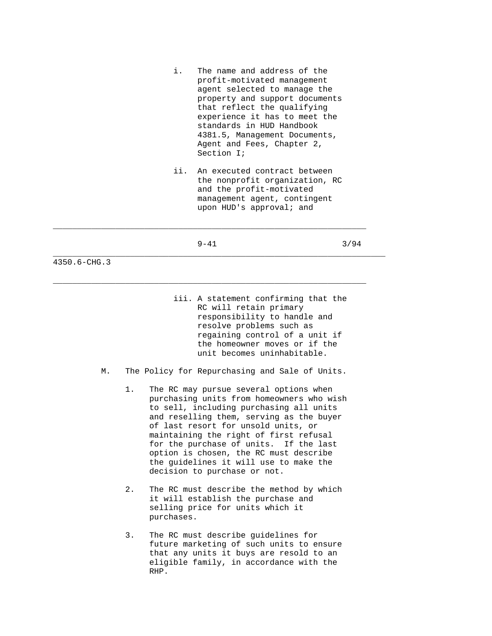- i. The name and address of the profit-motivated management agent selected to manage the property and support documents that reflect the qualifying experience it has to meet the standards in HUD Handbook 4381.5, Management Documents, Agent and Fees, Chapter 2, Section I;
- ii. An executed contract between the nonprofit organization, RC and the profit-motivated management agent, contingent upon HUD's approval; and

 $\_$  ,  $\_$  ,  $\_$  ,  $\_$  ,  $\_$  ,  $\_$  ,  $\_$  ,  $\_$  ,  $\_$  ,  $\_$  ,  $\_$  ,  $\_$  ,  $\_$  ,  $\_$  ,  $\_$  ,  $\_$  ,  $\_$  ,  $\_$  ,  $\_$  ,  $\_$  ,  $\_$  ,  $\_$  ,  $\_$  ,  $\_$  ,  $\_$  ,  $\_$  ,  $\_$  ,  $\_$  ,  $\_$  ,  $\_$  ,  $\_$  ,  $\_$  ,  $\_$  ,  $\_$  ,  $\_$  ,  $\_$  ,  $\_$  ,

\_\_\_\_\_\_\_\_\_\_\_\_\_\_\_\_\_\_\_\_\_\_\_\_\_\_\_\_\_\_\_\_\_\_\_\_\_\_\_\_\_\_\_\_\_\_\_\_\_\_\_\_\_\_\_\_\_\_\_\_\_\_\_\_\_

\_\_\_\_\_\_\_\_\_\_\_\_\_\_\_\_\_\_\_\_\_\_\_\_\_\_\_\_\_\_\_\_\_\_\_\_\_\_\_\_\_\_\_\_\_\_\_\_\_\_\_\_\_\_\_\_\_\_\_\_\_\_\_\_\_\_\_\_\_

 $9-41$  3/94

- iii. A statement confirming that the RC will retain primary responsibility to handle and resolve problems such as regaining control of a unit if the homeowner moves or if the unit becomes uninhabitable.
- M. The Policy for Repurchasing and Sale of Units.
	- 1. The RC may pursue several options when purchasing units from homeowners who wish to sell, including purchasing all units and reselling them, serving as the buyer of last resort for unsold units, or maintaining the right of first refusal for the purchase of units. If the last option is chosen, the RC must describe the guidelines it will use to make the decision to purchase or not.
	- 2. The RC must describe the method by which it will establish the purchase and selling price for units which it purchases.
	- 3. The RC must describe guidelines for future marketing of such units to ensure that any units it buys are resold to an eligible family, in accordance with the RHP.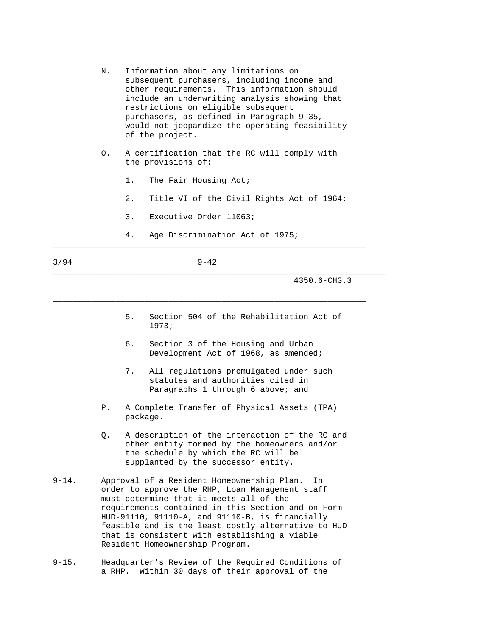| N. Information about any limitations on        |
|------------------------------------------------|
| subsequent purchasers, including income and    |
| other requirements. This information should    |
| include an underwriting analysis showing that  |
| restrictions on eligible subsequent            |
| purchasers, as defined in Paragraph 9-35,      |
| would not jeopardize the operating feasibility |
| of the project.                                |

- O. A certification that the RC will comply with the provisions of:
	- 1. The Fair Housing Act;
	- 2. Title VI of the Civil Rights Act of 1964;
	- 3. Executive Order 11063;
- 4. Age Discrimination Act of 1975; \_\_\_\_\_\_\_\_\_\_\_\_\_\_\_\_\_\_\_\_\_\_\_\_\_\_\_\_\_\_\_\_\_\_\_\_\_\_\_\_\_\_\_\_\_\_\_\_\_\_\_\_\_\_\_\_\_\_\_\_\_\_\_\_\_

 $3/94$  9-42

 $\_$  ,  $\_$  ,  $\_$  ,  $\_$  ,  $\_$  ,  $\_$  ,  $\_$  ,  $\_$  ,  $\_$  ,  $\_$  ,  $\_$  ,  $\_$  ,  $\_$  ,  $\_$  ,  $\_$  ,  $\_$  ,  $\_$  ,  $\_$  ,  $\_$  ,  $\_$  ,  $\_$  ,  $\_$  ,  $\_$  ,  $\_$  ,  $\_$  ,  $\_$  ,  $\_$  ,  $\_$  ,  $\_$  ,  $\_$  ,  $\_$  ,  $\_$  ,  $\_$  ,  $\_$  ,  $\_$  ,  $\_$  ,  $\_$  ,

\_\_\_\_\_\_\_\_\_\_\_\_\_\_\_\_\_\_\_\_\_\_\_\_\_\_\_\_\_\_\_\_\_\_\_\_\_\_\_\_\_\_\_\_\_\_\_\_\_\_\_\_\_\_\_\_\_\_\_\_\_\_\_\_\_\_\_\_\_

- 5. Section 504 of the Rehabilitation Act of 1973;
- 6. Section 3 of the Housing and Urban Development Act of 1968, as amended;
- 7. All regulations promulgated under such statutes and authorities cited in Paragraphs 1 through 6 above; and
- P. A Complete Transfer of Physical Assets (TPA) package.
- Q. A description of the interaction of the RC and other entity formed by the homeowners and/or the schedule by which the RC will be supplanted by the successor entity.
- 9-14. Approval of a Resident Homeownership Plan. In order to approve the RHP, Loan Management staff must determine that it meets all of the requirements contained in this Section and on Form HUD-91110, 91110-A, and 91110-B, is financially feasible and is the least costly alternative to HUD that is consistent with establishing a viable Resident Homeownership Program.
- 9-15. Headquarter's Review of the Required Conditions of a RHP. Within 30 days of their approval of the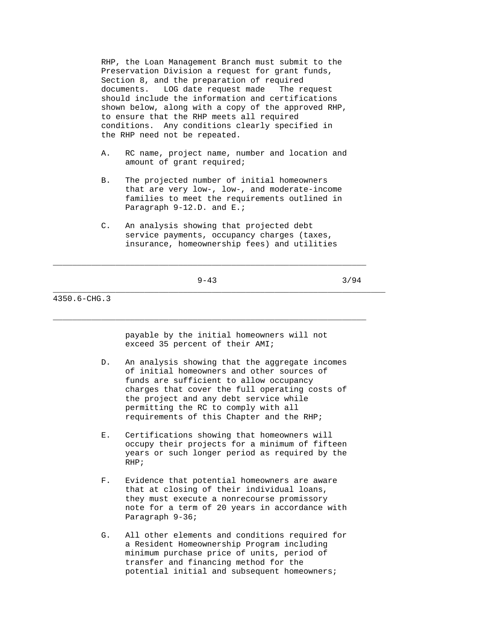RHP, the Loan Management Branch must submit to the Preservation Division a request for grant funds, Section 8, and the preparation of required documents. LOG date request made The request should include the information and certifications shown below, along with a copy of the approved RHP, to ensure that the RHP meets all required conditions. Any conditions clearly specified in the RHP need not be repeated.

- A. RC name, project name, number and location and amount of grant required;
- B. The projected number of initial homeowners that are very low-, low-, and moderate-income families to meet the requirements outlined in Paragraph 9-12.D. and E.;
- C. An analysis showing that projected debt service payments, occupancy charges (taxes, insurance, homeownership fees) and utilities

\_\_\_\_\_\_\_\_\_\_\_\_\_\_\_\_\_\_\_\_\_\_\_\_\_\_\_\_\_\_\_\_\_\_\_\_\_\_\_\_\_\_\_\_\_\_\_\_\_\_\_\_\_\_\_\_\_\_\_\_\_\_\_\_\_\_\_\_\_

 $9-43$   $3/94$ 

 $\_$  ,  $\_$  ,  $\_$  ,  $\_$  ,  $\_$  ,  $\_$  ,  $\_$  ,  $\_$  ,  $\_$  ,  $\_$  ,  $\_$  ,  $\_$  ,  $\_$  ,  $\_$  ,  $\_$  ,  $\_$  ,  $\_$  ,  $\_$  ,  $\_$  ,  $\_$  ,  $\_$  ,  $\_$  ,  $\_$  ,  $\_$  ,  $\_$  ,  $\_$  ,  $\_$  ,  $\_$  ,  $\_$  ,  $\_$  ,  $\_$  ,  $\_$  ,  $\_$  ,  $\_$  ,  $\_$  ,  $\_$  ,  $\_$  ,

 $\_$  ,  $\_$  ,  $\_$  ,  $\_$  ,  $\_$  ,  $\_$  ,  $\_$  ,  $\_$  ,  $\_$  ,  $\_$  ,  $\_$  ,  $\_$  ,  $\_$  ,  $\_$  ,  $\_$  ,  $\_$  ,  $\_$  ,  $\_$  ,  $\_$  ,  $\_$  ,  $\_$  ,  $\_$  ,  $\_$  ,  $\_$  ,  $\_$  ,  $\_$  ,  $\_$  ,  $\_$  ,  $\_$  ,  $\_$  ,  $\_$  ,  $\_$  ,  $\_$  ,  $\_$  ,  $\_$  ,  $\_$  ,  $\_$  ,

4350.6-CHG.3

 payable by the initial homeowners will not exceed 35 percent of their AMI;

- D. An analysis showing that the aggregate incomes of initial homeowners and other sources of funds are sufficient to allow occupancy charges that cover the full operating costs of the project and any debt service while permitting the RC to comply with all requirements of this Chapter and the RHP;
- E. Certifications showing that homeowners will occupy their projects for a minimum of fifteen years or such longer period as required by the RHP;
- F. Evidence that potential homeowners are aware that at closing of their individual loans, they must execute a nonrecourse promissory note for a term of 20 years in accordance with Paragraph 9-36;
- G. All other elements and conditions required for a Resident Homeownership Program including minimum purchase price of units, period of transfer and financing method for the potential initial and subsequent homeowners;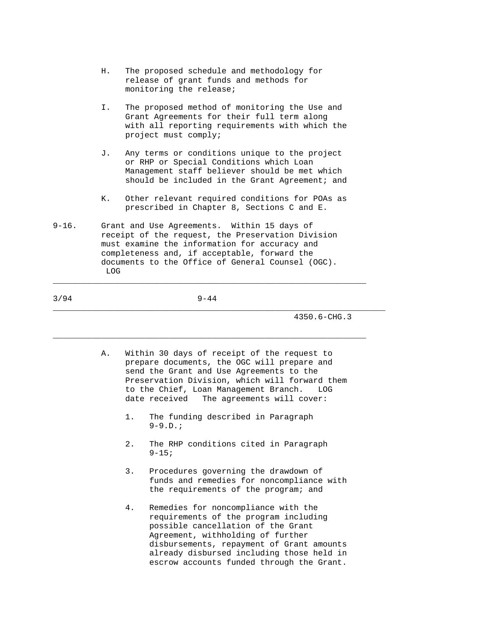- H. The proposed schedule and methodology for release of grant funds and methods for monitoring the release;
- I. The proposed method of monitoring the Use and Grant Agreements for their full term along with all reporting requirements with which the project must comply;
- J. Any terms or conditions unique to the project or RHP or Special Conditions which Loan Management staff believer should be met which should be included in the Grant Agreement; and
- K. Other relevant required conditions for POAs as prescribed in Chapter 8, Sections C and E.
- 9-16. Grant and Use Agreements. Within 15 days of receipt of the request, the Preservation Division must examine the information for accuracy and completeness and, if acceptable, forward the documents to the Office of General Counsel (OGC). LOG

## 3/94 9-44

 $\_$  ,  $\_$  ,  $\_$  ,  $\_$  ,  $\_$  ,  $\_$  ,  $\_$  ,  $\_$  ,  $\_$  ,  $\_$  ,  $\_$  ,  $\_$  ,  $\_$  ,  $\_$  ,  $\_$  ,  $\_$  ,  $\_$  ,  $\_$  ,  $\_$  ,  $\_$  ,  $\_$  ,  $\_$  ,  $\_$  ,  $\_$  ,  $\_$  ,  $\_$  ,  $\_$  ,  $\_$  ,  $\_$  ,  $\_$  ,  $\_$  ,  $\_$  ,  $\_$  ,  $\_$  ,  $\_$  ,  $\_$  ,  $\_$  ,

\_\_\_\_\_\_\_\_\_\_\_\_\_\_\_\_\_\_\_\_\_\_\_\_\_\_\_\_\_\_\_\_\_\_\_\_\_\_\_\_\_\_\_\_\_\_\_\_\_\_\_\_\_\_\_\_\_\_\_\_\_\_\_\_\_\_\_\_\_

\_\_\_\_\_\_\_\_\_\_\_\_\_\_\_\_\_\_\_\_\_\_\_\_\_\_\_\_\_\_\_\_\_\_\_\_\_\_\_\_\_\_\_\_\_\_\_\_\_\_\_\_\_\_\_\_\_\_\_\_\_\_\_\_\_

- A. Within 30 days of receipt of the request to prepare documents, the OGC will prepare and send the Grant and Use Agreements to the Preservation Division, which will forward them to the Chief, Loan Management Branch. LOG date received The agreements will cover:
	- 1. The funding described in Paragraph  $9-9.D.;$
	- 2. The RHP conditions cited in Paragraph  $9 - 15;$
	- 3. Procedures governing the drawdown of funds and remedies for noncompliance with the requirements of the program; and
	- 4. Remedies for noncompliance with the requirements of the program including possible cancellation of the Grant Agreement, withholding of further disbursements, repayment of Grant amounts already disbursed including those held in escrow accounts funded through the Grant.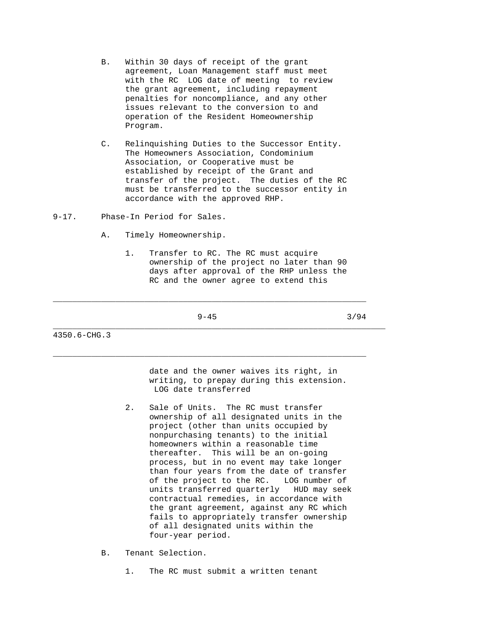- B. Within 30 days of receipt of the grant agreement, Loan Management staff must meet with the RC LOG date of meeting to review the grant agreement, including repayment penalties for noncompliance, and any other issues relevant to the conversion to and operation of the Resident Homeownership Program.
- C. Relinquishing Duties to the Successor Entity. The Homeowners Association, Condominium Association, or Cooperative must be established by receipt of the Grant and transfer of the project. The duties of the RC must be transferred to the successor entity in accordance with the approved RHP.
- 9-17. Phase-In Period for Sales.
	- A. Timely Homeownership.
		- 1. Transfer to RC. The RC must acquire ownership of the project no later than 90 days after approval of the RHP unless the RC and the owner agree to extend this

 $\_$  ,  $\_$  ,  $\_$  ,  $\_$  ,  $\_$  ,  $\_$  ,  $\_$  ,  $\_$  ,  $\_$  ,  $\_$  ,  $\_$  ,  $\_$  ,  $\_$  ,  $\_$  ,  $\_$  ,  $\_$  ,  $\_$  ,  $\_$  ,  $\_$  ,  $\_$  ,  $\_$  ,  $\_$  ,  $\_$  ,  $\_$  ,  $\_$  ,  $\_$  ,  $\_$  ,  $\_$  ,  $\_$  ,  $\_$  ,  $\_$  ,  $\_$  ,  $\_$  ,  $\_$  ,  $\_$  ,  $\_$  ,  $\_$  ,

 $\_$  ,  $\_$  ,  $\_$  ,  $\_$  ,  $\_$  ,  $\_$  ,  $\_$  ,  $\_$  ,  $\_$  ,  $\_$  ,  $\_$  ,  $\_$  ,  $\_$  ,  $\_$  ,  $\_$  ,  $\_$  ,  $\_$  ,  $\_$  ,  $\_$  ,  $\_$  ,  $\_$  ,  $\_$  ,  $\_$  ,  $\_$  ,  $\_$  ,  $\_$  ,  $\_$  ,  $\_$  ,  $\_$  ,  $\_$  ,  $\_$  ,  $\_$  ,  $\_$  ,  $\_$  ,  $\_$  ,  $\_$  ,  $\_$  ,

\_\_\_\_\_\_\_\_\_\_\_\_\_\_\_\_\_\_\_\_\_\_\_\_\_\_\_\_\_\_\_\_\_\_\_\_\_\_\_\_\_\_\_\_\_\_\_\_\_\_\_\_\_\_\_\_\_\_\_\_\_\_\_\_\_\_\_\_\_

 $9-45$  3/94

4350.6-CHG.3

 date and the owner waives its right, in writing, to prepay during this extension. LOG date transferred

- 2. Sale of Units. The RC must transfer ownership of all designated units in the project (other than units occupied by nonpurchasing tenants) to the initial homeowners within a reasonable time thereafter. This will be an on-going process, but in no event may take longer than four years from the date of transfer of the project to the RC. LOG number of units transferred quarterly HUD may seek contractual remedies, in accordance with the grant agreement, against any RC which fails to appropriately transfer ownership of all designated units within the four-year period.
- B. Tenant Selection.
	- 1. The RC must submit a written tenant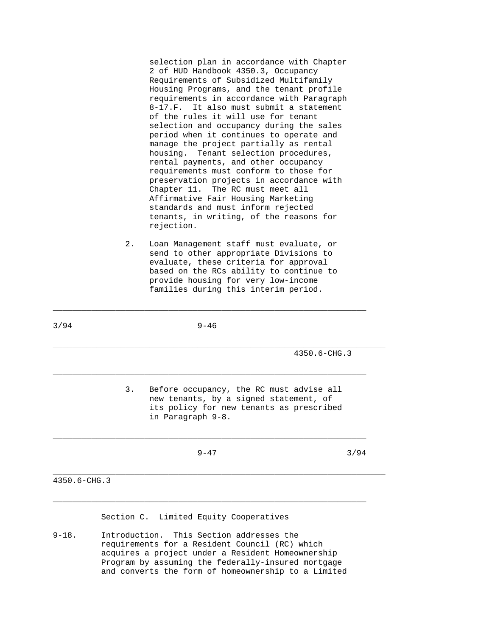selection plan in accordance with Chapter 2 of HUD Handbook 4350.3, Occupancy Requirements of Subsidized Multifamily Housing Programs, and the tenant profile requirements in accordance with Paragraph 8-17.F. It also must submit a statement of the rules it will use for tenant selection and occupancy during the sales period when it continues to operate and manage the project partially as rental housing. Tenant selection procedures, rental payments, and other occupancy requirements must conform to those for preservation projects in accordance with Chapter 11. The RC must meet all Affirmative Fair Housing Marketing standards and must inform rejected tenants, in writing, of the reasons for rejection.

 2. Loan Management staff must evaluate, or send to other appropriate Divisions to evaluate, these criteria for approval based on the RCs ability to continue to provide housing for very low-income families during this interim period.

| $4350.6 - CHG.3$                                                                                                                                          |      |  |
|-----------------------------------------------------------------------------------------------------------------------------------------------------------|------|--|
| 3.<br>Before occupancy, the RC must advise all<br>new tenants, by a signed statement, of<br>its policy for new tenants as prescribed<br>in Paragraph 9-8. |      |  |
| $9 - 47$                                                                                                                                                  | 3/94 |  |

 $\_$  ,  $\_$  ,  $\_$  ,  $\_$  ,  $\_$  ,  $\_$  ,  $\_$  ,  $\_$  ,  $\_$  ,  $\_$  ,  $\_$  ,  $\_$  ,  $\_$  ,  $\_$  ,  $\_$  ,  $\_$  ,  $\_$  ,  $\_$  ,  $\_$  ,  $\_$  ,  $\_$  ,  $\_$  ,  $\_$  ,  $\_$  ,  $\_$  ,  $\_$  ,  $\_$  ,  $\_$  ,  $\_$  ,  $\_$  ,  $\_$  ,  $\_$  ,  $\_$  ,  $\_$  ,  $\_$  ,  $\_$  ,  $\_$  ,

 $3/94$  9-46

Section C. Limited Equity Cooperatives

\_\_\_\_\_\_\_\_\_\_\_\_\_\_\_\_\_\_\_\_\_\_\_\_\_\_\_\_\_\_\_\_\_\_\_\_\_\_\_\_\_\_\_\_\_\_\_\_\_\_\_\_\_\_\_\_\_\_\_\_\_\_\_\_\_

9-18. Introduction. This Section addresses the requirements for a Resident Council (RC) which acquires a project under a Resident Homeownership Program by assuming the federally-insured mortgage and converts the form of homeownership to a Limited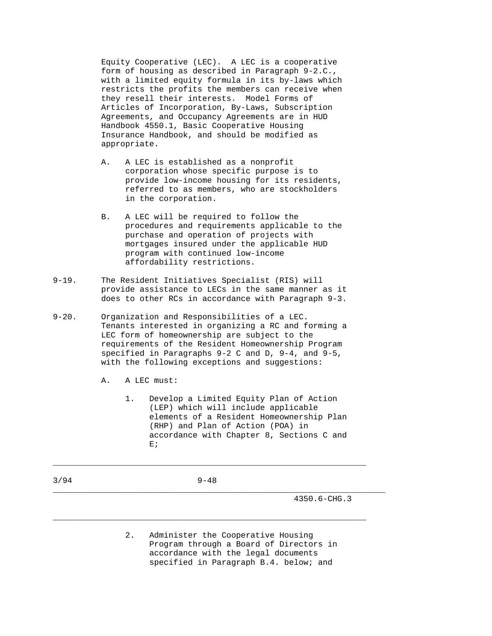Equity Cooperative (LEC). A LEC is a cooperative form of housing as described in Paragraph 9-2.C., with a limited equity formula in its by-laws which restricts the profits the members can receive when they resell their interests. Model Forms of Articles of Incorporation, By-Laws, Subscription Agreements, and Occupancy Agreements are in HUD Handbook 4550.1, Basic Cooperative Housing Insurance Handbook, and should be modified as appropriate.

- A. A LEC is established as a nonprofit corporation whose specific purpose is to provide low-income housing for its residents, referred to as members, who are stockholders in the corporation.
- B. A LEC will be required to follow the procedures and requirements applicable to the purchase and operation of projects with mortgages insured under the applicable HUD program with continued low-income affordability restrictions.
- 9-19. The Resident Initiatives Specialist (RIS) will provide assistance to LECs in the same manner as it does to other RCs in accordance with Paragraph 9-3.
- 9-20. Organization and Responsibilities of a LEC. Tenants interested in organizing a RC and forming a LEC form of homeownership are subject to the requirements of the Resident Homeownership Program specified in Paragraphs 9-2 C and D, 9-4, and 9-5, with the following exceptions and suggestions:
	- A. A LEC must:
- 1. Develop a Limited Equity Plan of Action (LEP) which will include applicable elements of a Resident Homeownership Plan (RHP) and Plan of Action (POA) in accordance with Chapter 8, Sections C and  $\mathbf{E}$  is a set of  $\mathbf{E}$  is a set of  $\mathbf{E}$  is a set of  $\mathbf{E}$  is a set of  $\mathbf{E}$  is a set of  $\mathbf{E}$
- 3/94 9-48

 $\_$  ,  $\_$  ,  $\_$  ,  $\_$  ,  $\_$  ,  $\_$  ,  $\_$  ,  $\_$  ,  $\_$  ,  $\_$  ,  $\_$  ,  $\_$  ,  $\_$  ,  $\_$  ,  $\_$  ,  $\_$  ,  $\_$  ,  $\_$  ,  $\_$  ,  $\_$  ,  $\_$  ,  $\_$  ,  $\_$  ,  $\_$  ,  $\_$  ,  $\_$  ,  $\_$  ,  $\_$  ,  $\_$  ,  $\_$  ,  $\_$  ,  $\_$  ,  $\_$  ,  $\_$  ,  $\_$  ,  $\_$  ,  $\_$  ,

\_\_\_\_\_\_\_\_\_\_\_\_\_\_\_\_\_\_\_\_\_\_\_\_\_\_\_\_\_\_\_\_\_\_\_\_\_\_\_\_\_\_\_\_\_\_\_\_\_\_\_\_\_\_\_\_\_\_\_\_\_\_\_\_\_\_\_\_\_

\_\_\_\_\_\_\_\_\_\_\_\_\_\_\_\_\_\_\_\_\_\_\_\_\_\_\_\_\_\_\_\_\_\_\_\_\_\_\_\_\_\_\_\_\_\_\_\_\_\_\_\_\_\_\_\_\_\_\_\_\_\_\_\_\_

4350.6-CHG.3

 2. Administer the Cooperative Housing Program through a Board of Directors in accordance with the legal documents specified in Paragraph B.4. below; and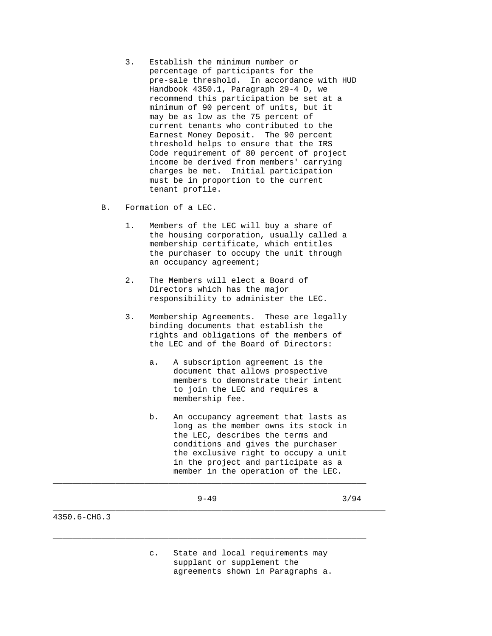- 3. Establish the minimum number or percentage of participants for the pre-sale threshold. In accordance with HUD Handbook 4350.1, Paragraph 29-4 D, we recommend this participation be set at a minimum of 90 percent of units, but it may be as low as the 75 percent of current tenants who contributed to the Earnest Money Deposit. The 90 percent threshold helps to ensure that the IRS Code requirement of 80 percent of project income be derived from members' carrying charges be met. Initial participation must be in proportion to the current tenant profile.
- B. Formation of a LEC.
	- 1. Members of the LEC will buy a share of the housing corporation, usually called a membership certificate, which entitles the purchaser to occupy the unit through an occupancy agreement;
	- 2. The Members will elect a Board of Directors which has the major responsibility to administer the LEC.
	- 3. Membership Agreements. These are legally binding documents that establish the rights and obligations of the members of the LEC and of the Board of Directors:
		- a. A subscription agreement is the document that allows prospective members to demonstrate their intent to join the LEC and requires a membership fee.
		- b. An occupancy agreement that lasts as long as the member owns its stock in the LEC, describes the terms and conditions and gives the purchaser the exclusive right to occupy a unit in the project and participate as a member in the operation of the LEC.
			-

 $\_$  ,  $\_$  ,  $\_$  ,  $\_$  ,  $\_$  ,  $\_$  ,  $\_$  ,  $\_$  ,  $\_$  ,  $\_$  ,  $\_$  ,  $\_$  ,  $\_$  ,  $\_$  ,  $\_$  ,  $\_$  ,  $\_$  ,  $\_$  ,  $\_$  ,  $\_$  ,  $\_$  ,  $\_$  ,  $\_$  ,  $\_$  ,  $\_$  ,  $\_$  ,  $\_$  ,  $\_$  ,  $\_$  ,  $\_$  ,  $\_$  ,  $\_$  ,  $\_$  ,  $\_$  ,  $\_$  ,  $\_$  ,  $\_$  ,

\_\_\_\_\_\_\_\_\_\_\_\_\_\_\_\_\_\_\_\_\_\_\_\_\_\_\_\_\_\_\_\_\_\_\_\_\_\_\_\_\_\_\_\_\_\_\_\_\_\_\_\_\_\_\_\_\_\_\_\_\_\_\_\_\_

\_\_\_\_\_\_\_\_\_\_\_\_\_\_\_\_\_\_\_\_\_\_\_\_\_\_\_\_\_\_\_\_\_\_\_\_\_\_\_\_\_\_\_\_\_\_\_\_\_\_\_\_\_\_\_\_\_\_\_\_\_\_\_\_\_\_\_\_\_

 $9-49$  3/94

4350.6-CHG.3

 c. State and local requirements may supplant or supplement the agreements shown in Paragraphs a.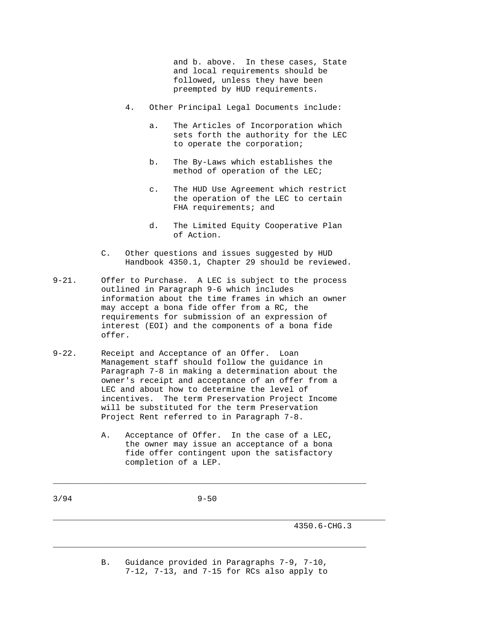and b. above. In these cases, State and local requirements should be followed, unless they have been preempted by HUD requirements.

- 4. Other Principal Legal Documents include:
	- a. The Articles of Incorporation which sets forth the authority for the LEC to operate the corporation;
	- b. The By-Laws which establishes the method of operation of the LEC;
	- c. The HUD Use Agreement which restrict the operation of the LEC to certain FHA requirements; and
	- d. The Limited Equity Cooperative Plan of Action.
- C. Other questions and issues suggested by HUD Handbook 4350.1, Chapter 29 should be reviewed.
- 9-21. Offer to Purchase. A LEC is subject to the process outlined in Paragraph 9-6 which includes information about the time frames in which an owner may accept a bona fide offer from a RC, the requirements for submission of an expression of interest (EOI) and the components of a bona fide offer.
- 9-22. Receipt and Acceptance of an Offer. Loan Management staff should follow the guidance in Paragraph 7-8 in making a determination about the owner's receipt and acceptance of an offer from a LEC and about how to determine the level of incentives. The term Preservation Project Income will be substituted for the term Preservation Project Rent referred to in Paragraph 7-8.
	- A. Acceptance of Offer. In the case of a LEC, the owner may issue an acceptance of a bona fide offer contingent upon the satisfactory completion of a LEP.

3/94 9-50

 $\_$  ,  $\_$  ,  $\_$  ,  $\_$  ,  $\_$  ,  $\_$  ,  $\_$  ,  $\_$  ,  $\_$  ,  $\_$  ,  $\_$  ,  $\_$  ,  $\_$  ,  $\_$  ,  $\_$  ,  $\_$  ,  $\_$  ,  $\_$  ,  $\_$  ,  $\_$  ,  $\_$  ,  $\_$  ,  $\_$  ,  $\_$  ,  $\_$  ,  $\_$  ,  $\_$  ,  $\_$  ,  $\_$  ,  $\_$  ,  $\_$  ,  $\_$  ,  $\_$  ,  $\_$  ,  $\_$  ,  $\_$  ,  $\_$  ,

4350.6-CHG.3

 B. Guidance provided in Paragraphs 7-9, 7-10, 7-12, 7-13, and 7-15 for RCs also apply to

\_\_\_\_\_\_\_\_\_\_\_\_\_\_\_\_\_\_\_\_\_\_\_\_\_\_\_\_\_\_\_\_\_\_\_\_\_\_\_\_\_\_\_\_\_\_\_\_\_\_\_\_\_\_\_\_\_\_\_\_\_\_\_\_\_

\_\_\_\_\_\_\_\_\_\_\_\_\_\_\_\_\_\_\_\_\_\_\_\_\_\_\_\_\_\_\_\_\_\_\_\_\_\_\_\_\_\_\_\_\_\_\_\_\_\_\_\_\_\_\_\_\_\_\_\_\_\_\_\_\_\_\_\_\_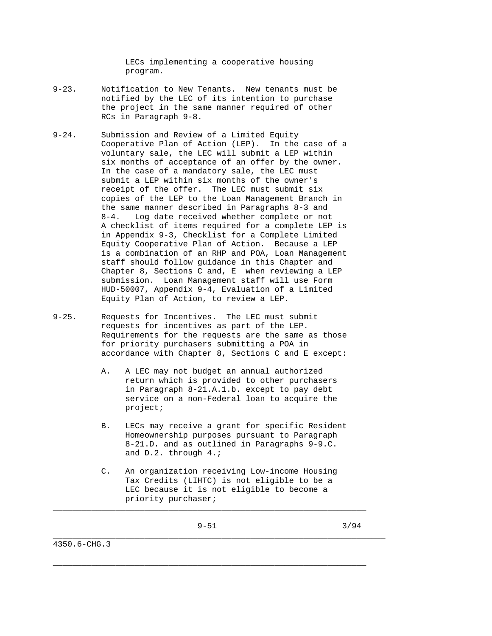LECs implementing a cooperative housing program.

- 9-23. Notification to New Tenants. New tenants must be notified by the LEC of its intention to purchase the project in the same manner required of other RCs in Paragraph 9-8.
- 9-24. Submission and Review of a Limited Equity Cooperative Plan of Action (LEP). In the case of a voluntary sale, the LEC will submit a LEP within six months of acceptance of an offer by the owner. In the case of a mandatory sale, the LEC must submit a LEP within six months of the owner's receipt of the offer. The LEC must submit six copies of the LEP to the Loan Management Branch in the same manner described in Paragraphs 8-3 and 8-4. Log date received whether complete or not A checklist of items required for a complete LEP is in Appendix 9-3, Checklist for a Complete Limited Equity Cooperative Plan of Action. Because a LEP is a combination of an RHP and POA, Loan Management staff should follow guidance in this Chapter and Chapter 8, Sections C and, E when reviewing a LEP submission. Loan Management staff will use Form HUD-50007, Appendix 9-4, Evaluation of a Limited Equity Plan of Action, to review a LEP.
- 9-25. Requests for Incentives. The LEC must submit requests for incentives as part of the LEP. Requirements for the requests are the same as those for priority purchasers submitting a POA in accordance with Chapter 8, Sections C and E except:
	- A. A LEC may not budget an annual authorized return which is provided to other purchasers in Paragraph 8-21.A.1.b. except to pay debt service on a non-Federal loan to acquire the project;
	- B. LECs may receive a grant for specific Resident Homeownership purposes pursuant to Paragraph 8-21.D. and as outlined in Paragraphs 9-9.C. and D.2. through 4.;
	- C. An organization receiving Low-income Housing Tax Credits (LIHTC) is not eligible to be a LEC because it is not eligible to become a priority purchaser;

\_\_\_\_\_\_\_\_\_\_\_\_\_\_\_\_\_\_\_\_\_\_\_\_\_\_\_\_\_\_\_\_\_\_\_\_\_\_\_\_\_\_\_\_\_\_\_\_\_\_\_\_\_\_\_\_\_\_\_\_\_\_\_\_\_\_\_\_\_

\_\_\_\_\_\_\_\_\_\_\_\_\_\_\_\_\_\_\_\_\_\_\_\_\_\_\_\_\_\_\_\_\_\_\_\_\_\_\_\_\_\_\_\_\_\_\_\_\_\_\_\_\_\_\_\_\_\_\_\_\_\_\_\_\_

 $\_$  ,  $\_$  ,  $\_$  ,  $\_$  ,  $\_$  ,  $\_$  ,  $\_$  ,  $\_$  ,  $\_$  ,  $\_$  ,  $\_$  ,  $\_$  ,  $\_$  ,  $\_$  ,  $\_$  ,  $\_$  ,  $\_$  ,  $\_$  ,  $\_$  ,  $\_$  ,  $\_$  ,  $\_$  ,  $\_$  ,  $\_$  ,  $\_$  ,  $\_$  ,  $\_$  ,  $\_$  ,  $\_$  ,  $\_$  ,  $\_$  ,  $\_$  ,  $\_$  ,  $\_$  ,  $\_$  ,  $\_$  ,  $\_$  ,

9-51 3/94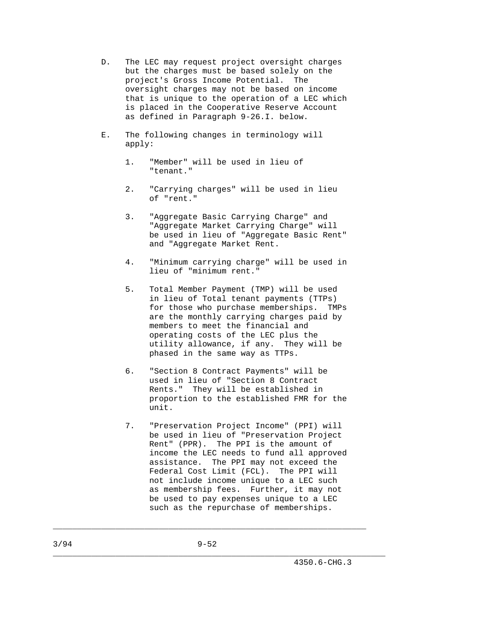- D. The LEC may request project oversight charges but the charges must be based solely on the project's Gross Income Potential. The oversight charges may not be based on income that is unique to the operation of a LEC which is placed in the Cooperative Reserve Account as defined in Paragraph 9-26.I. below.
- E. The following changes in terminology will apply:
	- 1. "Member" will be used in lieu of "tenant."
	- 2. "Carrying charges" will be used in lieu of "rent."
	- 3. "Aggregate Basic Carrying Charge" and "Aggregate Market Carrying Charge" will be used in lieu of "Aggregate Basic Rent" and "Aggregate Market Rent.
	- 4. "Minimum carrying charge" will be used in lieu of "minimum rent."
	- 5. Total Member Payment (TMP) will be used in lieu of Total tenant payments (TTPs) for those who purchase memberships. TMPs are the monthly carrying charges paid by members to meet the financial and operating costs of the LEC plus the utility allowance, if any. They will be phased in the same way as TTPs.
	- 6. "Section 8 Contract Payments" will be used in lieu of "Section 8 Contract Rents." They will be established in proportion to the established FMR for the unit.
	- 7. "Preservation Project Income" (PPI) will be used in lieu of "Preservation Project Rent" (PPR). The PPI is the amount of income the LEC needs to fund all approved assistance. The PPI may not exceed the Federal Cost Limit (FCL). The PPI will not include income unique to a LEC such as membership fees. Further, it may not be used to pay expenses unique to a LEC such as the repurchase of memberships.

 $\_$  ,  $\_$  ,  $\_$  ,  $\_$  ,  $\_$  ,  $\_$  ,  $\_$  ,  $\_$  ,  $\_$  ,  $\_$  ,  $\_$  ,  $\_$  ,  $\_$  ,  $\_$  ,  $\_$  ,  $\_$  ,  $\_$  ,  $\_$  ,  $\_$  ,  $\_$  ,  $\_$  ,  $\_$  ,  $\_$  ,  $\_$  ,  $\_$  ,  $\_$  ,  $\_$  ,  $\_$  ,  $\_$  ,  $\_$  ,  $\_$  ,  $\_$  ,  $\_$  ,  $\_$  ,  $\_$  ,  $\_$  ,  $\_$  ,

\_\_\_\_\_\_\_\_\_\_\_\_\_\_\_\_\_\_\_\_\_\_\_\_\_\_\_\_\_\_\_\_\_\_\_\_\_\_\_\_\_\_\_\_\_\_\_\_\_\_\_\_\_\_\_\_\_\_\_\_\_\_\_\_\_\_\_\_\_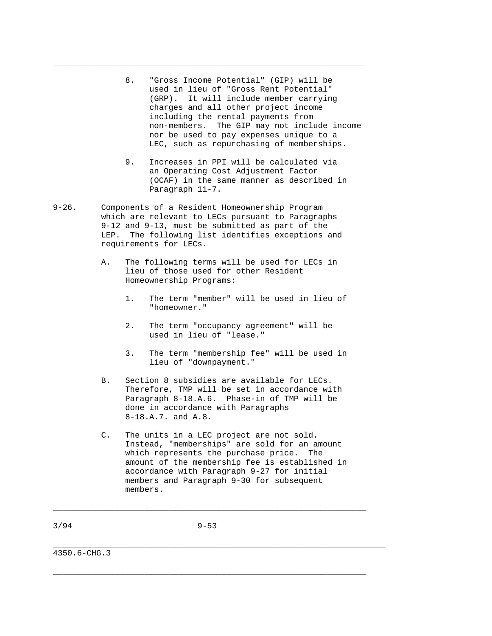8. "Gross Income Potential" (GIP) will be used in lieu of "Gross Rent Potential" (GRP). It will include member carrying charges and all other project income including the rental payments from non-members. The GIP may not include income nor be used to pay expenses unique to a LEC, such as repurchasing of memberships.

\_\_\_\_\_\_\_\_\_\_\_\_\_\_\_\_\_\_\_\_\_\_\_\_\_\_\_\_\_\_\_\_\_\_\_\_\_\_\_\_\_\_\_\_\_\_\_\_\_\_\_\_\_\_\_\_\_\_\_\_\_\_\_\_\_

- 9. Increases in PPI will be calculated via an Operating Cost Adjustment Factor (OCAF) in the same manner as described in Paragraph 11-7.
- 9-26. Components of a Resident Homeownership Program which are relevant to LECs pursuant to Paragraphs 9-12 and 9-13, must be submitted as part of the LEP. The following list identifies exceptions and requirements for LECs.
	- A. The following terms will be used for LECs in lieu of those used for other Resident Homeownership Programs:
		- 1. The term "member" will be used in lieu of "homeowner."
		- 2. The term "occupancy agreement" will be used in lieu of "lease."
		- 3. The term "membership fee" will be used in lieu of "downpayment."
	- B. Section 8 subsidies are available for LECs. Therefore, TMP will be set in accordance with Paragraph 8-18.A.6. Phase-in of TMP will be done in accordance with Paragraphs 8-18.A.7. and A.8.
	- C. The units in a LEC project are not sold. Instead, "memberships" are sold for an amount which represents the purchase price. The amount of the membership fee is established in accordance with Paragraph 9-27 for initial members and Paragraph 9-30 for subsequent members.

3/94 9-53

 $\_$  ,  $\_$  ,  $\_$  ,  $\_$  ,  $\_$  ,  $\_$  ,  $\_$  ,  $\_$  ,  $\_$  ,  $\_$  ,  $\_$  ,  $\_$  ,  $\_$  ,  $\_$  ,  $\_$  ,  $\_$  ,  $\_$  ,  $\_$  ,  $\_$  ,  $\_$  ,  $\_$  ,  $\_$  ,  $\_$  ,  $\_$  ,  $\_$  ,  $\_$  ,  $\_$  ,  $\_$  ,  $\_$  ,  $\_$  ,  $\_$  ,  $\_$  ,  $\_$  ,  $\_$  ,  $\_$  ,  $\_$  ,  $\_$  ,

\_\_\_\_\_\_\_\_\_\_\_\_\_\_\_\_\_\_\_\_\_\_\_\_\_\_\_\_\_\_\_\_\_\_\_\_\_\_\_\_\_\_\_\_\_\_\_\_\_\_\_\_\_\_\_\_\_\_\_\_\_\_\_\_\_\_\_\_\_

\_\_\_\_\_\_\_\_\_\_\_\_\_\_\_\_\_\_\_\_\_\_\_\_\_\_\_\_\_\_\_\_\_\_\_\_\_\_\_\_\_\_\_\_\_\_\_\_\_\_\_\_\_\_\_\_\_\_\_\_\_\_\_\_\_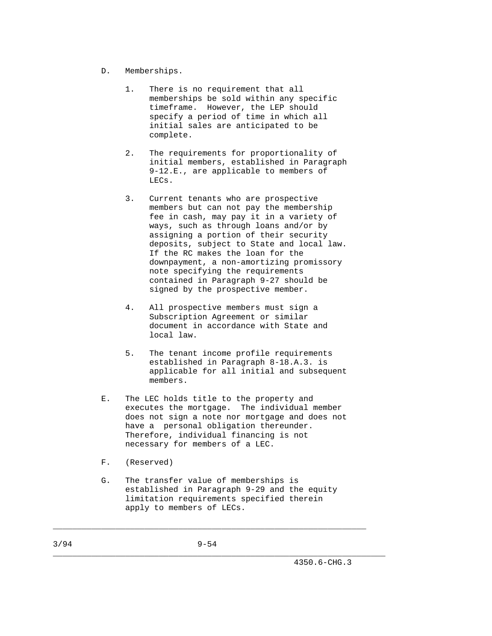- D. Memberships.
	- 1. There is no requirement that all memberships be sold within any specific timeframe. However, the LEP should specify a period of time in which all initial sales are anticipated to be complete.
	- 2. The requirements for proportionality of initial members, established in Paragraph 9-12.E., are applicable to members of LECs.
	- 3. Current tenants who are prospective members but can not pay the membership fee in cash, may pay it in a variety of ways, such as through loans and/or by assigning a portion of their security deposits, subject to State and local law. If the RC makes the loan for the downpayment, a non-amortizing promissory note specifying the requirements contained in Paragraph 9-27 should be signed by the prospective member.
	- 4. All prospective members must sign a Subscription Agreement or similar document in accordance with State and local law.
	- 5. The tenant income profile requirements established in Paragraph 8-18.A.3. is applicable for all initial and subsequent members.
- E. The LEC holds title to the property and executes the mortgage. The individual member does not sign a note nor mortgage and does not have a personal obligation thereunder. Therefore, individual financing is not necessary for members of a LEC.
- F. (Reserved)
- G. The transfer value of memberships is established in Paragraph 9-29 and the equity limitation requirements specified therein apply to members of LECs.

 $\_$  ,  $\_$  ,  $\_$  ,  $\_$  ,  $\_$  ,  $\_$  ,  $\_$  ,  $\_$  ,  $\_$  ,  $\_$  ,  $\_$  ,  $\_$  ,  $\_$  ,  $\_$  ,  $\_$  ,  $\_$  ,  $\_$  ,  $\_$  ,  $\_$  ,  $\_$  ,  $\_$  ,  $\_$  ,  $\_$  ,  $\_$  ,  $\_$  ,  $\_$  ,  $\_$  ,  $\_$  ,  $\_$  ,  $\_$  ,  $\_$  ,  $\_$  ,  $\_$  ,  $\_$  ,  $\_$  ,  $\_$  ,  $\_$  ,

\_\_\_\_\_\_\_\_\_\_\_\_\_\_\_\_\_\_\_\_\_\_\_\_\_\_\_\_\_\_\_\_\_\_\_\_\_\_\_\_\_\_\_\_\_\_\_\_\_\_\_\_\_\_\_\_\_\_\_\_\_\_\_\_\_\_\_\_\_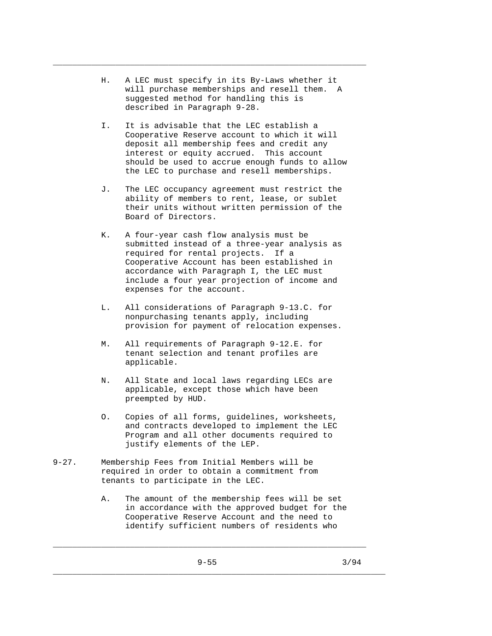H. A LEC must specify in its By-Laws whether it will purchase memberships and resell them. A suggested method for handling this is described in Paragraph 9-28.

\_\_\_\_\_\_\_\_\_\_\_\_\_\_\_\_\_\_\_\_\_\_\_\_\_\_\_\_\_\_\_\_\_\_\_\_\_\_\_\_\_\_\_\_\_\_\_\_\_\_\_\_\_\_\_\_\_\_\_\_\_\_\_\_\_

- I. It is advisable that the LEC establish a Cooperative Reserve account to which it will deposit all membership fees and credit any interest or equity accrued. This account should be used to accrue enough funds to allow the LEC to purchase and resell memberships.
- J. The LEC occupancy agreement must restrict the ability of members to rent, lease, or sublet their units without written permission of the Board of Directors.
- K. A four-year cash flow analysis must be submitted instead of a three-year analysis as required for rental projects. If a Cooperative Account has been established in accordance with Paragraph I, the LEC must include a four year projection of income and expenses for the account.
- L. All considerations of Paragraph 9-13.C. for nonpurchasing tenants apply, including provision for payment of relocation expenses.
- M. All requirements of Paragraph 9-12.E. for tenant selection and tenant profiles are applicable.
- N. All State and local laws regarding LECs are applicable, except those which have been preempted by HUD.
- O. Copies of all forms, guidelines, worksheets, and contracts developed to implement the LEC Program and all other documents required to justify elements of the LEP.
- 9-27. Membership Fees from Initial Members will be required in order to obtain a commitment from tenants to participate in the LEC.
	- A. The amount of the membership fees will be set in accordance with the approved budget for the Cooperative Reserve Account and the need to identify sufficient numbers of residents who

\_\_\_\_\_\_\_\_\_\_\_\_\_\_\_\_\_\_\_\_\_\_\_\_\_\_\_\_\_\_\_\_\_\_\_\_\_\_\_\_\_\_\_\_\_\_\_\_\_\_\_\_\_\_\_\_\_\_\_\_\_\_\_\_\_

\_\_\_\_\_\_\_\_\_\_\_\_\_\_\_\_\_\_\_\_\_\_\_\_\_\_\_\_\_\_\_\_\_\_\_\_\_\_\_\_\_\_\_\_\_\_\_\_\_\_\_\_\_\_\_\_\_\_\_\_\_\_\_\_\_\_\_\_\_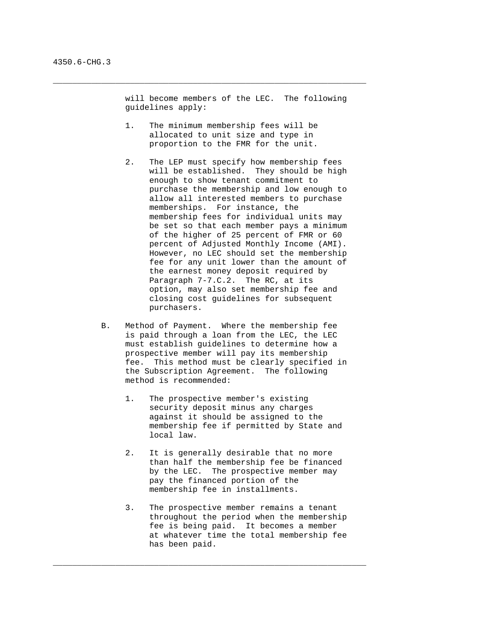will become members of the LEC. The following guidelines apply:

 1. The minimum membership fees will be allocated to unit size and type in proportion to the FMR for the unit.

 $\_$  ,  $\_$  ,  $\_$  ,  $\_$  ,  $\_$  ,  $\_$  ,  $\_$  ,  $\_$  ,  $\_$  ,  $\_$  ,  $\_$  ,  $\_$  ,  $\_$  ,  $\_$  ,  $\_$  ,  $\_$  ,  $\_$  ,  $\_$  ,  $\_$  ,  $\_$  ,  $\_$  ,  $\_$  ,  $\_$  ,  $\_$  ,  $\_$  ,  $\_$  ,  $\_$  ,  $\_$  ,  $\_$  ,  $\_$  ,  $\_$  ,  $\_$  ,  $\_$  ,  $\_$  ,  $\_$  ,  $\_$  ,  $\_$  ,

- 2. The LEP must specify how membership fees will be established. They should be high enough to show tenant commitment to purchase the membership and low enough to allow all interested members to purchase memberships. For instance, the membership fees for individual units may be set so that each member pays a minimum of the higher of 25 percent of FMR or 60 percent of Adjusted Monthly Income (AMI). However, no LEC should set the membership fee for any unit lower than the amount of the earnest money deposit required by Paragraph 7-7.C.2. The RC, at its option, may also set membership fee and closing cost guidelines for subsequent purchasers.
- B. Method of Payment. Where the membership fee is paid through a loan from the LEC, the LEC must establish guidelines to determine how a prospective member will pay its membership fee. This method must be clearly specified in the Subscription Agreement. The following method is recommended:
	- 1. The prospective member's existing security deposit minus any charges against it should be assigned to the membership fee if permitted by State and local law.
	- 2. It is generally desirable that no more than half the membership fee be financed by the LEC. The prospective member may pay the financed portion of the membership fee in installments.
	- 3. The prospective member remains a tenant throughout the period when the membership fee is being paid. It becomes a member at whatever time the total membership fee has been paid.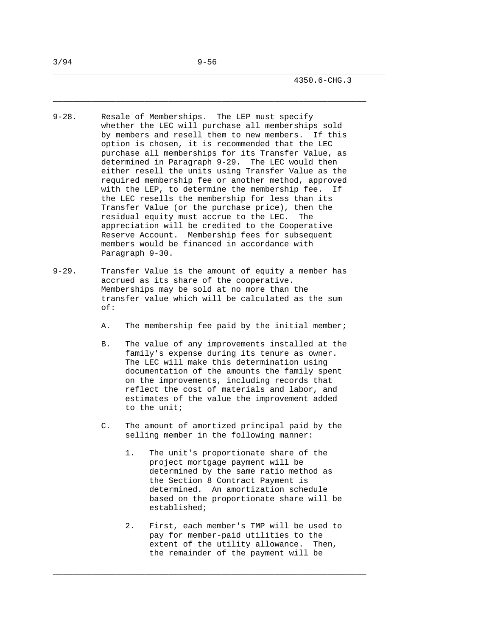\_\_\_\_\_\_\_\_\_\_\_\_\_\_\_\_\_\_\_\_\_\_\_\_\_\_\_\_\_\_\_\_\_\_\_\_\_\_\_\_\_\_\_\_\_\_\_\_\_\_\_\_\_\_\_\_\_\_\_\_\_\_\_\_\_\_\_\_\_

- 9-28. Resale of Memberships. The LEP must specify whether the LEC will purchase all memberships sold by members and resell them to new members. If this option is chosen, it is recommended that the LEC purchase all memberships for its Transfer Value, as determined in Paragraph 9-29. The LEC would then either resell the units using Transfer Value as the required membership fee or another method, approved with the LEP, to determine the membership fee. If the LEC resells the membership for less than its Transfer Value (or the purchase price), then the residual equity must accrue to the LEC. The appreciation will be credited to the Cooperative Reserve Account. Membership fees for subsequent members would be financed in accordance with Paragraph 9-30.
- 9-29. Transfer Value is the amount of equity a member has accrued as its share of the cooperative. Memberships may be sold at no more than the transfer value which will be calculated as the sum of:
	- A. The membership fee paid by the initial member;
	- B. The value of any improvements installed at the family's expense during its tenure as owner. The LEC will make this determination using documentation of the amounts the family spent on the improvements, including records that reflect the cost of materials and labor, and estimates of the value the improvement added to the unit;
	- C. The amount of amortized principal paid by the selling member in the following manner:
		- 1. The unit's proportionate share of the project mortgage payment will be determined by the same ratio method as the Section 8 Contract Payment is determined. An amortization schedule based on the proportionate share will be established;
		- 2. First, each member's TMP will be used to pay for member-paid utilities to the extent of the utility allowance. Then, the remainder of the payment will be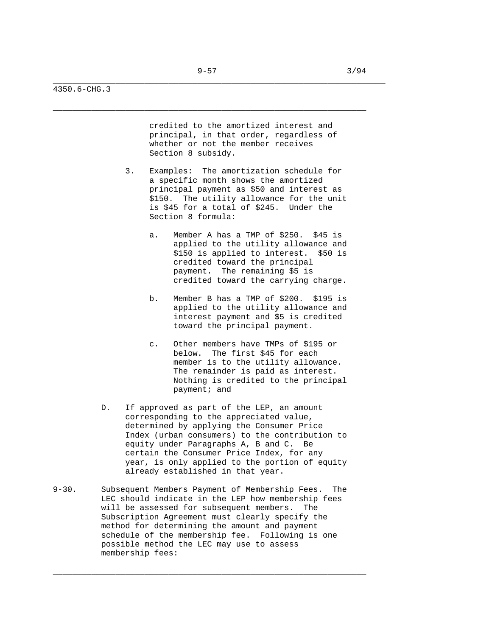\_\_\_\_\_\_\_\_\_\_\_\_\_\_\_\_\_\_\_\_\_\_\_\_\_\_\_\_\_\_\_\_\_\_\_\_\_\_\_\_\_\_\_\_\_\_\_\_\_\_\_\_\_\_\_\_\_\_\_\_\_\_\_\_\_\_\_\_\_

4350.6-CHG.3

 credited to the amortized interest and principal, in that order, regardless of whether or not the member receives Section 8 subsidy.

- 3. Examples: The amortization schedule for a specific month shows the amortized principal payment as \$50 and interest as \$150. The utility allowance for the unit is \$45 for a total of \$245. Under the Section 8 formula:
	- a. Member A has a TMP of \$250. \$45 is applied to the utility allowance and \$150 is applied to interest. \$50 is credited toward the principal payment. The remaining \$5 is credited toward the carrying charge.
	- b. Member B has a TMP of \$200. \$195 is applied to the utility allowance and interest payment and \$5 is credited toward the principal payment.
	- c. Other members have TMPs of \$195 or below. The first \$45 for each member is to the utility allowance. The remainder is paid as interest. Nothing is credited to the principal payment; and
- D. If approved as part of the LEP, an amount corresponding to the appreciated value, determined by applying the Consumer Price Index (urban consumers) to the contribution to equity under Paragraphs A, B and C. Be certain the Consumer Price Index, for any year, is only applied to the portion of equity already established in that year.
- 9-30. Subsequent Members Payment of Membership Fees. The LEC should indicate in the LEP how membership fees will be assessed for subsequent members. The Subscription Agreement must clearly specify the method for determining the amount and payment schedule of the membership fee. Following is one possible method the LEC may use to assess membership fees: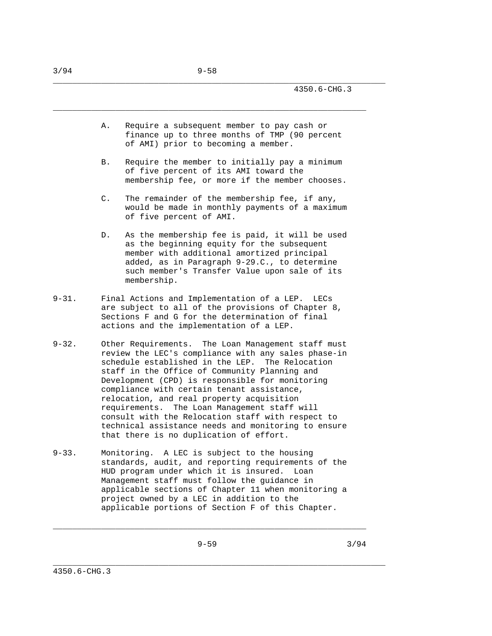A. Require a subsequent member to pay cash or finance up to three months of TMP (90 percent of AMI) prior to becoming a member.

\_\_\_\_\_\_\_\_\_\_\_\_\_\_\_\_\_\_\_\_\_\_\_\_\_\_\_\_\_\_\_\_\_\_\_\_\_\_\_\_\_\_\_\_\_\_\_\_\_\_\_\_\_\_\_\_\_\_\_\_\_\_\_\_\_\_\_\_\_

- B. Require the member to initially pay a minimum of five percent of its AMI toward the membership fee, or more if the member chooses.
- C. The remainder of the membership fee, if any, would be made in monthly payments of a maximum of five percent of AMI.
- D. As the membership fee is paid, it will be used as the beginning equity for the subsequent member with additional amortized principal added, as in Paragraph 9-29.C., to determine such member's Transfer Value upon sale of its membership.
- 9-31. Final Actions and Implementation of a LEP. LECs are subject to all of the provisions of Chapter 8, Sections F and G for the determination of final actions and the implementation of a LEP.
- 9-32. Other Requirements. The Loan Management staff must review the LEC's compliance with any sales phase-in schedule established in the LEP. The Relocation staff in the Office of Community Planning and Development (CPD) is responsible for monitoring compliance with certain tenant assistance, relocation, and real property acquisition requirements. The Loan Management staff will consult with the Relocation staff with respect to technical assistance needs and monitoring to ensure that there is no duplication of effort.
- 9-33. Monitoring. A LEC is subject to the housing standards, audit, and reporting requirements of the HUD program under which it is insured. Loan Management staff must follow the guidance in applicable sections of Chapter 11 when monitoring a project owned by a LEC in addition to the applicable portions of Section F of this Chapter.

 $\_$  ,  $\_$  ,  $\_$  ,  $\_$  ,  $\_$  ,  $\_$  ,  $\_$  ,  $\_$  ,  $\_$  ,  $\_$  ,  $\_$  ,  $\_$  ,  $\_$  ,  $\_$  ,  $\_$  ,  $\_$  ,  $\_$  ,  $\_$  ,  $\_$  ,  $\_$  ,  $\_$  ,  $\_$  ,  $\_$  ,  $\_$  ,  $\_$  ,  $\_$  ,  $\_$  ,  $\_$  ,  $\_$  ,  $\_$  ,  $\_$  ,  $\_$  ,  $\_$  ,  $\_$  ,  $\_$  ,  $\_$  ,  $\_$  ,

\_\_\_\_\_\_\_\_\_\_\_\_\_\_\_\_\_\_\_\_\_\_\_\_\_\_\_\_\_\_\_\_\_\_\_\_\_\_\_\_\_\_\_\_\_\_\_\_\_\_\_\_\_\_\_\_\_\_\_\_\_\_\_\_\_\_\_\_\_

 $9-59$   $3/94$ 

3/94 9-58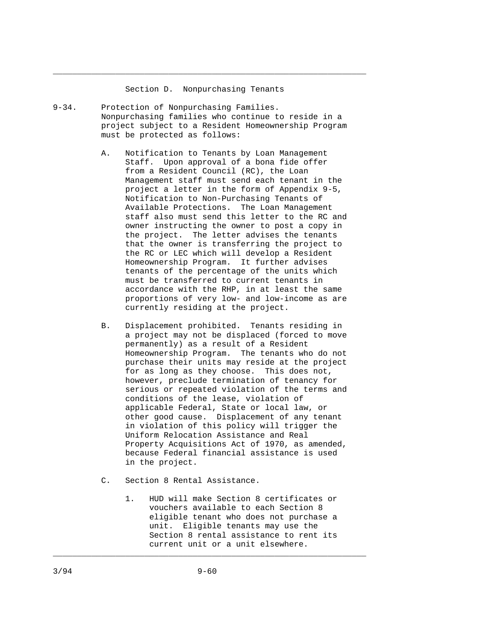## Section D. Nonpurchasing Tenants

 $\_$  ,  $\_$  ,  $\_$  ,  $\_$  ,  $\_$  ,  $\_$  ,  $\_$  ,  $\_$  ,  $\_$  ,  $\_$  ,  $\_$  ,  $\_$  ,  $\_$  ,  $\_$  ,  $\_$  ,  $\_$  ,  $\_$  ,  $\_$  ,  $\_$  ,  $\_$  ,  $\_$  ,  $\_$  ,  $\_$  ,  $\_$  ,  $\_$  ,  $\_$  ,  $\_$  ,  $\_$  ,  $\_$  ,  $\_$  ,  $\_$  ,  $\_$  ,  $\_$  ,  $\_$  ,  $\_$  ,  $\_$  ,  $\_$  ,

- 9-34. Protection of Nonpurchasing Families. Nonpurchasing families who continue to reside in a project subject to a Resident Homeownership Program must be protected as follows:
	- A. Notification to Tenants by Loan Management Staff. Upon approval of a bona fide offer from a Resident Council (RC), the Loan Management staff must send each tenant in the project a letter in the form of Appendix 9-5, Notification to Non-Purchasing Tenants of Available Protections. The Loan Management staff also must send this letter to the RC and owner instructing the owner to post a copy in the project. The letter advises the tenants that the owner is transferring the project to the RC or LEC which will develop a Resident Homeownership Program. It further advises tenants of the percentage of the units which must be transferred to current tenants in accordance with the RHP, in at least the same proportions of very low- and low-income as are currently residing at the project.
	- B. Displacement prohibited. Tenants residing in a project may not be displaced (forced to move permanently) as a result of a Resident Homeownership Program. The tenants who do not purchase their units may reside at the project for as long as they choose. This does not, however, preclude termination of tenancy for serious or repeated violation of the terms and conditions of the lease, violation of applicable Federal, State or local law, or other good cause. Displacement of any tenant in violation of this policy will trigger the Uniform Relocation Assistance and Real Property Acquisitions Act of 1970, as amended, because Federal financial assistance is used in the project.
	- C. Section 8 Rental Assistance.
		- 1. HUD will make Section 8 certificates or vouchers available to each Section 8 eligible tenant who does not purchase a unit. Eligible tenants may use the Section 8 rental assistance to rent its current unit or a unit elsewhere.

\_\_\_\_\_\_\_\_\_\_\_\_\_\_\_\_\_\_\_\_\_\_\_\_\_\_\_\_\_\_\_\_\_\_\_\_\_\_\_\_\_\_\_\_\_\_\_\_\_\_\_\_\_\_\_\_\_\_\_\_\_\_\_\_\_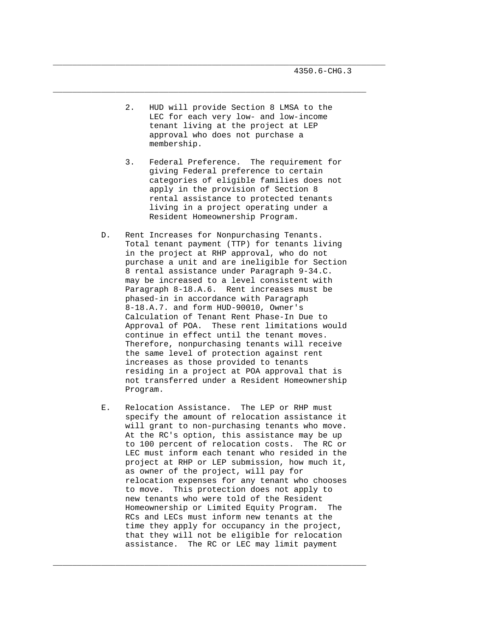4350.6-CHG.3

 2. HUD will provide Section 8 LMSA to the LEC for each very low- and low-income tenant living at the project at LEP approval who does not purchase a membership.

\_\_\_\_\_\_\_\_\_\_\_\_\_\_\_\_\_\_\_\_\_\_\_\_\_\_\_\_\_\_\_\_\_\_\_\_\_\_\_\_\_\_\_\_\_\_\_\_\_\_\_\_\_\_\_\_\_\_\_\_\_\_\_\_\_\_\_\_\_

 $\_$  ,  $\_$  ,  $\_$  ,  $\_$  ,  $\_$  ,  $\_$  ,  $\_$  ,  $\_$  ,  $\_$  ,  $\_$  ,  $\_$  ,  $\_$  ,  $\_$  ,  $\_$  ,  $\_$  ,  $\_$  ,  $\_$  ,  $\_$  ,  $\_$  ,  $\_$  ,  $\_$  ,  $\_$  ,  $\_$  ,  $\_$  ,  $\_$  ,  $\_$  ,  $\_$  ,  $\_$  ,  $\_$  ,  $\_$  ,  $\_$  ,  $\_$  ,  $\_$  ,  $\_$  ,  $\_$  ,  $\_$  ,  $\_$  ,

- 3. Federal Preference. The requirement for giving Federal preference to certain categories of eligible families does not apply in the provision of Section 8 rental assistance to protected tenants living in a project operating under a Resident Homeownership Program.
- D. Rent Increases for Nonpurchasing Tenants. Total tenant payment (TTP) for tenants living in the project at RHP approval, who do not purchase a unit and are ineligible for Section 8 rental assistance under Paragraph 9-34.C. may be increased to a level consistent with Paragraph 8-18.A.6. Rent increases must be phased-in in accordance with Paragraph 8-18.A.7. and form HUD-90010, Owner's Calculation of Tenant Rent Phase-In Due to Approval of POA. These rent limitations would continue in effect until the tenant moves. Therefore, nonpurchasing tenants will receive the same level of protection against rent increases as those provided to tenants residing in a project at POA approval that is not transferred under a Resident Homeownership Program.
- E. Relocation Assistance. The LEP or RHP must specify the amount of relocation assistance it will grant to non-purchasing tenants who move. At the RC's option, this assistance may be up to 100 percent of relocation costs. The RC or LEC must inform each tenant who resided in the project at RHP or LEP submission, how much it, as owner of the project, will pay for relocation expenses for any tenant who chooses to move. This protection does not apply to new tenants who were told of the Resident Homeownership or Limited Equity Program. The RCs and LECs must inform new tenants at the time they apply for occupancy in the project, that they will not be eligible for relocation assistance. The RC or LEC may limit payment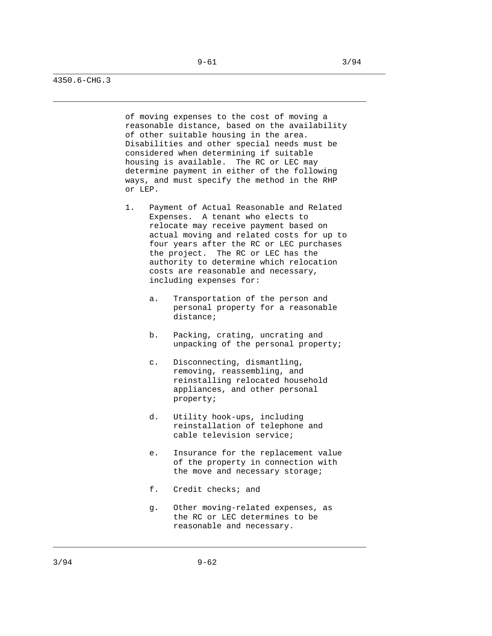\_\_\_\_\_\_\_\_\_\_\_\_\_\_\_\_\_\_\_\_\_\_\_\_\_\_\_\_\_\_\_\_\_\_\_\_\_\_\_\_\_\_\_\_\_\_\_\_\_\_\_\_\_\_\_\_\_\_\_\_\_\_\_\_\_\_\_\_\_

4350.6-CHG.3

 of moving expenses to the cost of moving a reasonable distance, based on the availability of other suitable housing in the area. Disabilities and other special needs must be considered when determining if suitable housing is available. The RC or LEC may determine payment in either of the following ways, and must specify the method in the RHP or LEP.

- 1. Payment of Actual Reasonable and Related Expenses. A tenant who elects to relocate may receive payment based on actual moving and related costs for up to four years after the RC or LEC purchases the project. The RC or LEC has the authority to determine which relocation costs are reasonable and necessary, including expenses for:
	- a. Transportation of the person and personal property for a reasonable distance;
	- b. Packing, crating, uncrating and unpacking of the personal property;
	- c. Disconnecting, dismantling, removing, reassembling, and reinstalling relocated household appliances, and other personal property;
	- d. Utility hook-ups, including reinstallation of telephone and cable television service;
	- e. Insurance for the replacement value of the property in connection with the move and necessary storage;
	- f. Credit checks; and
	- g. Other moving-related expenses, as the RC or LEC determines to be reasonable and necessary.

\_\_\_\_\_\_\_\_\_\_\_\_\_\_\_\_\_\_\_\_\_\_\_\_\_\_\_\_\_\_\_\_\_\_\_\_\_\_\_\_\_\_\_\_\_\_\_\_\_\_\_\_\_\_\_\_\_\_\_\_\_\_\_\_\_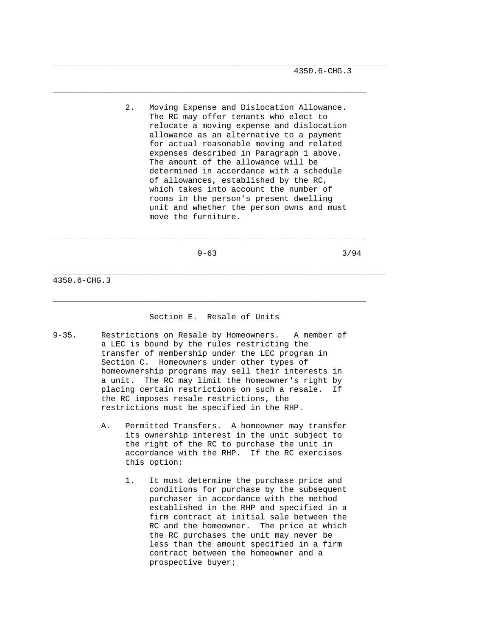4350.6-CHG.3

 2. Moving Expense and Dislocation Allowance. The RC may offer tenants who elect to relocate a moving expense and dislocation allowance as an alternative to a payment for actual reasonable moving and related expenses described in Paragraph 1 above. The amount of the allowance will be determined in accordance with a schedule of allowances, established by the RC, which takes into account the number of rooms in the person's present dwelling unit and whether the person owns and must move the furniture.

\_\_\_\_\_\_\_\_\_\_\_\_\_\_\_\_\_\_\_\_\_\_\_\_\_\_\_\_\_\_\_\_\_\_\_\_\_\_\_\_\_\_\_\_\_\_\_\_\_\_\_\_\_\_\_\_\_\_\_\_\_\_\_\_\_\_\_\_\_

 $\_$  ,  $\_$  ,  $\_$  ,  $\_$  ,  $\_$  ,  $\_$  ,  $\_$  ,  $\_$  ,  $\_$  ,  $\_$  ,  $\_$  ,  $\_$  ,  $\_$  ,  $\_$  ,  $\_$  ,  $\_$  ,  $\_$  ,  $\_$  ,  $\_$  ,  $\_$  ,  $\_$  ,  $\_$  ,  $\_$  ,  $\_$  ,  $\_$  ,  $\_$  ,  $\_$  ,  $\_$  ,  $\_$  ,  $\_$  ,  $\_$  ,  $\_$  ,  $\_$  ,  $\_$  ,  $\_$  ,  $\_$  ,  $\_$  ,

\_\_\_\_\_\_\_\_\_\_\_\_\_\_\_\_\_\_\_\_\_\_\_\_\_\_\_\_\_\_\_\_\_\_\_\_\_\_\_\_\_\_\_\_\_\_\_\_\_\_\_\_\_\_\_\_\_\_\_\_\_\_\_\_\_

 $9-63$   $3/94$ 

4350.6-CHG.3

## Section E. Resale of Units

 $\_$  ,  $\_$  ,  $\_$  ,  $\_$  ,  $\_$  ,  $\_$  ,  $\_$  ,  $\_$  ,  $\_$  ,  $\_$  ,  $\_$  ,  $\_$  ,  $\_$  ,  $\_$  ,  $\_$  ,  $\_$  ,  $\_$  ,  $\_$  ,  $\_$  ,  $\_$  ,  $\_$  ,  $\_$  ,  $\_$  ,  $\_$  ,  $\_$  ,  $\_$  ,  $\_$  ,  $\_$  ,  $\_$  ,  $\_$  ,  $\_$  ,  $\_$  ,  $\_$  ,  $\_$  ,  $\_$  ,  $\_$  ,  $\_$  ,

\_\_\_\_\_\_\_\_\_\_\_\_\_\_\_\_\_\_\_\_\_\_\_\_\_\_\_\_\_\_\_\_\_\_\_\_\_\_\_\_\_\_\_\_\_\_\_\_\_\_\_\_\_\_\_\_\_\_\_\_\_\_\_\_\_\_\_\_\_

- 9-35. Restrictions on Resale by Homeowners. A member of a LEC is bound by the rules restricting the transfer of membership under the LEC program in Section C. Homeowners under other types of homeownership programs may sell their interests in a unit. The RC may limit the homeowner's right by placing certain restrictions on such a resale. If the RC imposes resale restrictions, the restrictions must be specified in the RHP.
	- A. Permitted Transfers. A homeowner may transfer its ownership interest in the unit subject to the right of the RC to purchase the unit in accordance with the RHP. If the RC exercises this option:
		- 1. It must determine the purchase price and conditions for purchase by the subsequent purchaser in accordance with the method established in the RHP and specified in a firm contract at initial sale between the RC and the homeowner. The price at which the RC purchases the unit may never be less than the amount specified in a firm contract between the homeowner and a prospective buyer;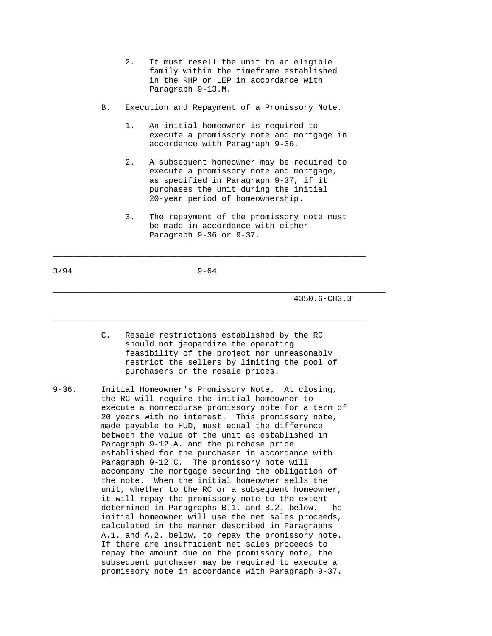- 2. It must resell the unit to an eligible family within the timeframe established in the RHP or LEP in accordance with Paragraph 9-13.M.
- B. Execution and Repayment of a Promissory Note.
	- 1. An initial homeowner is required to execute a promissory note and mortgage in accordance with Paragraph 9-36.
	- 2. A subsequent homeowner may be required to execute a promissory note and mortgage, as specified in Paragraph 9-37, if it purchases the unit during the initial 20-year period of homeownership.
	- 3. The repayment of the promissory note must be made in accordance with either Paragraph 9-36 or 9-37.

3/94 9-64

 $\_$  ,  $\_$  ,  $\_$  ,  $\_$  ,  $\_$  ,  $\_$  ,  $\_$  ,  $\_$  ,  $\_$  ,  $\_$  ,  $\_$  ,  $\_$  ,  $\_$  ,  $\_$  ,  $\_$  ,  $\_$  ,  $\_$  ,  $\_$  ,  $\_$  ,  $\_$  ,  $\_$  ,  $\_$  ,  $\_$  ,  $\_$  ,  $\_$  ,  $\_$  ,  $\_$  ,  $\_$  ,  $\_$  ,  $\_$  ,  $\_$  ,  $\_$  ,  $\_$  ,  $\_$  ,  $\_$  ,  $\_$  ,  $\_$  ,

 $\_$  ,  $\_$  ,  $\_$  ,  $\_$  ,  $\_$  ,  $\_$  ,  $\_$  ,  $\_$  ,  $\_$  ,  $\_$  ,  $\_$  ,  $\_$  ,  $\_$  ,  $\_$  ,  $\_$  ,  $\_$  ,  $\_$  ,  $\_$  ,  $\_$  ,  $\_$  ,  $\_$  ,  $\_$  ,  $\_$  ,  $\_$  ,  $\_$  ,  $\_$  ,  $\_$  ,  $\_$  ,  $\_$  ,  $\_$  ,  $\_$  ,  $\_$  ,  $\_$  ,  $\_$  ,  $\_$  ,  $\_$  ,  $\_$  ,

4350.6-CHG.3

 C. Resale restrictions established by the RC should not jeopardize the operating feasibility of the project nor unreasonably restrict the sellers by limiting the pool of purchasers or the resale prices.

\_\_\_\_\_\_\_\_\_\_\_\_\_\_\_\_\_\_\_\_\_\_\_\_\_\_\_\_\_\_\_\_\_\_\_\_\_\_\_\_\_\_\_\_\_\_\_\_\_\_\_\_\_\_\_\_\_\_\_\_\_\_\_\_\_\_\_\_\_

9-36. Initial Homeowner's Promissory Note. At closing, the RC will require the initial homeowner to execute a nonrecourse promissory note for a term of 20 years with no interest. This promissory note, made payable to HUD, must equal the difference between the value of the unit as established in Paragraph 9-12.A. and the purchase price established for the purchaser in accordance with Paragraph 9-12.C. The promissory note will accompany the mortgage securing the obligation of the note. When the initial homeowner sells the unit, whether to the RC or a subsequent homeowner, it will repay the promissory note to the extent determined in Paragraphs B.1. and B.2. below. The initial homeowner will use the net sales proceeds, calculated in the manner described in Paragraphs A.1. and A.2. below, to repay the promissory note. If there are insufficient net sales proceeds to repay the amount due on the promissory note, the subsequent purchaser may be required to execute a promissory note in accordance with Paragraph 9-37.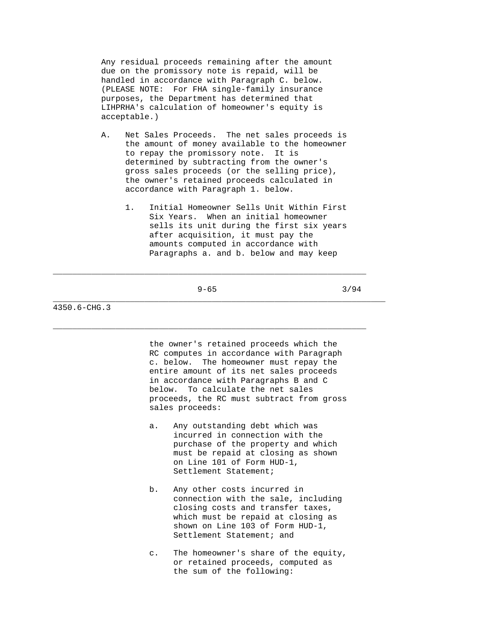Any residual proceeds remaining after the amount due on the promissory note is repaid, will be handled in accordance with Paragraph C. below. (PLEASE NOTE: For FHA single-family insurance purposes, the Department has determined that LIHPRHA's calculation of homeowner's equity is acceptable.)

- A. Net Sales Proceeds. The net sales proceeds is the amount of money available to the homeowner to repay the promissory note. It is determined by subtracting from the owner's gross sales proceeds (or the selling price), the owner's retained proceeds calculated in accordance with Paragraph 1. below.
	- 1. Initial Homeowner Sells Unit Within First Six Years. When an initial homeowner sells its unit during the first six years after acquisition, it must pay the amounts computed in accordance with Paragraphs a. and b. below and may keep

 $9-65$  3/94

 $\_$  ,  $\_$  ,  $\_$  ,  $\_$  ,  $\_$  ,  $\_$  ,  $\_$  ,  $\_$  ,  $\_$  ,  $\_$  ,  $\_$  ,  $\_$  ,  $\_$  ,  $\_$  ,  $\_$  ,  $\_$  ,  $\_$  ,  $\_$  ,  $\_$  ,  $\_$  ,  $\_$  ,  $\_$  ,  $\_$  ,  $\_$  ,  $\_$  ,  $\_$  ,  $\_$  ,  $\_$  ,  $\_$  ,  $\_$  ,  $\_$  ,  $\_$  ,  $\_$  ,  $\_$  ,  $\_$  ,  $\_$  ,  $\_$  ,

\_\_\_\_\_\_\_\_\_\_\_\_\_\_\_\_\_\_\_\_\_\_\_\_\_\_\_\_\_\_\_\_\_\_\_\_\_\_\_\_\_\_\_\_\_\_\_\_\_\_\_\_\_\_\_\_\_\_\_\_\_\_\_\_\_

\_\_\_\_\_\_\_\_\_\_\_\_\_\_\_\_\_\_\_\_\_\_\_\_\_\_\_\_\_\_\_\_\_\_\_\_\_\_\_\_\_\_\_\_\_\_\_\_\_\_\_\_\_\_\_\_\_\_\_\_\_\_\_\_\_\_\_\_\_

4350.6-CHG.3

 the owner's retained proceeds which the RC computes in accordance with Paragraph c. below. The homeowner must repay the entire amount of its net sales proceeds in accordance with Paragraphs B and C below. To calculate the net sales proceeds, the RC must subtract from gross sales proceeds:

- a. Any outstanding debt which was incurred in connection with the purchase of the property and which must be repaid at closing as shown on Line 101 of Form HUD-1, Settlement Statement;
- b. Any other costs incurred in connection with the sale, including closing costs and transfer taxes, which must be repaid at closing as shown on Line 103 of Form HUD-1, Settlement Statement; and
- c. The homeowner's share of the equity, or retained proceeds, computed as the sum of the following: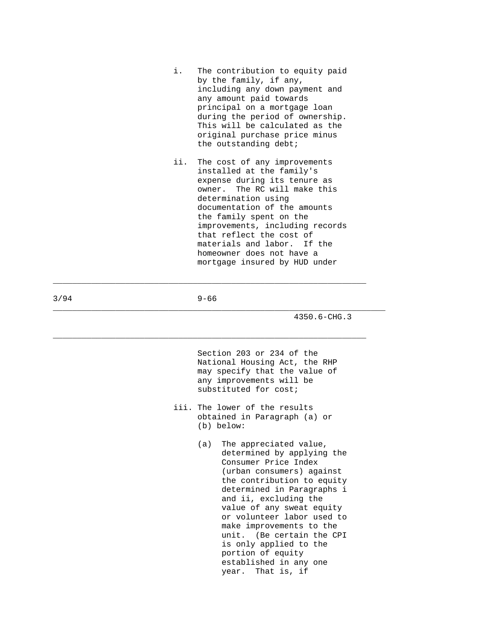- i. The contribution to equity paid by the family, if any, including any down payment and any amount paid towards principal on a mortgage loan during the period of ownership. This will be calculated as the original purchase price minus the outstanding debt;
- ii. The cost of any improvements installed at the family's expense during its tenure as owner. The RC will make this determination using documentation of the amounts the family spent on the improvements, including records that reflect the cost of materials and labor. If the homeowner does not have a mortgage insured by HUD under

3/94 9-66

\_\_\_\_\_\_\_\_\_\_\_\_\_\_\_\_\_\_\_\_\_\_\_\_\_\_\_\_\_\_\_\_\_\_\_\_\_\_\_\_\_\_\_\_\_\_\_\_\_\_\_\_\_\_\_\_\_\_\_\_\_\_\_\_\_

 $\_$  ,  $\_$  ,  $\_$  ,  $\_$  ,  $\_$  ,  $\_$  ,  $\_$  ,  $\_$  ,  $\_$  ,  $\_$  ,  $\_$  ,  $\_$  ,  $\_$  ,  $\_$  ,  $\_$  ,  $\_$  ,  $\_$  ,  $\_$  ,  $\_$  ,  $\_$  ,  $\_$  ,  $\_$  ,  $\_$  ,  $\_$  ,  $\_$  ,  $\_$  ,  $\_$  ,  $\_$  ,  $\_$  ,  $\_$  ,  $\_$  ,  $\_$  ,  $\_$  ,  $\_$  ,  $\_$  ,  $\_$  ,  $\_$  ,

\_\_\_\_\_\_\_\_\_\_\_\_\_\_\_\_\_\_\_\_\_\_\_\_\_\_\_\_\_\_\_\_\_\_\_\_\_\_\_\_\_\_\_\_\_\_\_\_\_\_\_\_\_\_\_\_\_\_\_\_\_\_\_\_\_\_\_\_\_

4350.6-CHG.3

 Section 203 or 234 of the National Housing Act, the RHP may specify that the value of any improvements will be substituted for cost;

- iii. The lower of the results obtained in Paragraph (a) or (b) below:
	- (a) The appreciated value, determined by applying the Consumer Price Index (urban consumers) against the contribution to equity determined in Paragraphs i and ii, excluding the value of any sweat equity or volunteer labor used to make improvements to the unit. (Be certain the CPI is only applied to the portion of equity established in any one year. That is, if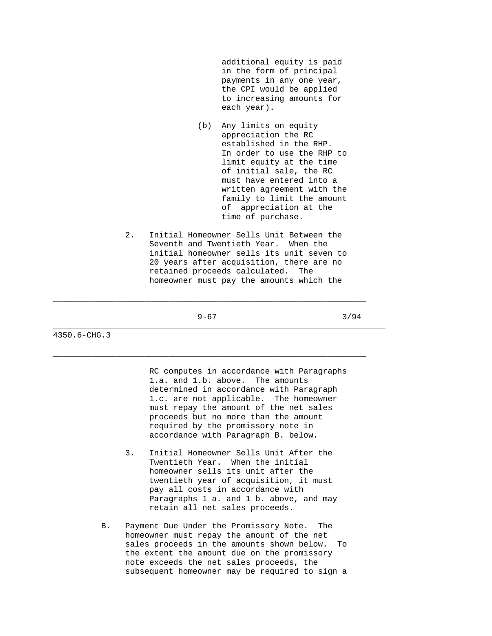additional equity is paid in the form of principal payments in any one year, the CPI would be applied to increasing amounts for each year).

- (b) Any limits on equity appreciation the RC established in the RHP. In order to use the RHP to limit equity at the time of initial sale, the RC must have entered into a written agreement with the family to limit the amount of appreciation at the time of purchase.
- 2. Initial Homeowner Sells Unit Between the Seventh and Twentieth Year. When the initial homeowner sells its unit seven to 20 years after acquisition, there are no retained proceeds calculated. The homeowner must pay the amounts which the

 $\_$  ,  $\_$  ,  $\_$  ,  $\_$  ,  $\_$  ,  $\_$  ,  $\_$  ,  $\_$  ,  $\_$  ,  $\_$  ,  $\_$  ,  $\_$  ,  $\_$  ,  $\_$  ,  $\_$  ,  $\_$  ,  $\_$  ,  $\_$  ,  $\_$  ,  $\_$  ,  $\_$  ,  $\_$  ,  $\_$  ,  $\_$  ,  $\_$  ,  $\_$  ,  $\_$  ,  $\_$  ,  $\_$  ,  $\_$  ,  $\_$  ,  $\_$  ,  $\_$  ,  $\_$  ,  $\_$  ,  $\_$  ,  $\_$  ,

 $\_$  ,  $\_$  ,  $\_$  ,  $\_$  ,  $\_$  ,  $\_$  ,  $\_$  ,  $\_$  ,  $\_$  ,  $\_$  ,  $\_$  ,  $\_$  ,  $\_$  ,  $\_$  ,  $\_$  ,  $\_$  ,  $\_$  ,  $\_$  ,  $\_$  ,  $\_$  ,  $\_$  ,  $\_$  ,  $\_$  ,  $\_$  ,  $\_$  ,  $\_$  ,  $\_$  ,  $\_$  ,  $\_$  ,  $\_$  ,  $\_$  ,  $\_$  ,  $\_$  ,  $\_$  ,  $\_$  ,  $\_$  ,  $\_$  ,

\_\_\_\_\_\_\_\_\_\_\_\_\_\_\_\_\_\_\_\_\_\_\_\_\_\_\_\_\_\_\_\_\_\_\_\_\_\_\_\_\_\_\_\_\_\_\_\_\_\_\_\_\_\_\_\_\_\_\_\_\_\_\_\_\_\_\_\_\_

 $9-67$  3/94

4350.6-CHG.3

 RC computes in accordance with Paragraphs 1.a. and 1.b. above. The amounts determined in accordance with Paragraph 1.c. are not applicable. The homeowner must repay the amount of the net sales proceeds but no more than the amount required by the promissory note in accordance with Paragraph B. below.

- 3. Initial Homeowner Sells Unit After the Twentieth Year. When the initial homeowner sells its unit after the twentieth year of acquisition, it must pay all costs in accordance with Paragraphs 1 a. and 1 b. above, and may retain all net sales proceeds.
- B. Payment Due Under the Promissory Note. The homeowner must repay the amount of the net sales proceeds in the amounts shown below. To the extent the amount due on the promissory note exceeds the net sales proceeds, the subsequent homeowner may be required to sign a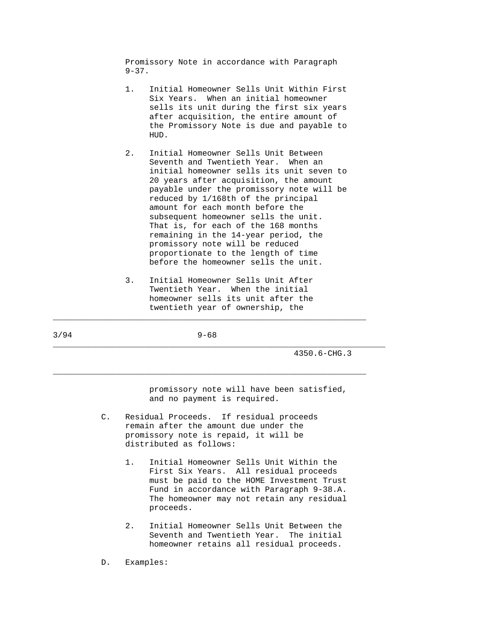Promissory Note in accordance with Paragraph  $9 - 37$ .

- 1. Initial Homeowner Sells Unit Within First Six Years. When an initial homeowner sells its unit during the first six years after acquisition, the entire amount of the Promissory Note is due and payable to HUD.
- 2. Initial Homeowner Sells Unit Between Seventh and Twentieth Year. When an initial homeowner sells its unit seven to 20 years after acquisition, the amount payable under the promissory note will be reduced by 1/168th of the principal amount for each month before the subsequent homeowner sells the unit. That is, for each of the 168 months remaining in the 14-year period, the promissory note will be reduced proportionate to the length of time before the homeowner sells the unit.
- 3. Initial Homeowner Sells Unit After Twentieth Year. When the initial homeowner sells its unit after the twentieth year of ownership, the

\_\_\_\_\_\_\_\_\_\_\_\_\_\_\_\_\_\_\_\_\_\_\_\_\_\_\_\_\_\_\_\_\_\_\_\_\_\_\_\_\_\_\_\_\_\_\_\_\_\_\_\_\_\_\_\_\_\_\_\_\_\_\_\_\_\_\_\_\_

3/94 9-68

 $\_$  ,  $\_$  ,  $\_$  ,  $\_$  ,  $\_$  ,  $\_$  ,  $\_$  ,  $\_$  ,  $\_$  ,  $\_$  ,  $\_$  ,  $\_$  ,  $\_$  ,  $\_$  ,  $\_$  ,  $\_$  ,  $\_$  ,  $\_$  ,  $\_$  ,  $\_$  ,  $\_$  ,  $\_$  ,  $\_$  ,  $\_$  ,  $\_$  ,  $\_$  ,  $\_$  ,  $\_$  ,  $\_$  ,  $\_$  ,  $\_$  ,  $\_$  ,  $\_$  ,  $\_$  ,  $\_$  ,  $\_$  ,  $\_$  ,

\_\_\_\_\_\_\_\_\_\_\_\_\_\_\_\_\_\_\_\_\_\_\_\_\_\_\_\_\_\_\_\_\_\_\_\_\_\_\_\_\_\_\_\_\_\_\_\_\_\_\_\_\_\_\_\_\_\_\_\_\_\_\_\_\_

4350.6-CHG.3

 promissory note will have been satisfied, and no payment is required.

- C. Residual Proceeds. If residual proceeds remain after the amount due under the promissory note is repaid, it will be distributed as follows:
	- 1. Initial Homeowner Sells Unit Within the First Six Years. All residual proceeds must be paid to the HOME Investment Trust Fund in accordance with Paragraph 9-38.A. The homeowner may not retain any residual proceeds.
	- 2. Initial Homeowner Sells Unit Between the Seventh and Twentieth Year. The initial homeowner retains all residual proceeds.
- D. Examples: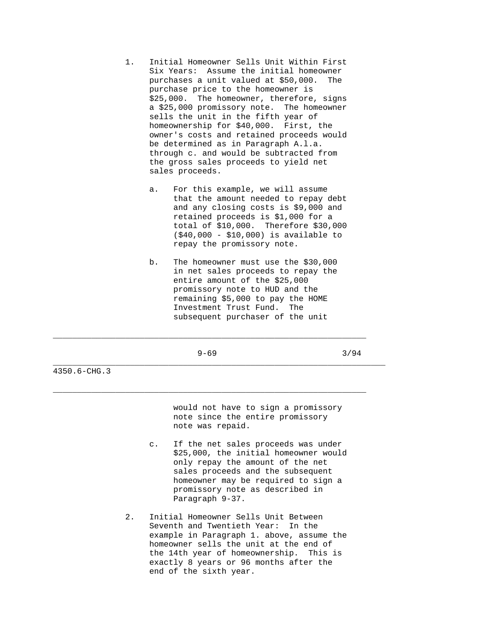- 1. Initial Homeowner Sells Unit Within First Six Years: Assume the initial homeowner purchases a unit valued at \$50,000. The purchase price to the homeowner is \$25,000. The homeowner, therefore, signs a \$25,000 promissory note. The homeowner sells the unit in the fifth year of homeownership for \$40,000. First, the owner's costs and retained proceeds would be determined as in Paragraph A.l.a. through c. and would be subtracted from the gross sales proceeds to yield net sales proceeds.
	- a. For this example, we will assume that the amount needed to repay debt and any closing costs is \$9,000 and retained proceeds is \$1,000 for a total of \$10,000. Therefore \$30,000 (\$40,000 - \$10,000) is available to repay the promissory note.
	- b. The homeowner must use the \$30,000 in net sales proceeds to repay the entire amount of the \$25,000 promissory note to HUD and the remaining \$5,000 to pay the HOME Investment Trust Fund. The subsequent purchaser of the unit

 $9-69$  3/94

 $\_$  ,  $\_$  ,  $\_$  ,  $\_$  ,  $\_$  ,  $\_$  ,  $\_$  ,  $\_$  ,  $\_$  ,  $\_$  ,  $\_$  ,  $\_$  ,  $\_$  ,  $\_$  ,  $\_$  ,  $\_$  ,  $\_$  ,  $\_$  ,  $\_$  ,  $\_$  ,  $\_$  ,  $\_$  ,  $\_$  ,  $\_$  ,  $\_$  ,  $\_$  ,  $\_$  ,  $\_$  ,  $\_$  ,  $\_$  ,  $\_$  ,  $\_$  ,  $\_$  ,  $\_$  ,  $\_$  ,  $\_$  ,  $\_$  ,

 $\_$  ,  $\_$  ,  $\_$  ,  $\_$  ,  $\_$  ,  $\_$  ,  $\_$  ,  $\_$  ,  $\_$  ,  $\_$  ,  $\_$  ,  $\_$  ,  $\_$  ,  $\_$  ,  $\_$  ,  $\_$  ,  $\_$  ,  $\_$  ,  $\_$  ,  $\_$  ,  $\_$  ,  $\_$  ,  $\_$  ,  $\_$  ,  $\_$  ,  $\_$  ,  $\_$  ,  $\_$  ,  $\_$  ,  $\_$  ,  $\_$  ,  $\_$  ,  $\_$  ,  $\_$  ,  $\_$  ,  $\_$  ,  $\_$  ,

\_\_\_\_\_\_\_\_\_\_\_\_\_\_\_\_\_\_\_\_\_\_\_\_\_\_\_\_\_\_\_\_\_\_\_\_\_\_\_\_\_\_\_\_\_\_\_\_\_\_\_\_\_\_\_\_\_\_\_\_\_\_\_\_\_\_\_\_\_

4350.6-CHG.3

 would not have to sign a promissory note since the entire promissory note was repaid.

- c. If the net sales proceeds was under \$25,000, the initial homeowner would only repay the amount of the net sales proceeds and the subsequent homeowner may be required to sign a promissory note as described in Paragraph 9-37.
- 2. Initial Homeowner Sells Unit Between Seventh and Twentieth Year: In the example in Paragraph 1. above, assume the homeowner sells the unit at the end of the 14th year of homeownership. This is exactly 8 years or 96 months after the end of the sixth year.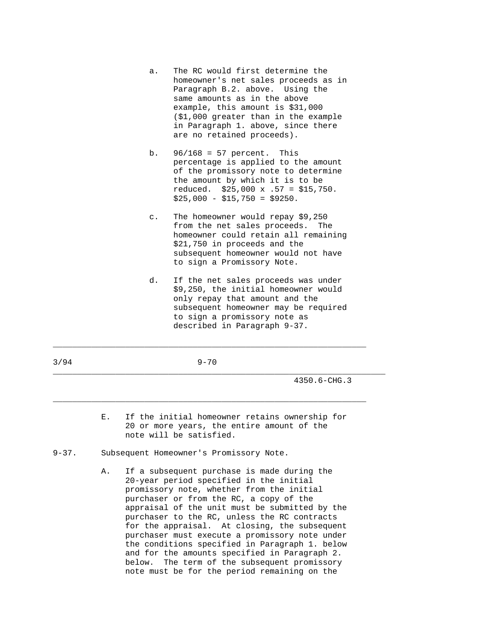- a. The RC would first determine the homeowner's net sales proceeds as in Paragraph B.2. above. Using the same amounts as in the above example, this amount is \$31,000 (\$1,000 greater than in the example in Paragraph 1. above, since there are no retained proceeds).
- b. 96/168 = 57 percent. This percentage is applied to the amount of the promissory note to determine the amount by which it is to be reduced. \$25,000 x .57 = \$15,750.  $$25,000 - $15,750 = $9250.$
- c. The homeowner would repay \$9,250 from the net sales proceeds. The homeowner could retain all remaining \$21,750 in proceeds and the subsequent homeowner would not have to sign a Promissory Note.
- d. If the net sales proceeds was under \$9,250, the initial homeowner would only repay that amount and the subsequent homeowner may be required to sign a promissory note as described in Paragraph 9-37.

3/94 9-70

 $\_$  ,  $\_$  ,  $\_$  ,  $\_$  ,  $\_$  ,  $\_$  ,  $\_$  ,  $\_$  ,  $\_$  ,  $\_$  ,  $\_$  ,  $\_$  ,  $\_$  ,  $\_$  ,  $\_$  ,  $\_$  ,  $\_$  ,  $\_$  ,  $\_$  ,  $\_$  ,  $\_$  ,  $\_$  ,  $\_$  ,  $\_$  ,  $\_$  ,  $\_$  ,  $\_$  ,  $\_$  ,  $\_$  ,  $\_$  ,  $\_$  ,  $\_$  ,  $\_$  ,  $\_$  ,  $\_$  ,  $\_$  ,  $\_$  ,

 $\_$  ,  $\_$  ,  $\_$  ,  $\_$  ,  $\_$  ,  $\_$  ,  $\_$  ,  $\_$  ,  $\_$  ,  $\_$  ,  $\_$  ,  $\_$  ,  $\_$  ,  $\_$  ,  $\_$  ,  $\_$  ,  $\_$  ,  $\_$  ,  $\_$  ,  $\_$  ,  $\_$  ,  $\_$  ,  $\_$  ,  $\_$  ,  $\_$  ,  $\_$  ,  $\_$  ,  $\_$  ,  $\_$  ,  $\_$  ,  $\_$  ,  $\_$  ,  $\_$  ,  $\_$  ,  $\_$  ,  $\_$  ,  $\_$  ,

4350.6-CHG.3

 E. If the initial homeowner retains ownership for 20 or more years, the entire amount of the note will be satisfied.

\_\_\_\_\_\_\_\_\_\_\_\_\_\_\_\_\_\_\_\_\_\_\_\_\_\_\_\_\_\_\_\_\_\_\_\_\_\_\_\_\_\_\_\_\_\_\_\_\_\_\_\_\_\_\_\_\_\_\_\_\_\_\_\_\_\_\_\_\_

- 9-37. Subsequent Homeowner's Promissory Note.
	- A. If a subsequent purchase is made during the 20-year period specified in the initial promissory note, whether from the initial purchaser or from the RC, a copy of the appraisal of the unit must be submitted by the purchaser to the RC, unless the RC contracts for the appraisal. At closing, the subsequent purchaser must execute a promissory note under the conditions specified in Paragraph 1. below and for the amounts specified in Paragraph 2. below. The term of the subsequent promissory note must be for the period remaining on the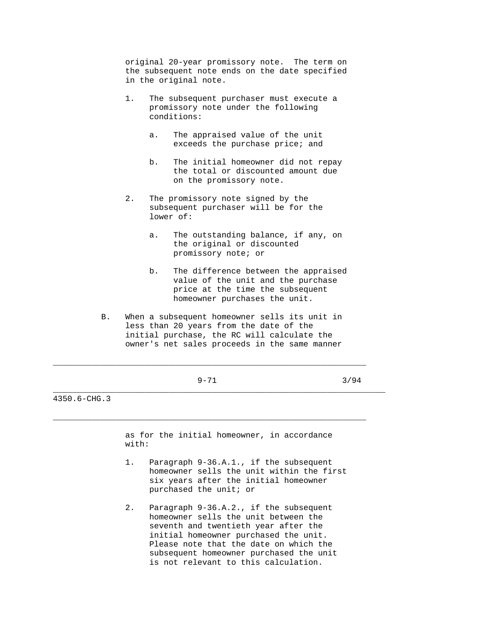original 20-year promissory note. The term on the subsequent note ends on the date specified in the original note.

- 1. The subsequent purchaser must execute a promissory note under the following conditions:
	- a. The appraised value of the unit exceeds the purchase price; and
	- b. The initial homeowner did not repay the total or discounted amount due on the promissory note.
- 2. The promissory note signed by the subsequent purchaser will be for the lower of:
	- a. The outstanding balance, if any, on the original or discounted promissory note; or
	- b. The difference between the appraised value of the unit and the purchase price at the time the subsequent homeowner purchases the unit.
- B. When a subsequent homeowner sells its unit in less than 20 years from the date of the initial purchase, the RC will calculate the owner's net sales proceeds in the same manner

\_\_\_\_\_\_\_\_\_\_\_\_\_\_\_\_\_\_\_\_\_\_\_\_\_\_\_\_\_\_\_\_\_\_\_\_\_\_\_\_\_\_\_\_\_\_\_\_\_\_\_\_\_\_\_\_\_\_\_\_\_\_\_\_\_\_\_\_\_

 $\_$  ,  $\_$  ,  $\_$  ,  $\_$  ,  $\_$  ,  $\_$  ,  $\_$  ,  $\_$  ,  $\_$  ,  $\_$  ,  $\_$  ,  $\_$  ,  $\_$  ,  $\_$  ,  $\_$  ,  $\_$  ,  $\_$  ,  $\_$  ,  $\_$  ,  $\_$  ,  $\_$  ,  $\_$  ,  $\_$  ,  $\_$  ,  $\_$  ,  $\_$  ,  $\_$  ,  $\_$  ,  $\_$  ,  $\_$  ,  $\_$  ,  $\_$  ,  $\_$  ,  $\_$  ,  $\_$  ,  $\_$  ,  $\_$  ,

\_\_\_\_\_\_\_\_\_\_\_\_\_\_\_\_\_\_\_\_\_\_\_\_\_\_\_\_\_\_\_\_\_\_\_\_\_\_\_\_\_\_\_\_\_\_\_\_\_\_\_\_\_\_\_\_\_\_\_\_\_\_\_\_\_

 $9-71$  3/94

4350.6-CHG.3

 as for the initial homeowner, in accordance with:

- 1. Paragraph 9-36.A.1., if the subsequent homeowner sells the unit within the first six years after the initial homeowner purchased the unit; or
- 2. Paragraph 9-36.A.2., if the subsequent homeowner sells the unit between the seventh and twentieth year after the initial homeowner purchased the unit. Please note that the date on which the subsequent homeowner purchased the unit is not relevant to this calculation.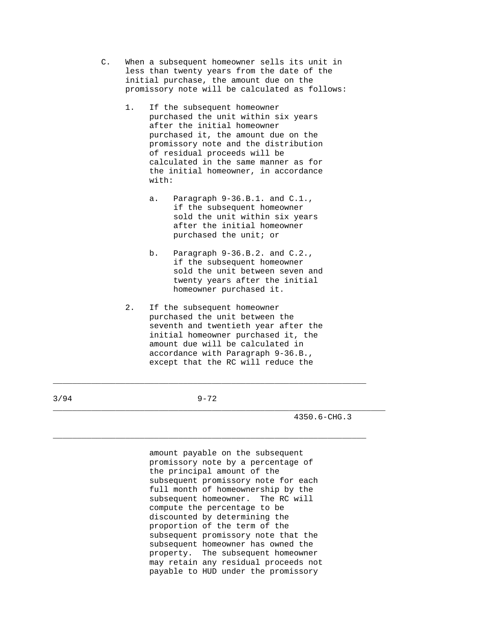- C. When a subsequent homeowner sells its unit in less than twenty years from the date of the initial purchase, the amount due on the promissory note will be calculated as follows:
	- 1. If the subsequent homeowner purchased the unit within six years after the initial homeowner purchased it, the amount due on the promissory note and the distribution of residual proceeds will be calculated in the same manner as for the initial homeowner, in accordance with:
		- a. Paragraph 9-36.B.1. and C.1., if the subsequent homeowner sold the unit within six years after the initial homeowner purchased the unit; or
		- b. Paragraph 9-36.B.2. and C.2., if the subsequent homeowner sold the unit between seven and twenty years after the initial homeowner purchased it.
	- 2. If the subsequent homeowner purchased the unit between the seventh and twentieth year after the initial homeowner purchased it, the amount due will be calculated in accordance with Paragraph 9-36.B., except that the RC will reduce the

3/94 9-72

 $\_$  ,  $\_$  ,  $\_$  ,  $\_$  ,  $\_$  ,  $\_$  ,  $\_$  ,  $\_$  ,  $\_$  ,  $\_$  ,  $\_$  ,  $\_$  ,  $\_$  ,  $\_$  ,  $\_$  ,  $\_$  ,  $\_$  ,  $\_$  ,  $\_$  ,  $\_$  ,  $\_$  ,  $\_$  ,  $\_$  ,  $\_$  ,  $\_$  ,  $\_$  ,  $\_$  ,  $\_$  ,  $\_$  ,  $\_$  ,  $\_$  ,  $\_$  ,  $\_$  ,  $\_$  ,  $\_$  ,  $\_$  ,  $\_$  ,

\_\_\_\_\_\_\_\_\_\_\_\_\_\_\_\_\_\_\_\_\_\_\_\_\_\_\_\_\_\_\_\_\_\_\_\_\_\_\_\_\_\_\_\_\_\_\_\_\_\_\_\_\_\_\_\_\_\_\_\_\_\_\_\_\_\_\_\_\_

 $\_$  ,  $\_$  ,  $\_$  ,  $\_$  ,  $\_$  ,  $\_$  ,  $\_$  ,  $\_$  ,  $\_$  ,  $\_$  ,  $\_$  ,  $\_$  ,  $\_$  ,  $\_$  ,  $\_$  ,  $\_$  ,  $\_$  ,  $\_$  ,  $\_$  ,  $\_$  ,  $\_$  ,  $\_$  ,  $\_$  ,  $\_$  ,  $\_$  ,  $\_$  ,  $\_$  ,  $\_$  ,  $\_$  ,  $\_$  ,  $\_$  ,  $\_$  ,  $\_$  ,  $\_$  ,  $\_$  ,  $\_$  ,  $\_$  ,

4350.6-CHG.3

 amount payable on the subsequent promissory note by a percentage of the principal amount of the subsequent promissory note for each full month of homeownership by the subsequent homeowner. The RC will compute the percentage to be discounted by determining the proportion of the term of the subsequent promissory note that the subsequent homeowner has owned the property. The subsequent homeowner may retain any residual proceeds not payable to HUD under the promissory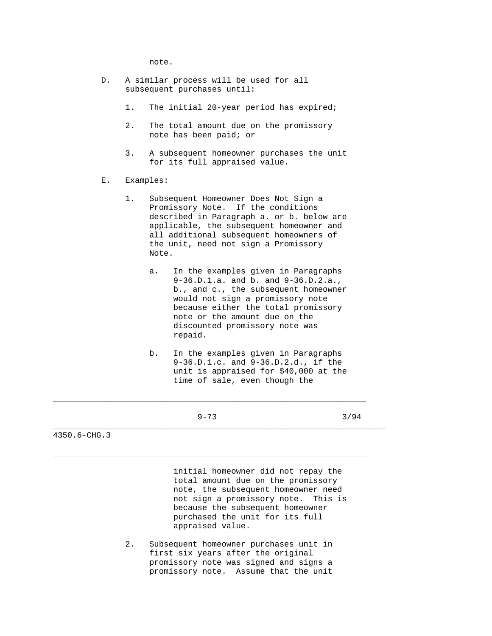note.

- D. A similar process will be used for all subsequent purchases until:
	- 1. The initial 20-year period has expired;
	- 2. The total amount due on the promissory note has been paid; or
	- 3. A subsequent homeowner purchases the unit for its full appraised value.
- E. Examples:
	- 1. Subsequent Homeowner Does Not Sign a Promissory Note. If the conditions described in Paragraph a. or b. below are applicable, the subsequent homeowner and all additional subsequent homeowners of the unit, need not sign a Promissory Note.
		- a. In the examples given in Paragraphs 9-36.D.1.a. and b. and 9-36.D.2.a., b., and c., the subsequent homeowner would not sign a promissory note because either the total promissory note or the amount due on the discounted promissory note was repaid.
		- b. In the examples given in Paragraphs 9-36.D.1.c. and 9-36.D.2.d., if the unit is appraised for \$40,000 at the time of sale, even though the
			-

 $\_$  ,  $\_$  ,  $\_$  ,  $\_$  ,  $\_$  ,  $\_$  ,  $\_$  ,  $\_$  ,  $\_$  ,  $\_$  ,  $\_$  ,  $\_$  ,  $\_$  ,  $\_$  ,  $\_$  ,  $\_$  ,  $\_$  ,  $\_$  ,  $\_$  ,  $\_$  ,  $\_$  ,  $\_$  ,  $\_$  ,  $\_$  ,  $\_$  ,  $\_$  ,  $\_$  ,  $\_$  ,  $\_$  ,  $\_$  ,  $\_$  ,  $\_$  ,  $\_$  ,  $\_$  ,  $\_$  ,  $\_$  ,  $\_$  ,

\_\_\_\_\_\_\_\_\_\_\_\_\_\_\_\_\_\_\_\_\_\_\_\_\_\_\_\_\_\_\_\_\_\_\_\_\_\_\_\_\_\_\_\_\_\_\_\_\_\_\_\_\_\_\_\_\_\_\_\_\_\_\_\_\_

\_\_\_\_\_\_\_\_\_\_\_\_\_\_\_\_\_\_\_\_\_\_\_\_\_\_\_\_\_\_\_\_\_\_\_\_\_\_\_\_\_\_\_\_\_\_\_\_\_\_\_\_\_\_\_\_\_\_\_\_\_\_\_\_\_\_\_\_\_

 $9-73$  3/94

4350.6-CHG.3

 initial homeowner did not repay the total amount due on the promissory note, the subsequent homeowner need not sign a promissory note. This is because the subsequent homeowner purchased the unit for its full appraised value.

 2. Subsequent homeowner purchases unit in first six years after the original promissory note was signed and signs a promissory note. Assume that the unit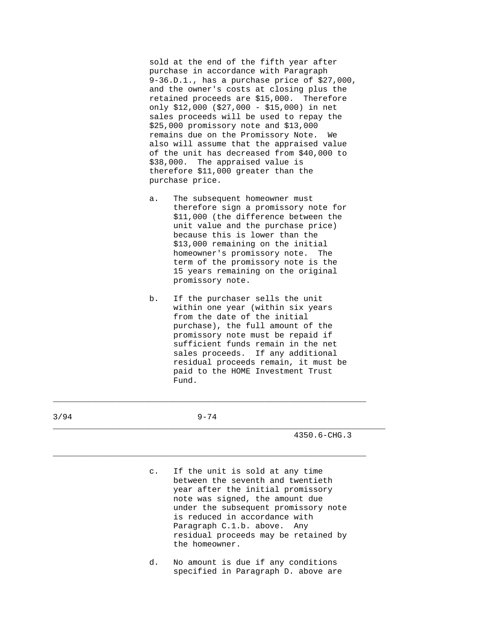sold at the end of the fifth year after purchase in accordance with Paragraph 9-36.D.1., has a purchase price of \$27,000, and the owner's costs at closing plus the retained proceeds are \$15,000. Therefore only \$12,000 (\$27,000 - \$15,000) in net sales proceeds will be used to repay the \$25,000 promissory note and \$13,000 remains due on the Promissory Note. We also will assume that the appraised value of the unit has decreased from \$40,000 to \$38,000. The appraised value is therefore \$11,000 greater than the purchase price.

- a. The subsequent homeowner must therefore sign a promissory note for \$11,000 (the difference between the unit value and the purchase price) because this is lower than the \$13,000 remaining on the initial homeowner's promissory note. The term of the promissory note is the 15 years remaining on the original promissory note.
- b. If the purchaser sells the unit within one year (within six years from the date of the initial purchase), the full amount of the promissory note must be repaid if sufficient funds remain in the net sales proceeds. If any additional residual proceeds remain, it must be paid to the HOME Investment Trust Fund.

| 3/94 |    | $9 - 74$                                                                                                                                                                                                                                                                                                          |
|------|----|-------------------------------------------------------------------------------------------------------------------------------------------------------------------------------------------------------------------------------------------------------------------------------------------------------------------|
|      |    | $4350.6 - CHG.3$                                                                                                                                                                                                                                                                                                  |
|      |    | c. If the unit is sold at any time<br>between the seventh and twentieth<br>year after the initial promissory<br>note was signed, the amount due<br>under the subsequent promissory note<br>is reduced in accordance with<br>Paragraph C.1.b. above. Any<br>residual proceeds may be retained by<br>the homeowner. |
|      | d. | No amount is due if any conditions<br>specified in Paragraph D. above are                                                                                                                                                                                                                                         |

 $\_$  ,  $\_$  ,  $\_$  ,  $\_$  ,  $\_$  ,  $\_$  ,  $\_$  ,  $\_$  ,  $\_$  ,  $\_$  ,  $\_$  ,  $\_$  ,  $\_$  ,  $\_$  ,  $\_$  ,  $\_$  ,  $\_$  ,  $\_$  ,  $\_$  ,  $\_$  ,  $\_$  ,  $\_$  ,  $\_$  ,  $\_$  ,  $\_$  ,  $\_$  ,  $\_$  ,  $\_$  ,  $\_$  ,  $\_$  ,  $\_$  ,  $\_$  ,  $\_$  ,  $\_$  ,  $\_$  ,  $\_$  ,  $\_$  ,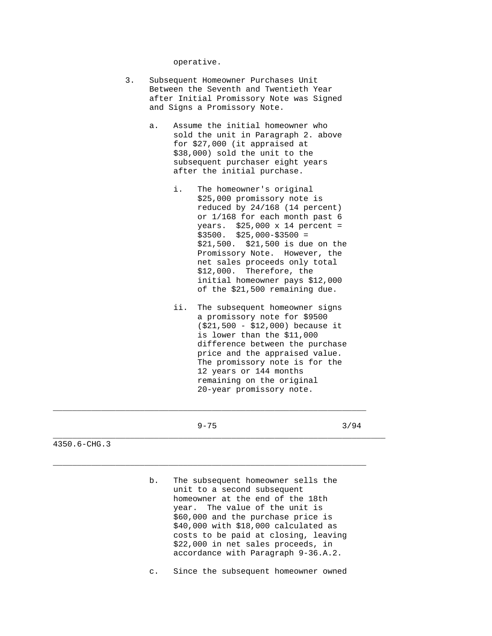operative.

- 3. Subsequent Homeowner Purchases Unit Between the Seventh and Twentieth Year after Initial Promissory Note was Signed and Signs a Promissory Note.
	- a. Assume the initial homeowner who sold the unit in Paragraph 2. above for \$27,000 (it appraised at \$38,000) sold the unit to the subsequent purchaser eight years after the initial purchase.
		- i. The homeowner's original \$25,000 promissory note is reduced by 24/168 (14 percent) or 1/168 for each month past 6 years. \$25,000 x 14 percent =  $$3500.$   $$25,000-\$3500 =$  \$21,500. \$21,500 is due on the Promissory Note. However, the net sales proceeds only total \$12,000. Therefore, the initial homeowner pays \$12,000 of the \$21,500 remaining due.
		- ii. The subsequent homeowner signs a promissory note for \$9500 (\$21,500 - \$12,000) because it is lower than the \$11,000 difference between the purchase price and the appraised value. The promissory note is for the 12 years or 144 months remaining on the original 20-year promissory note.

\_\_\_\_\_\_\_\_\_\_\_\_\_\_\_\_\_\_\_\_\_\_\_\_\_\_\_\_\_\_\_\_\_\_\_\_\_\_\_\_\_\_\_\_\_\_\_\_\_\_\_\_\_\_\_\_\_\_\_\_\_\_\_\_\_

\_\_\_\_\_\_\_\_\_\_\_\_\_\_\_\_\_\_\_\_\_\_\_\_\_\_\_\_\_\_\_\_\_\_\_\_\_\_\_\_\_\_\_\_\_\_\_\_\_\_\_\_\_\_\_\_\_\_\_\_\_\_\_\_\_

\_\_\_\_\_\_\_\_\_\_\_\_\_\_\_\_\_\_\_\_\_\_\_\_\_\_\_\_\_\_\_\_\_\_\_\_\_\_\_\_\_\_\_\_\_\_\_\_\_\_\_\_\_\_\_\_\_\_\_\_\_\_\_\_\_\_\_\_\_

 $9-75$  3/94

4350.6-CHG.3

 b. The subsequent homeowner sells the unit to a second subsequent homeowner at the end of the 18th year. The value of the unit is \$60,000 and the purchase price is \$40,000 with \$18,000 calculated as costs to be paid at closing, leaving \$22,000 in net sales proceeds, in accordance with Paragraph 9-36.A.2.

c. Since the subsequent homeowner owned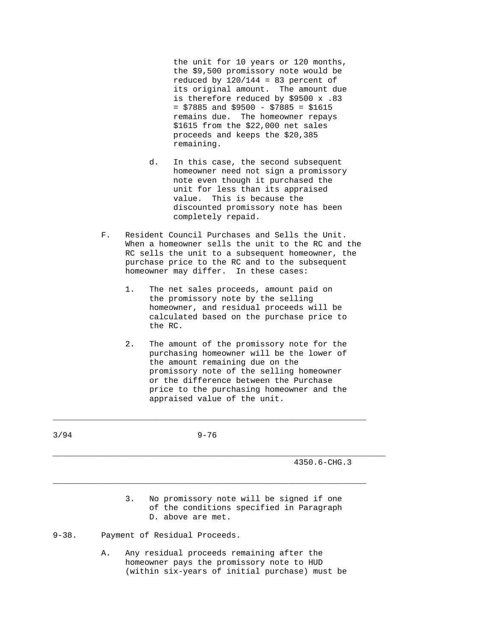the unit for 10 years or 120 months, the \$9,500 promissory note would be reduced by  $120/144 = 83$  percent of its original amount. The amount due is therefore reduced by \$9500 x .83  $=$  \$7885 and \$9500 - \$7885 = \$1615 remains due. The homeowner repays \$1615 from the \$22,000 net sales proceeds and keeps the \$20,385 remaining.

- d. In this case, the second subsequent homeowner need not sign a promissory note even though it purchased the unit for less than its appraised value. This is because the discounted promissory note has been completely repaid.
- F. Resident Council Purchases and Sells the Unit. When a homeowner sells the unit to the RC and the RC sells the unit to a subsequent homeowner, the purchase price to the RC and to the subsequent homeowner may differ. In these cases:
	- 1. The net sales proceeds, amount paid on the promissory note by the selling homeowner, and residual proceeds will be calculated based on the purchase price to the RC.
	- 2. The amount of the promissory note for the purchasing homeowner will be the lower of the amount remaining due on the promissory note of the selling homeowner or the difference between the Purchase price to the purchasing homeowner and the appraised value of the unit.

| 3/94      | $9 - 76$                                                                                                        |  |
|-----------|-----------------------------------------------------------------------------------------------------------------|--|
|           | $4350.6 - CHG.3$                                                                                                |  |
|           | No promissory note will be signed if one<br>3.<br>of the conditions specified in Paragraph<br>D. above are met. |  |
| $9 - 38.$ | Payment of Residual Proceeds.                                                                                   |  |

\_\_\_\_\_\_\_\_\_\_\_\_\_\_\_\_\_\_\_\_\_\_\_\_\_\_\_\_\_\_\_\_\_\_\_\_\_\_\_\_\_\_\_\_\_\_\_\_\_\_\_\_\_\_\_\_\_\_\_\_\_\_\_\_\_

 A. Any residual proceeds remaining after the homeowner pays the promissory note to HUD (within six-years of initial purchase) must be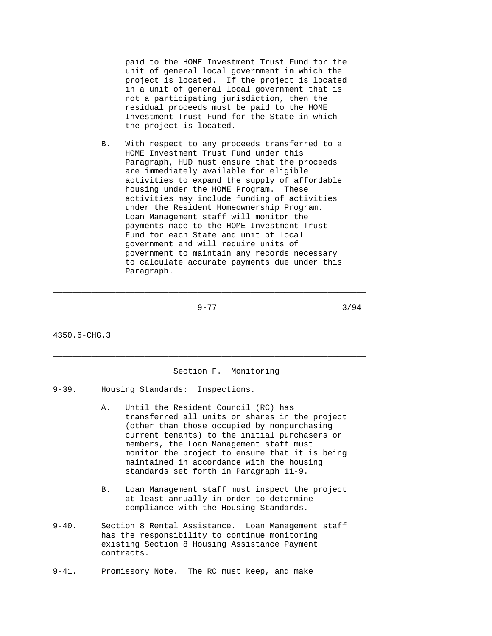paid to the HOME Investment Trust Fund for the unit of general local government in which the project is located. If the project is located in a unit of general local government that is not a participating jurisdiction, then the residual proceeds must be paid to the HOME Investment Trust Fund for the State in which the project is located.

 B. With respect to any proceeds transferred to a HOME Investment Trust Fund under this Paragraph, HUD must ensure that the proceeds are immediately available for eligible activities to expand the supply of affordable housing under the HOME Program. These activities may include funding of activities under the Resident Homeownership Program. Loan Management staff will monitor the payments made to the HOME Investment Trust Fund for each State and unit of local government and will require units of government to maintain any records necessary to calculate accurate payments due under this Paragraph.

 $9-77$  3/94

\_\_\_\_\_\_\_\_\_\_\_\_\_\_\_\_\_\_\_\_\_\_\_\_\_\_\_\_\_\_\_\_\_\_\_\_\_\_\_\_\_\_\_\_\_\_\_\_\_\_\_\_\_\_\_\_\_\_\_\_\_\_\_\_\_

 $\_$  ,  $\_$  ,  $\_$  ,  $\_$  ,  $\_$  ,  $\_$  ,  $\_$  ,  $\_$  ,  $\_$  ,  $\_$  ,  $\_$  ,  $\_$  ,  $\_$  ,  $\_$  ,  $\_$  ,  $\_$  ,  $\_$  ,  $\_$  ,  $\_$  ,  $\_$  ,  $\_$  ,  $\_$  ,  $\_$  ,  $\_$  ,  $\_$  ,  $\_$  ,  $\_$  ,  $\_$  ,  $\_$  ,  $\_$  ,  $\_$  ,  $\_$  ,  $\_$  ,  $\_$  ,  $\_$  ,  $\_$  ,  $\_$  ,

4350.6-CHG.3

## Section F. Monitoring

\_\_\_\_\_\_\_\_\_\_\_\_\_\_\_\_\_\_\_\_\_\_\_\_\_\_\_\_\_\_\_\_\_\_\_\_\_\_\_\_\_\_\_\_\_\_\_\_\_\_\_\_\_\_\_\_\_\_\_\_\_\_\_\_\_\_\_\_\_

- 9-39. Housing Standards: Inspections.
	- A. Until the Resident Council (RC) has transferred all units or shares in the project (other than those occupied by nonpurchasing current tenants) to the initial purchasers or members, the Loan Management staff must monitor the project to ensure that it is being maintained in accordance with the housing standards set forth in Paragraph 11-9.
	- B. Loan Management staff must inspect the project at least annually in order to determine compliance with the Housing Standards.
- 9-40. Section 8 Rental Assistance. Loan Management staff has the responsibility to continue monitoring existing Section 8 Housing Assistance Payment contracts.
- 9-41. Promissory Note. The RC must keep, and make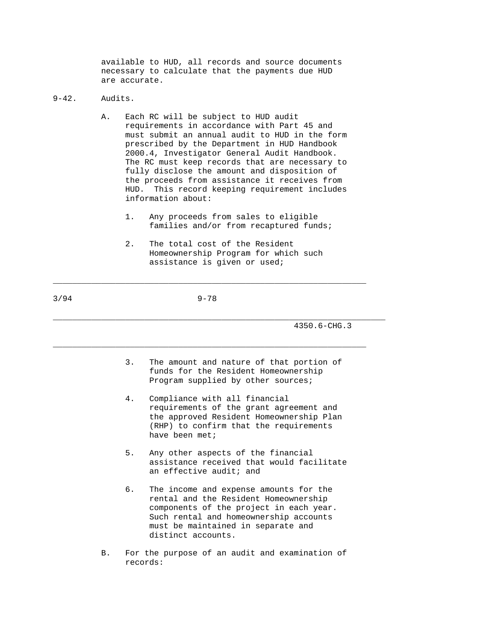available to HUD, all records and source documents necessary to calculate that the payments due HUD are accurate.

## 9-42. Audits.

- A. Each RC will be subject to HUD audit requirements in accordance with Part 45 and must submit an annual audit to HUD in the form prescribed by the Department in HUD Handbook 2000.4, Investigator General Audit Handbook. The RC must keep records that are necessary to fully disclose the amount and disposition of the proceeds from assistance it receives from HUD. This record keeping requirement includes information about:
	- 1. Any proceeds from sales to eligible families and/or from recaptured funds;
	- 2. The total cost of the Resident Homeownership Program for which such assistance is given or used;

3/94 9-78

 $\_$  ,  $\_$  ,  $\_$  ,  $\_$  ,  $\_$  ,  $\_$  ,  $\_$  ,  $\_$  ,  $\_$  ,  $\_$  ,  $\_$  ,  $\_$  ,  $\_$  ,  $\_$  ,  $\_$  ,  $\_$  ,  $\_$  ,  $\_$  ,  $\_$  ,  $\_$  ,  $\_$  ,  $\_$  ,  $\_$  ,  $\_$  ,  $\_$  ,  $\_$  ,  $\_$  ,  $\_$  ,  $\_$  ,  $\_$  ,  $\_$  ,  $\_$  ,  $\_$  ,  $\_$  ,  $\_$  ,  $\_$  ,  $\_$  ,

\_\_\_\_\_\_\_\_\_\_\_\_\_\_\_\_\_\_\_\_\_\_\_\_\_\_\_\_\_\_\_\_\_\_\_\_\_\_\_\_\_\_\_\_\_\_\_\_\_\_\_\_\_\_\_\_\_\_\_\_\_\_\_\_\_

\_\_\_\_\_\_\_\_\_\_\_\_\_\_\_\_\_\_\_\_\_\_\_\_\_\_\_\_\_\_\_\_\_\_\_\_\_\_\_\_\_\_\_\_\_\_\_\_\_\_\_\_\_\_\_\_\_\_\_\_\_\_\_\_\_\_\_\_\_ 4350.6-CHG.3

- 3. The amount and nature of that portion of funds for the Resident Homeownership Program supplied by other sources;
- 4. Compliance with all financial requirements of the grant agreement and the approved Resident Homeownership Plan (RHP) to confirm that the requirements have been met;
- 5. Any other aspects of the financial assistance received that would facilitate an effective audit; and
- 6. The income and expense amounts for the rental and the Resident Homeownership components of the project in each year. Such rental and homeownership accounts must be maintained in separate and distinct accounts.
- B. For the purpose of an audit and examination of records: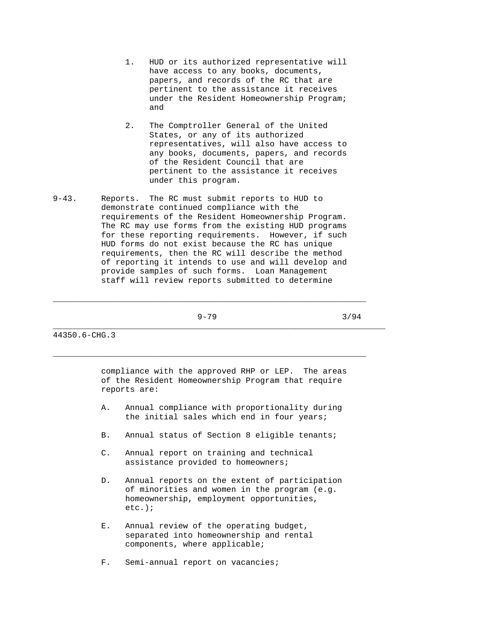- 1. HUD or its authorized representative will have access to any books, documents, papers, and records of the RC that are pertinent to the assistance it receives under the Resident Homeownership Program; and
- 2. The Comptroller General of the United States, or any of its authorized representatives, will also have access to any books, documents, papers, and records of the Resident Council that are pertinent to the assistance it receives under this program.
- 9-43. Reports. The RC must submit reports to HUD to demonstrate continued compliance with the requirements of the Resident Homeownership Program. The RC may use forms from the existing HUD programs for these reporting requirements. However, if such HUD forms do not exist because the RC has unique requirements, then the RC will describe the method of reporting it intends to use and will develop and provide samples of such forms. Loan Management staff will review reports submitted to determine

 $\_$  ,  $\_$  ,  $\_$  ,  $\_$  ,  $\_$  ,  $\_$  ,  $\_$  ,  $\_$  ,  $\_$  ,  $\_$  ,  $\_$  ,  $\_$  ,  $\_$  ,  $\_$  ,  $\_$  ,  $\_$  ,  $\_$  ,  $\_$  ,  $\_$  ,  $\_$  ,  $\_$  ,  $\_$  ,  $\_$  ,  $\_$  ,  $\_$  ,  $\_$  ,  $\_$  ,  $\_$  ,  $\_$  ,  $\_$  ,  $\_$  ,  $\_$  ,  $\_$  ,  $\_$  ,  $\_$  ,  $\_$  ,  $\_$  ,

 $\_$  ,  $\_$  ,  $\_$  ,  $\_$  ,  $\_$  ,  $\_$  ,  $\_$  ,  $\_$  ,  $\_$  ,  $\_$  ,  $\_$  ,  $\_$  ,  $\_$  ,  $\_$  ,  $\_$  ,  $\_$  ,  $\_$  ,  $\_$  ,  $\_$  ,  $\_$  ,  $\_$  ,  $\_$  ,  $\_$  ,  $\_$  ,  $\_$  ,  $\_$  ,  $\_$  ,  $\_$  ,  $\_$  ,  $\_$  ,  $\_$  ,  $\_$  ,  $\_$  ,  $\_$  ,  $\_$  ,  $\_$  ,  $\_$  ,

 $9-79$  3/94

44350.6-CHG.3

 compliance with the approved RHP or LEP. The areas of the Resident Homeownership Program that require reports are:

\_\_\_\_\_\_\_\_\_\_\_\_\_\_\_\_\_\_\_\_\_\_\_\_\_\_\_\_\_\_\_\_\_\_\_\_\_\_\_\_\_\_\_\_\_\_\_\_\_\_\_\_\_\_\_\_\_\_\_\_\_\_\_\_\_\_\_\_\_

- A. Annual compliance with proportionality during the initial sales which end in four years;
- B. Annual status of Section 8 eligible tenants;
- C. Annual report on training and technical assistance provided to homeowners;
- D. Annual reports on the extent of participation of minorities and women in the program (e.g. homeownership, employment opportunities, etc.);
- E. Annual review of the operating budget, separated into homeownership and rental components, where applicable;
- F. Semi-annual report on vacancies;